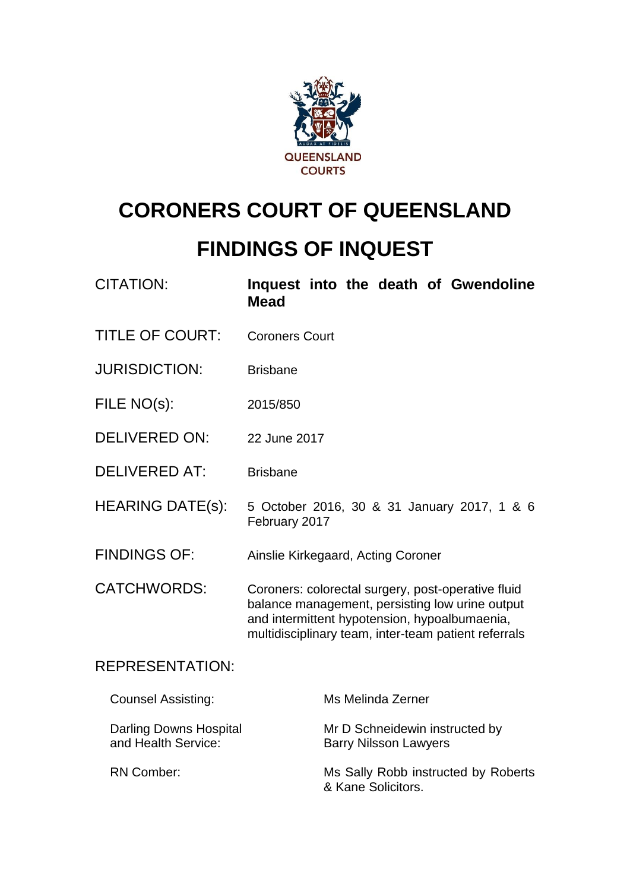

# **CORONERS COURT OF QUEENSLAND**

## **FINDINGS OF INQUEST**

| <b>CITATION:</b>                                     | Inquest into the death of Gwendoline<br><b>Mead</b>                                                                                                                                                            |  |
|------------------------------------------------------|----------------------------------------------------------------------------------------------------------------------------------------------------------------------------------------------------------------|--|
| <b>TITLE OF COURT:</b>                               | <b>Coroners Court</b>                                                                                                                                                                                          |  |
| <b>JURISDICTION:</b>                                 | <b>Brisbane</b>                                                                                                                                                                                                |  |
| FILE NO(s):                                          | 2015/850                                                                                                                                                                                                       |  |
| <b>DELIVERED ON:</b>                                 | 22 June 2017                                                                                                                                                                                                   |  |
| <b>DELIVERED AT:</b>                                 | <b>Brisbane</b>                                                                                                                                                                                                |  |
| <b>HEARING DATE(s):</b>                              | 5 October 2016, 30 & 31 January 2017, 1 & 6<br>February 2017                                                                                                                                                   |  |
| <b>FINDINGS OF:</b>                                  | Ainslie Kirkegaard, Acting Coroner                                                                                                                                                                             |  |
| <b>CATCHWORDS:</b>                                   | Coroners: colorectal surgery, post-operative fluid<br>balance management, persisting low urine output<br>and intermittent hypotension, hypoalbumaenia,<br>multidisciplinary team, inter-team patient referrals |  |
| <b>REPRESENTATION:</b>                               |                                                                                                                                                                                                                |  |
| <b>Counsel Assisting:</b>                            | Ms Melinda Zerner                                                                                                                                                                                              |  |
| <b>Darling Downs Hospital</b><br>and Health Service: | Mr D Schneidewin instructed by<br><b>Barry Nilsson Lawyers</b>                                                                                                                                                 |  |
| <b>RN Comber:</b>                                    | Ms Sally Robb instructed by Roberts<br>& Kane Solicitors.                                                                                                                                                      |  |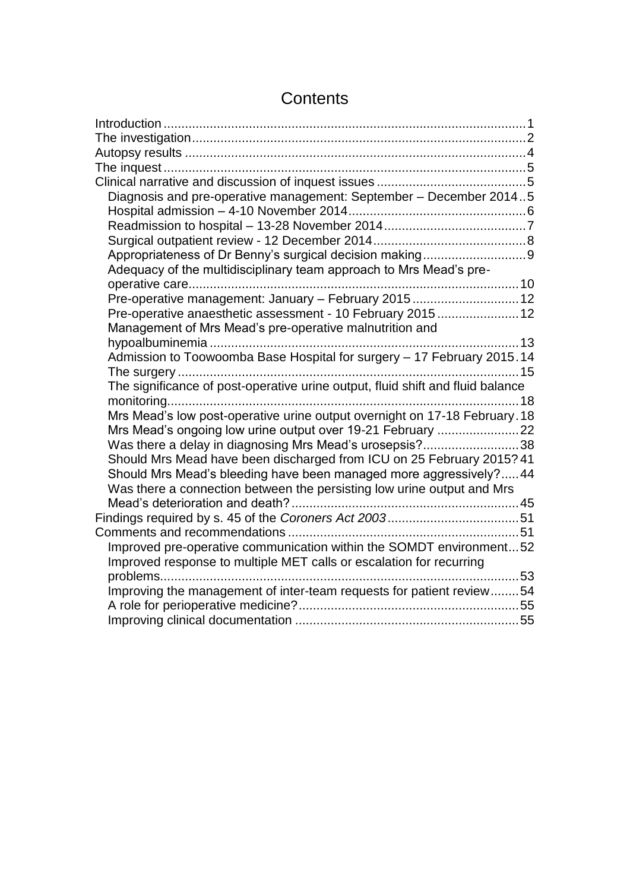| Diagnosis and pre-operative management: September - December 20145             |  |
|--------------------------------------------------------------------------------|--|
|                                                                                |  |
|                                                                                |  |
|                                                                                |  |
| Appropriateness of Dr Benny's surgical decision making9                        |  |
| Adequacy of the multidisciplinary team approach to Mrs Mead's pre-             |  |
|                                                                                |  |
| Pre-operative management: January - February 2015 12                           |  |
| Pre-operative anaesthetic assessment - 10 February 201512                      |  |
| Management of Mrs Mead's pre-operative malnutrition and                        |  |
|                                                                                |  |
| Admission to Toowoomba Base Hospital for surgery - 17 February 2015.14         |  |
|                                                                                |  |
| The significance of post-operative urine output, fluid shift and fluid balance |  |
|                                                                                |  |
| Mrs Mead's low post-operative urine output overnight on 17-18 February. 18     |  |
|                                                                                |  |
| Was there a delay in diagnosing Mrs Mead's urosepsis?38                        |  |
| Should Mrs Mead have been discharged from ICU on 25 February 2015? 41          |  |
| Should Mrs Mead's bleeding have been managed more aggressively? 44             |  |
| Was there a connection between the persisting low urine output and Mrs         |  |
|                                                                                |  |
|                                                                                |  |
|                                                                                |  |
| Improved pre-operative communication within the SOMDT environment52            |  |
| Improved response to multiple MET calls or escalation for recurring            |  |
|                                                                                |  |
| Improving the management of inter-team requests for patient review54           |  |
|                                                                                |  |
|                                                                                |  |

## **Contents**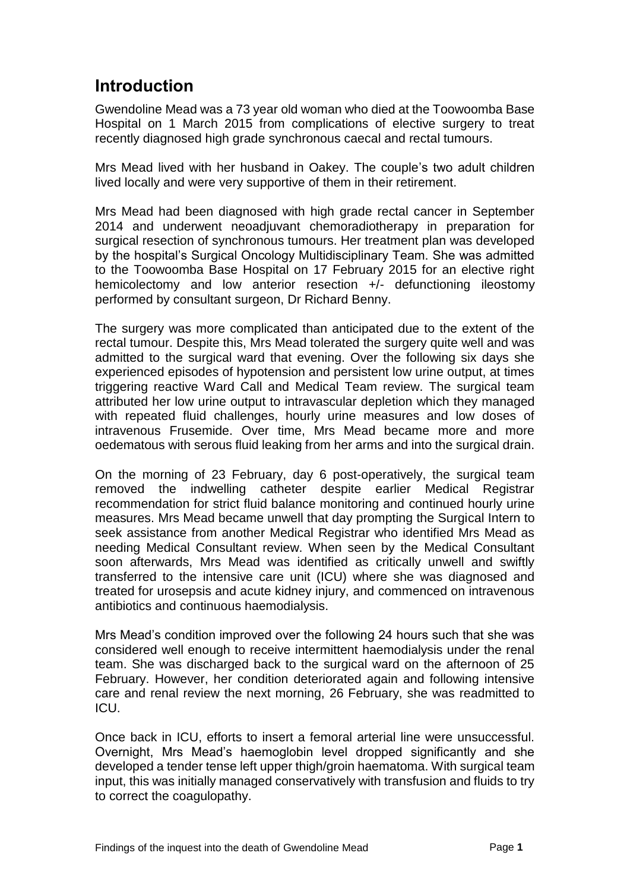## <span id="page-2-0"></span>**Introduction**

Gwendoline Mead was a 73 year old woman who died at the Toowoomba Base Hospital on 1 March 2015 from complications of elective surgery to treat recently diagnosed high grade synchronous caecal and rectal tumours.

Mrs Mead lived with her husband in Oakey. The couple's two adult children lived locally and were very supportive of them in their retirement.

Mrs Mead had been diagnosed with high grade rectal cancer in September 2014 and underwent neoadjuvant chemoradiotherapy in preparation for surgical resection of synchronous tumours. Her treatment plan was developed by the hospital's Surgical Oncology Multidisciplinary Team. She was admitted to the Toowoomba Base Hospital on 17 February 2015 for an elective right hemicolectomy and low anterior resection +/- defunctioning ileostomy performed by consultant surgeon, Dr Richard Benny.

The surgery was more complicated than anticipated due to the extent of the rectal tumour. Despite this, Mrs Mead tolerated the surgery quite well and was admitted to the surgical ward that evening. Over the following six days she experienced episodes of hypotension and persistent low urine output, at times triggering reactive Ward Call and Medical Team review. The surgical team attributed her low urine output to intravascular depletion which they managed with repeated fluid challenges, hourly urine measures and low doses of intravenous Frusemide. Over time, Mrs Mead became more and more oedematous with serous fluid leaking from her arms and into the surgical drain.

On the morning of 23 February, day 6 post-operatively, the surgical team removed the indwelling catheter despite earlier Medical Registrar recommendation for strict fluid balance monitoring and continued hourly urine measures. Mrs Mead became unwell that day prompting the Surgical Intern to seek assistance from another Medical Registrar who identified Mrs Mead as needing Medical Consultant review. When seen by the Medical Consultant soon afterwards, Mrs Mead was identified as critically unwell and swiftly transferred to the intensive care unit (ICU) where she was diagnosed and treated for urosepsis and acute kidney injury, and commenced on intravenous antibiotics and continuous haemodialysis.

Mrs Mead's condition improved over the following 24 hours such that she was considered well enough to receive intermittent haemodialysis under the renal team. She was discharged back to the surgical ward on the afternoon of 25 February. However, her condition deteriorated again and following intensive care and renal review the next morning, 26 February, she was readmitted to ICU.

Once back in ICU, efforts to insert a femoral arterial line were unsuccessful. Overnight, Mrs Mead's haemoglobin level dropped significantly and she developed a tender tense left upper thigh/groin haematoma. With surgical team input, this was initially managed conservatively with transfusion and fluids to try to correct the coagulopathy.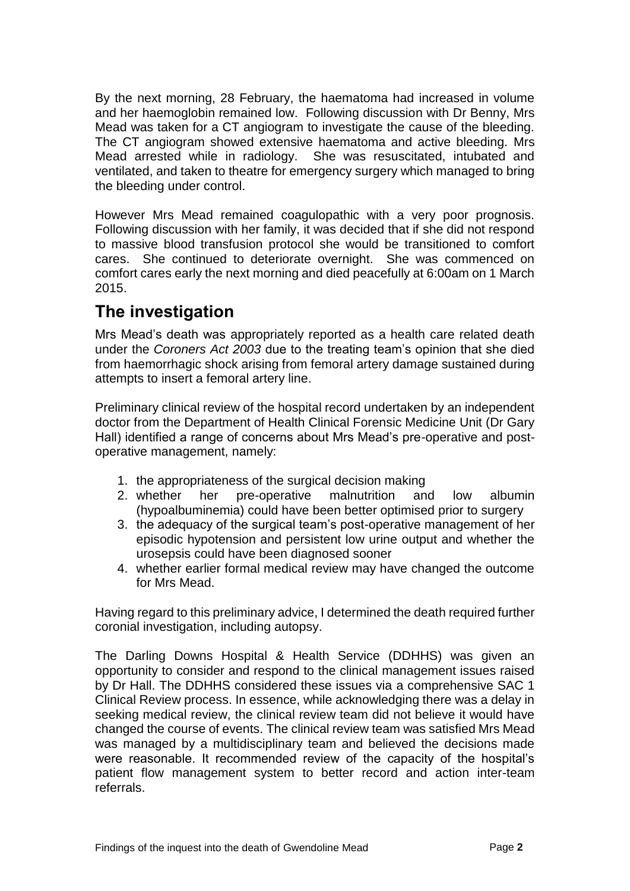By the next morning, 28 February, the haematoma had increased in volume and her haemoglobin remained low. Following discussion with Dr Benny, Mrs Mead was taken for a CT angiogram to investigate the cause of the bleeding. The CT angiogram showed extensive haematoma and active bleeding. Mrs Mead arrested while in radiology. She was resuscitated, intubated and ventilated, and taken to theatre for emergency surgery which managed to bring the bleeding under control.

However Mrs Mead remained coagulopathic with a very poor prognosis. Following discussion with her family, it was decided that if she did not respond to massive blood transfusion protocol she would be transitioned to comfort cares. She continued to deteriorate overnight. She was commenced on comfort cares early the next morning and died peacefully at 6:00am on 1 March 2015.

## <span id="page-3-0"></span>**The investigation**

Mrs Mead's death was appropriately reported as a health care related death under the *Coroners Act 2003* due to the treating team's opinion that she died from haemorrhagic shock arising from femoral artery damage sustained during attempts to insert a femoral artery line.

Preliminary clinical review of the hospital record undertaken by an independent doctor from the Department of Health Clinical Forensic Medicine Unit (Dr Gary Hall) identified a range of concerns about Mrs Mead's pre-operative and postoperative management, namely:

- 1. the appropriateness of the surgical decision making
- 2. whether her pre-operative malnutrition and low albumin (hypoalbuminemia) could have been better optimised prior to surgery
- 3. the adequacy of the surgical team's post-operative management of her episodic hypotension and persistent low urine output and whether the urosepsis could have been diagnosed sooner
- 4. whether earlier formal medical review may have changed the outcome for Mrs Mead.

Having regard to this preliminary advice, I determined the death required further coronial investigation, including autopsy.

The Darling Downs Hospital & Health Service (DDHHS) was given an opportunity to consider and respond to the clinical management issues raised by Dr Hall. The DDHHS considered these issues via a comprehensive SAC 1 Clinical Review process. In essence, while acknowledging there was a delay in seeking medical review, the clinical review team did not believe it would have changed the course of events. The clinical review team was satisfied Mrs Mead was managed by a multidisciplinary team and believed the decisions made were reasonable. It recommended review of the capacity of the hospital's patient flow management system to better record and action inter-team referrals.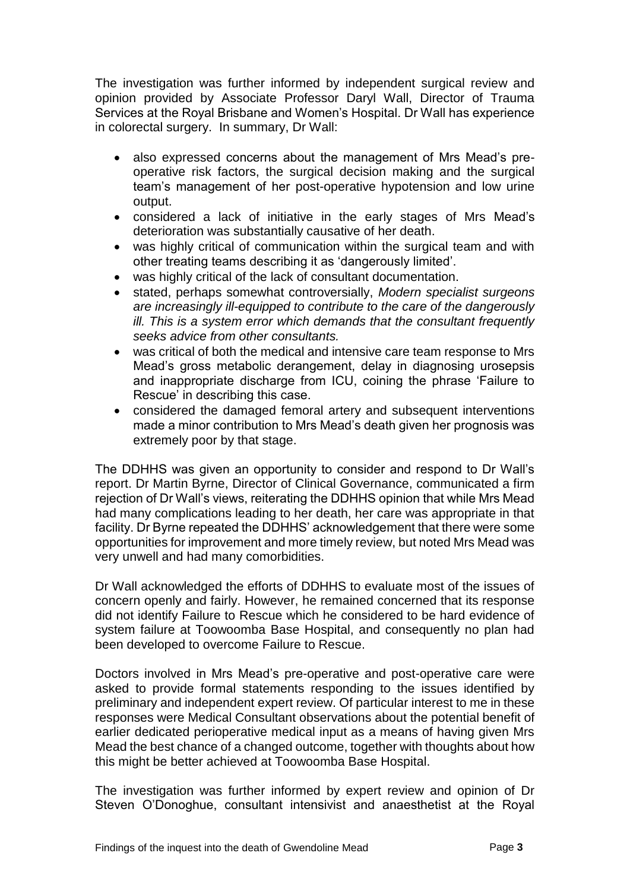The investigation was further informed by independent surgical review and opinion provided by Associate Professor Daryl Wall, Director of Trauma Services at the Royal Brisbane and Women's Hospital. Dr Wall has experience in colorectal surgery. In summary, Dr Wall:

- also expressed concerns about the management of Mrs Mead's preoperative risk factors, the surgical decision making and the surgical team's management of her post-operative hypotension and low urine output.
- considered a lack of initiative in the early stages of Mrs Mead's deterioration was substantially causative of her death.
- was highly critical of communication within the surgical team and with other treating teams describing it as 'dangerously limited'.
- was highly critical of the lack of consultant documentation.
- stated, perhaps somewhat controversially, *Modern specialist surgeons are increasingly ill-equipped to contribute to the care of the dangerously ill. This is a system error which demands that the consultant frequently seeks advice from other consultants.*
- was critical of both the medical and intensive care team response to Mrs Mead's gross metabolic derangement, delay in diagnosing urosepsis and inappropriate discharge from ICU, coining the phrase 'Failure to Rescue' in describing this case.
- considered the damaged femoral artery and subsequent interventions made a minor contribution to Mrs Mead's death given her prognosis was extremely poor by that stage.

The DDHHS was given an opportunity to consider and respond to Dr Wall's report. Dr Martin Byrne, Director of Clinical Governance, communicated a firm rejection of Dr Wall's views, reiterating the DDHHS opinion that while Mrs Mead had many complications leading to her death, her care was appropriate in that facility. Dr Byrne repeated the DDHHS' acknowledgement that there were some opportunities for improvement and more timely review, but noted Mrs Mead was very unwell and had many comorbidities.

Dr Wall acknowledged the efforts of DDHHS to evaluate most of the issues of concern openly and fairly. However, he remained concerned that its response did not identify Failure to Rescue which he considered to be hard evidence of system failure at Toowoomba Base Hospital, and consequently no plan had been developed to overcome Failure to Rescue.

Doctors involved in Mrs Mead's pre-operative and post-operative care were asked to provide formal statements responding to the issues identified by preliminary and independent expert review. Of particular interest to me in these responses were Medical Consultant observations about the potential benefit of earlier dedicated perioperative medical input as a means of having given Mrs Mead the best chance of a changed outcome, together with thoughts about how this might be better achieved at Toowoomba Base Hospital.

The investigation was further informed by expert review and opinion of Dr Steven O'Donoghue, consultant intensivist and anaesthetist at the Royal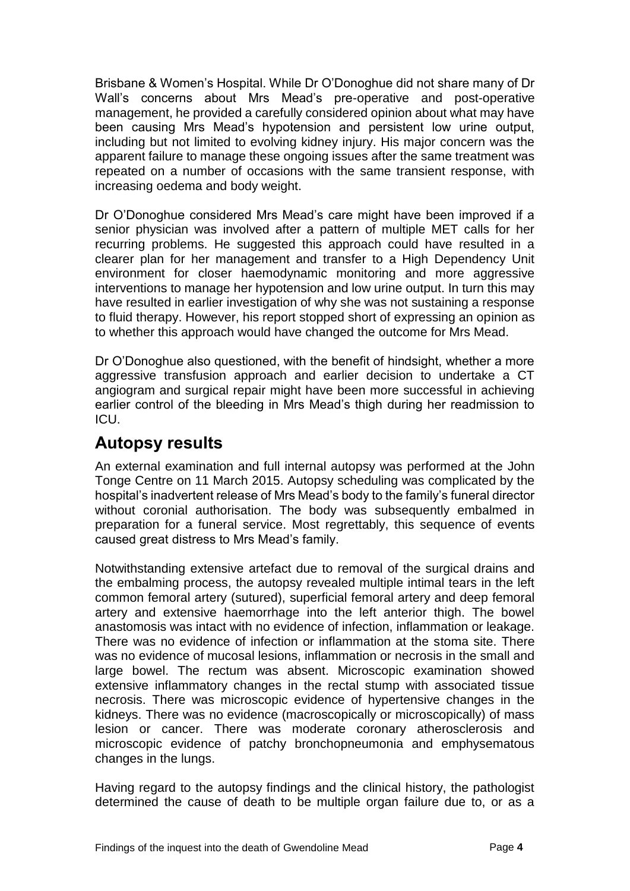Brisbane & Women's Hospital. While Dr O'Donoghue did not share many of Dr Wall's concerns about Mrs Mead's pre-operative and post-operative management, he provided a carefully considered opinion about what may have been causing Mrs Mead's hypotension and persistent low urine output, including but not limited to evolving kidney injury. His major concern was the apparent failure to manage these ongoing issues after the same treatment was repeated on a number of occasions with the same transient response, with increasing oedema and body weight.

Dr O'Donoghue considered Mrs Mead's care might have been improved if a senior physician was involved after a pattern of multiple MET calls for her recurring problems. He suggested this approach could have resulted in a clearer plan for her management and transfer to a High Dependency Unit environment for closer haemodynamic monitoring and more aggressive interventions to manage her hypotension and low urine output. In turn this may have resulted in earlier investigation of why she was not sustaining a response to fluid therapy. However, his report stopped short of expressing an opinion as to whether this approach would have changed the outcome for Mrs Mead.

Dr O'Donoghue also questioned, with the benefit of hindsight, whether a more aggressive transfusion approach and earlier decision to undertake a CT angiogram and surgical repair might have been more successful in achieving earlier control of the bleeding in Mrs Mead's thigh during her readmission to ICU.

### <span id="page-5-0"></span>**Autopsy results**

An external examination and full internal autopsy was performed at the John Tonge Centre on 11 March 2015. Autopsy scheduling was complicated by the hospital's inadvertent release of Mrs Mead's body to the family's funeral director without coronial authorisation. The body was subsequently embalmed in preparation for a funeral service. Most regrettably, this sequence of events caused great distress to Mrs Mead's family.

Notwithstanding extensive artefact due to removal of the surgical drains and the embalming process, the autopsy revealed multiple intimal tears in the left common femoral artery (sutured), superficial femoral artery and deep femoral artery and extensive haemorrhage into the left anterior thigh. The bowel anastomosis was intact with no evidence of infection, inflammation or leakage. There was no evidence of infection or inflammation at the stoma site. There was no evidence of mucosal lesions, inflammation or necrosis in the small and large bowel. The rectum was absent. Microscopic examination showed extensive inflammatory changes in the rectal stump with associated tissue necrosis. There was microscopic evidence of hypertensive changes in the kidneys. There was no evidence (macroscopically or microscopically) of mass lesion or cancer. There was moderate coronary atherosclerosis and microscopic evidence of patchy bronchopneumonia and emphysematous changes in the lungs.

Having regard to the autopsy findings and the clinical history, the pathologist determined the cause of death to be multiple organ failure due to, or as a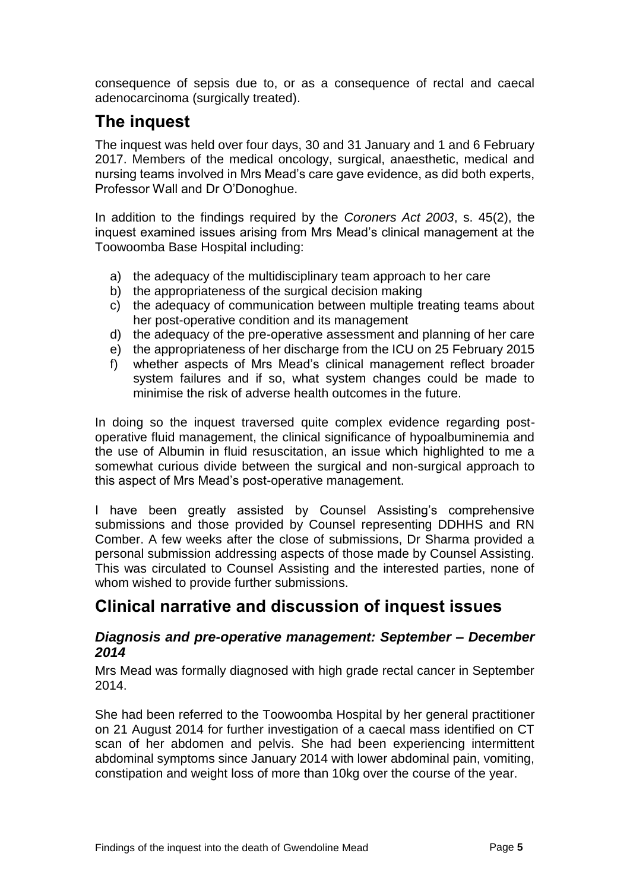consequence of sepsis due to, or as a consequence of rectal and caecal adenocarcinoma (surgically treated).

## <span id="page-6-0"></span>**The inquest**

The inquest was held over four days, 30 and 31 January and 1 and 6 February 2017. Members of the medical oncology, surgical, anaesthetic, medical and nursing teams involved in Mrs Mead's care gave evidence, as did both experts, Professor Wall and Dr O'Donoghue.

In addition to the findings required by the *Coroners Act 2003*, s. 45(2), the inquest examined issues arising from Mrs Mead's clinical management at the Toowoomba Base Hospital including:

- a) the adequacy of the multidisciplinary team approach to her care
- b) the appropriateness of the surgical decision making
- c) the adequacy of communication between multiple treating teams about her post-operative condition and its management
- d) the adequacy of the pre-operative assessment and planning of her care
- e) the appropriateness of her discharge from the ICU on 25 February 2015
- f) whether aspects of Mrs Mead's clinical management reflect broader system failures and if so, what system changes could be made to minimise the risk of adverse health outcomes in the future.

In doing so the inquest traversed quite complex evidence regarding postoperative fluid management, the clinical significance of hypoalbuminemia and the use of Albumin in fluid resuscitation, an issue which highlighted to me a somewhat curious divide between the surgical and non-surgical approach to this aspect of Mrs Mead's post-operative management.

I have been greatly assisted by Counsel Assisting's comprehensive submissions and those provided by Counsel representing DDHHS and RN Comber. A few weeks after the close of submissions, Dr Sharma provided a personal submission addressing aspects of those made by Counsel Assisting. This was circulated to Counsel Assisting and the interested parties, none of whom wished to provide further submissions.

## <span id="page-6-1"></span>**Clinical narrative and discussion of inquest issues**

#### <span id="page-6-2"></span>*Diagnosis and pre-operative management: September – December 2014*

Mrs Mead was formally diagnosed with high grade rectal cancer in September 2014.

She had been referred to the Toowoomba Hospital by her general practitioner on 21 August 2014 for further investigation of a caecal mass identified on CT scan of her abdomen and pelvis. She had been experiencing intermittent abdominal symptoms since January 2014 with lower abdominal pain, vomiting, constipation and weight loss of more than 10kg over the course of the year.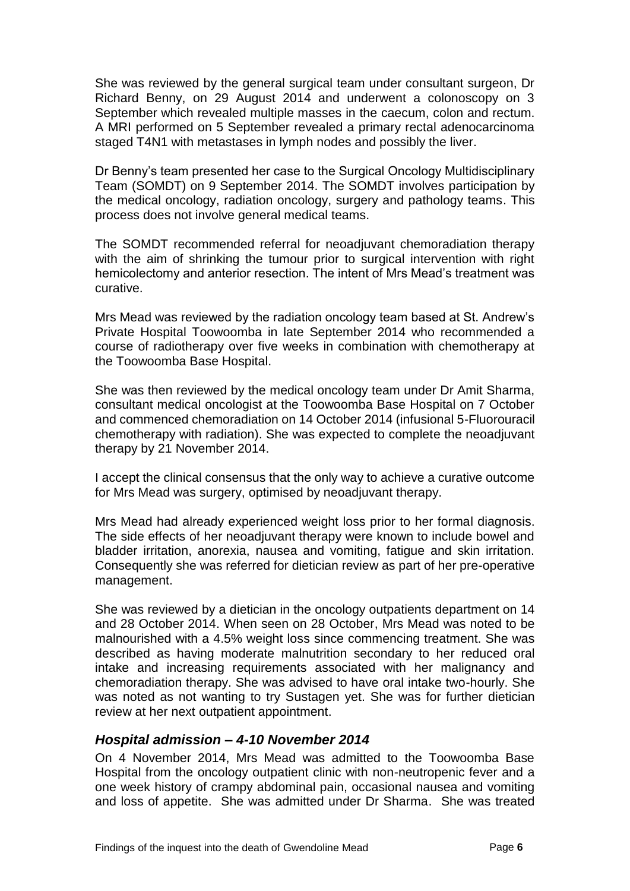She was reviewed by the general surgical team under consultant surgeon, Dr Richard Benny, on 29 August 2014 and underwent a colonoscopy on 3 September which revealed multiple masses in the caecum, colon and rectum. A MRI performed on 5 September revealed a primary rectal adenocarcinoma staged T4N1 with metastases in lymph nodes and possibly the liver.

Dr Benny's team presented her case to the Surgical Oncology Multidisciplinary Team (SOMDT) on 9 September 2014. The SOMDT involves participation by the medical oncology, radiation oncology, surgery and pathology teams. This process does not involve general medical teams.

The SOMDT recommended referral for neoadjuvant chemoradiation therapy with the aim of shrinking the tumour prior to surgical intervention with right hemicolectomy and anterior resection. The intent of Mrs Mead's treatment was curative.

Mrs Mead was reviewed by the radiation oncology team based at St. Andrew's Private Hospital Toowoomba in late September 2014 who recommended a course of radiotherapy over five weeks in combination with chemotherapy at the Toowoomba Base Hospital.

She was then reviewed by the medical oncology team under Dr Amit Sharma, consultant medical oncologist at the Toowoomba Base Hospital on 7 October and commenced chemoradiation on 14 October 2014 (infusional 5-Fluorouracil chemotherapy with radiation). She was expected to complete the neoadjuvant therapy by 21 November 2014.

I accept the clinical consensus that the only way to achieve a curative outcome for Mrs Mead was surgery, optimised by neoadjuvant therapy.

Mrs Mead had already experienced weight loss prior to her formal diagnosis. The side effects of her neoadjuvant therapy were known to include bowel and bladder irritation, anorexia, nausea and vomiting, fatigue and skin irritation. Consequently she was referred for dietician review as part of her pre-operative management.

She was reviewed by a dietician in the oncology outpatients department on 14 and 28 October 2014. When seen on 28 October, Mrs Mead was noted to be malnourished with a 4.5% weight loss since commencing treatment. She was described as having moderate malnutrition secondary to her reduced oral intake and increasing requirements associated with her malignancy and chemoradiation therapy. She was advised to have oral intake two-hourly. She was noted as not wanting to try Sustagen yet. She was for further dietician review at her next outpatient appointment.

#### <span id="page-7-0"></span>*Hospital admission – 4-10 November 2014*

On 4 November 2014, Mrs Mead was admitted to the Toowoomba Base Hospital from the oncology outpatient clinic with non-neutropenic fever and a one week history of crampy abdominal pain, occasional nausea and vomiting and loss of appetite. She was admitted under Dr Sharma. She was treated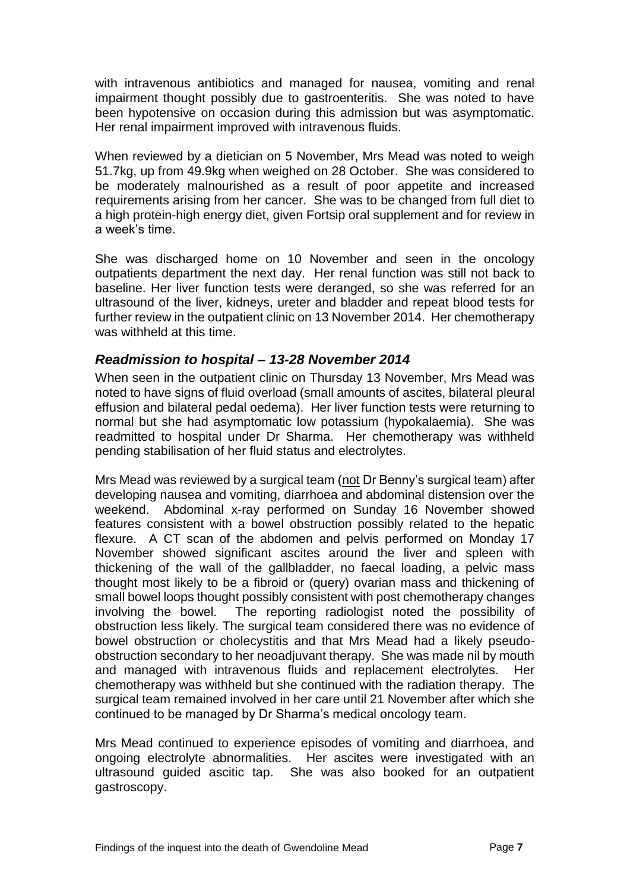with intravenous antibiotics and managed for nausea, vomiting and renal impairment thought possibly due to gastroenteritis. She was noted to have been hypotensive on occasion during this admission but was asymptomatic. Her renal impairment improved with intravenous fluids.

When reviewed by a dietician on 5 November, Mrs Mead was noted to weigh 51.7kg, up from 49.9kg when weighed on 28 October. She was considered to be moderately malnourished as a result of poor appetite and increased requirements arising from her cancer. She was to be changed from full diet to a high protein-high energy diet, given Fortsip oral supplement and for review in a week's time.

She was discharged home on 10 November and seen in the oncology outpatients department the next day. Her renal function was still not back to baseline. Her liver function tests were deranged, so she was referred for an ultrasound of the liver, kidneys, ureter and bladder and repeat blood tests for further review in the outpatient clinic on 13 November 2014. Her chemotherapy was withheld at this time.

#### <span id="page-8-0"></span>*Readmission to hospital – 13-28 November 2014*

When seen in the outpatient clinic on Thursday 13 November, Mrs Mead was noted to have signs of fluid overload (small amounts of ascites, bilateral pleural effusion and bilateral pedal oedema). Her liver function tests were returning to normal but she had asymptomatic low potassium (hypokalaemia). She was readmitted to hospital under Dr Sharma. Her chemotherapy was withheld pending stabilisation of her fluid status and electrolytes.

Mrs Mead was reviewed by a surgical team (not Dr Benny's surgical team) after developing nausea and vomiting, diarrhoea and abdominal distension over the weekend. Abdominal x-ray performed on Sunday 16 November showed features consistent with a bowel obstruction possibly related to the hepatic flexure. A CT scan of the abdomen and pelvis performed on Monday 17 November showed significant ascites around the liver and spleen with thickening of the wall of the gallbladder, no faecal loading, a pelvic mass thought most likely to be a fibroid or (query) ovarian mass and thickening of small bowel loops thought possibly consistent with post chemotherapy changes involving the bowel. The reporting radiologist noted the possibility of obstruction less likely. The surgical team considered there was no evidence of bowel obstruction or cholecystitis and that Mrs Mead had a likely pseudoobstruction secondary to her neoadjuvant therapy. She was made nil by mouth and managed with intravenous fluids and replacement electrolytes. Her chemotherapy was withheld but she continued with the radiation therapy. The surgical team remained involved in her care until 21 November after which she continued to be managed by Dr Sharma's medical oncology team.

Mrs Mead continued to experience episodes of vomiting and diarrhoea, and ongoing electrolyte abnormalities. Her ascites were investigated with an ultrasound guided ascitic tap. She was also booked for an outpatient gastroscopy.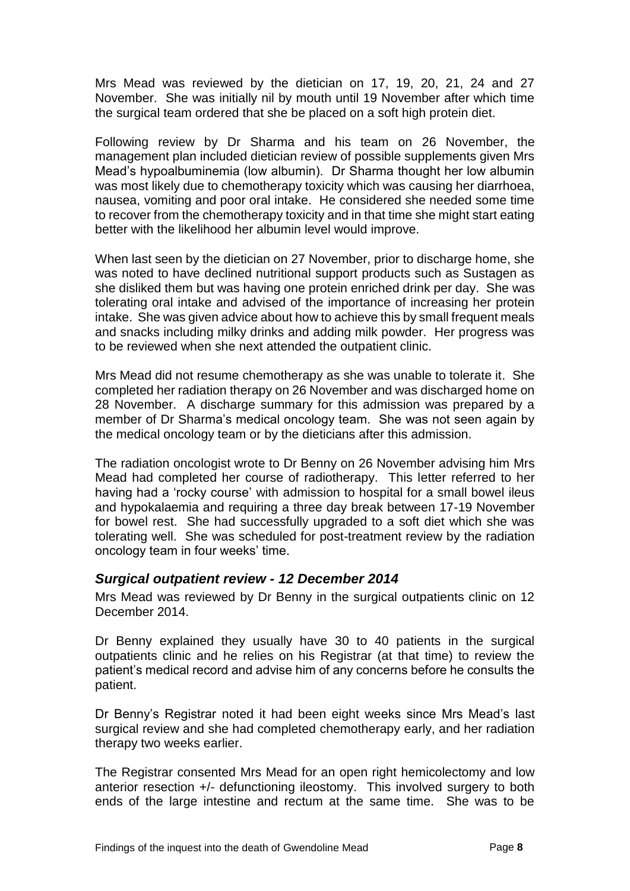Mrs Mead was reviewed by the dietician on 17, 19, 20, 21, 24 and 27 November. She was initially nil by mouth until 19 November after which time the surgical team ordered that she be placed on a soft high protein diet.

Following review by Dr Sharma and his team on 26 November, the management plan included dietician review of possible supplements given Mrs Mead's hypoalbuminemia (low albumin). Dr Sharma thought her low albumin was most likely due to chemotherapy toxicity which was causing her diarrhoea, nausea, vomiting and poor oral intake. He considered she needed some time to recover from the chemotherapy toxicity and in that time she might start eating better with the likelihood her albumin level would improve.

When last seen by the dietician on 27 November, prior to discharge home, she was noted to have declined nutritional support products such as Sustagen as she disliked them but was having one protein enriched drink per day. She was tolerating oral intake and advised of the importance of increasing her protein intake. She was given advice about how to achieve this by small frequent meals and snacks including milky drinks and adding milk powder. Her progress was to be reviewed when she next attended the outpatient clinic.

Mrs Mead did not resume chemotherapy as she was unable to tolerate it. She completed her radiation therapy on 26 November and was discharged home on 28 November. A discharge summary for this admission was prepared by a member of Dr Sharma's medical oncology team. She was not seen again by the medical oncology team or by the dieticians after this admission.

The radiation oncologist wrote to Dr Benny on 26 November advising him Mrs Mead had completed her course of radiotherapy. This letter referred to her having had a 'rocky course' with admission to hospital for a small bowel ileus and hypokalaemia and requiring a three day break between 17-19 November for bowel rest. She had successfully upgraded to a soft diet which she was tolerating well. She was scheduled for post-treatment review by the radiation oncology team in four weeks' time.

#### <span id="page-9-0"></span>*Surgical outpatient review - 12 December 2014*

Mrs Mead was reviewed by Dr Benny in the surgical outpatients clinic on 12 December 2014.

Dr Benny explained they usually have 30 to 40 patients in the surgical outpatients clinic and he relies on his Registrar (at that time) to review the patient's medical record and advise him of any concerns before he consults the patient.

Dr Benny's Registrar noted it had been eight weeks since Mrs Mead's last surgical review and she had completed chemotherapy early, and her radiation therapy two weeks earlier.

The Registrar consented Mrs Mead for an open right hemicolectomy and low anterior resection +/- defunctioning ileostomy. This involved surgery to both ends of the large intestine and rectum at the same time. She was to be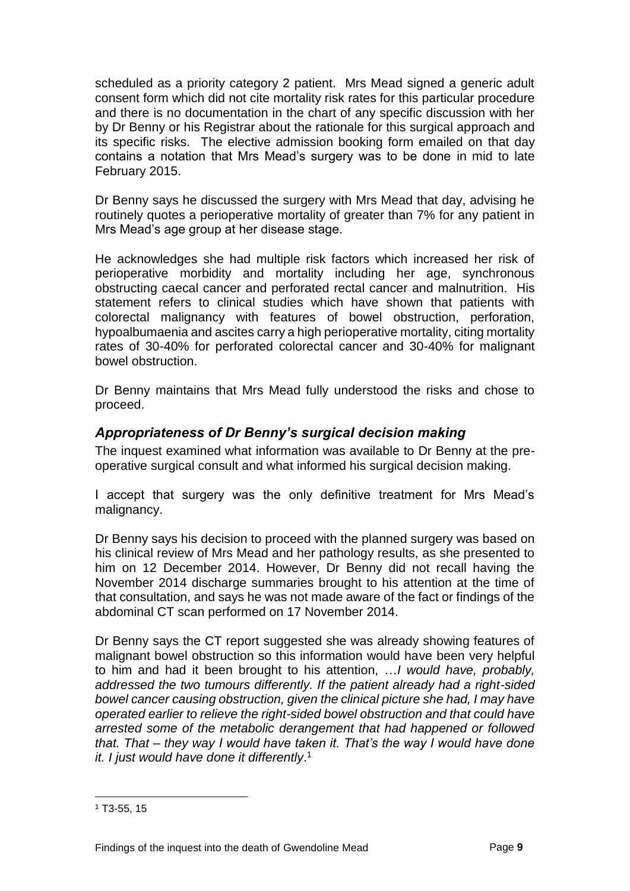scheduled as a priority category 2 patient. Mrs Mead signed a generic adult consent form which did not cite mortality risk rates for this particular procedure and there is no documentation in the chart of any specific discussion with her by Dr Benny or his Registrar about the rationale for this surgical approach and its specific risks. The elective admission booking form emailed on that day contains a notation that Mrs Mead's surgery was to be done in mid to late February 2015.

Dr Benny says he discussed the surgery with Mrs Mead that day, advising he routinely quotes a perioperative mortality of greater than 7% for any patient in Mrs Mead's age group at her disease stage.

He acknowledges she had multiple risk factors which increased her risk of perioperative morbidity and mortality including her age, synchronous obstructing caecal cancer and perforated rectal cancer and malnutrition. His statement refers to clinical studies which have shown that patients with colorectal malignancy with features of bowel obstruction, perforation, hypoalbumaenia and ascites carry a high perioperative mortality, citing mortality rates of 30-40% for perforated colorectal cancer and 30-40% for malignant bowel obstruction.

Dr Benny maintains that Mrs Mead fully understood the risks and chose to proceed.

#### <span id="page-10-0"></span>*Appropriateness of Dr Benny's surgical decision making*

The inquest examined what information was available to Dr Benny at the preoperative surgical consult and what informed his surgical decision making.

I accept that surgery was the only definitive treatment for Mrs Mead's malignancy.

Dr Benny says his decision to proceed with the planned surgery was based on his clinical review of Mrs Mead and her pathology results, as she presented to him on 12 December 2014. However, Dr Benny did not recall having the November 2014 discharge summaries brought to his attention at the time of that consultation, and says he was not made aware of the fact or findings of the abdominal CT scan performed on 17 November 2014.

Dr Benny says the CT report suggested she was already showing features of malignant bowel obstruction so this information would have been very helpful to him and had it been brought to his attention, …*I would have, probably, addressed the two tumours differently. If the patient already had a right-sided bowel cancer causing obstruction, given the clinical picture she had, I may have operated earlier to relieve the right-sided bowel obstruction and that could have arrested some of the metabolic derangement that had happened or followed that. That – they way I would have taken it. That's the way I would have done it. I just would have done it differently*. 1

 $1$  T<sub>3</sub>-55, 15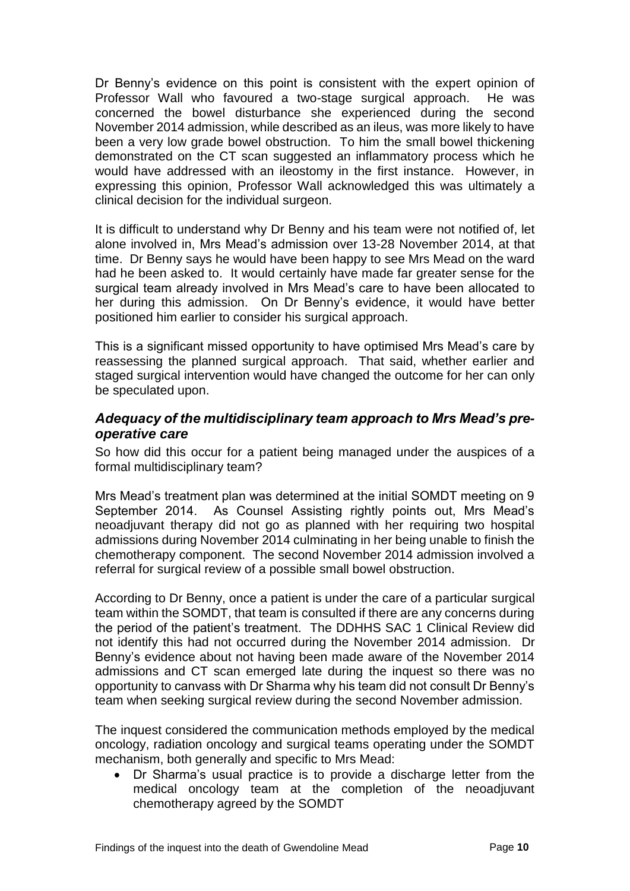Dr Benny's evidence on this point is consistent with the expert opinion of Professor Wall who favoured a two-stage surgical approach. He was concerned the bowel disturbance she experienced during the second November 2014 admission, while described as an ileus, was more likely to have been a very low grade bowel obstruction. To him the small bowel thickening demonstrated on the CT scan suggested an inflammatory process which he would have addressed with an ileostomy in the first instance. However, in expressing this opinion, Professor Wall acknowledged this was ultimately a clinical decision for the individual surgeon.

It is difficult to understand why Dr Benny and his team were not notified of, let alone involved in, Mrs Mead's admission over 13-28 November 2014, at that time. Dr Benny says he would have been happy to see Mrs Mead on the ward had he been asked to. It would certainly have made far greater sense for the surgical team already involved in Mrs Mead's care to have been allocated to her during this admission. On Dr Benny's evidence, it would have better positioned him earlier to consider his surgical approach.

This is a significant missed opportunity to have optimised Mrs Mead's care by reassessing the planned surgical approach. That said, whether earlier and staged surgical intervention would have changed the outcome for her can only be speculated upon.

#### <span id="page-11-0"></span>*Adequacy of the multidisciplinary team approach to Mrs Mead's preoperative care*

So how did this occur for a patient being managed under the auspices of a formal multidisciplinary team?

Mrs Mead's treatment plan was determined at the initial SOMDT meeting on 9 September 2014. As Counsel Assisting rightly points out, Mrs Mead's neoadjuvant therapy did not go as planned with her requiring two hospital admissions during November 2014 culminating in her being unable to finish the chemotherapy component. The second November 2014 admission involved a referral for surgical review of a possible small bowel obstruction.

According to Dr Benny, once a patient is under the care of a particular surgical team within the SOMDT, that team is consulted if there are any concerns during the period of the patient's treatment. The DDHHS SAC 1 Clinical Review did not identify this had not occurred during the November 2014 admission. Dr Benny's evidence about not having been made aware of the November 2014 admissions and CT scan emerged late during the inquest so there was no opportunity to canvass with Dr Sharma why his team did not consult Dr Benny's team when seeking surgical review during the second November admission.

The inquest considered the communication methods employed by the medical oncology, radiation oncology and surgical teams operating under the SOMDT mechanism, both generally and specific to Mrs Mead:

 Dr Sharma's usual practice is to provide a discharge letter from the medical oncology team at the completion of the neoadjuvant chemotherapy agreed by the SOMDT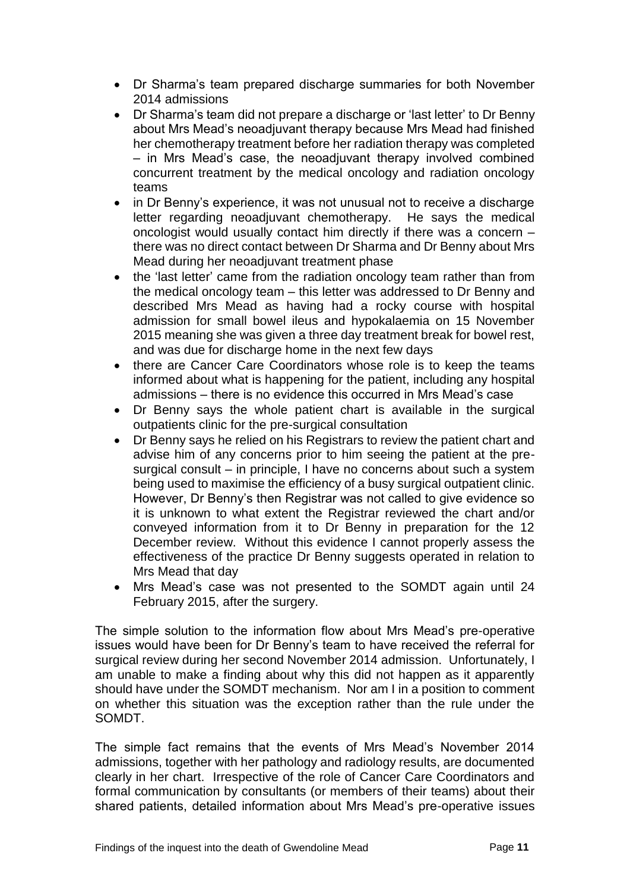- Dr Sharma's team prepared discharge summaries for both November 2014 admissions
- Dr Sharma's team did not prepare a discharge or 'last letter' to Dr Benny about Mrs Mead's neoadjuvant therapy because Mrs Mead had finished her chemotherapy treatment before her radiation therapy was completed – in Mrs Mead's case, the neoadjuvant therapy involved combined concurrent treatment by the medical oncology and radiation oncology teams
- in Dr Benny's experience, it was not unusual not to receive a discharge letter regarding neoadjuvant chemotherapy. He says the medical oncologist would usually contact him directly if there was a concern – there was no direct contact between Dr Sharma and Dr Benny about Mrs Mead during her neoadjuvant treatment phase
- the 'last letter' came from the radiation oncology team rather than from the medical oncology team – this letter was addressed to Dr Benny and described Mrs Mead as having had a rocky course with hospital admission for small bowel ileus and hypokalaemia on 15 November 2015 meaning she was given a three day treatment break for bowel rest, and was due for discharge home in the next few days
- there are Cancer Care Coordinators whose role is to keep the teams informed about what is happening for the patient, including any hospital admissions – there is no evidence this occurred in Mrs Mead's case
- Dr Benny says the whole patient chart is available in the surgical outpatients clinic for the pre-surgical consultation
- Dr Benny says he relied on his Registrars to review the patient chart and advise him of any concerns prior to him seeing the patient at the presurgical consult – in principle, I have no concerns about such a system being used to maximise the efficiency of a busy surgical outpatient clinic. However, Dr Benny's then Registrar was not called to give evidence so it is unknown to what extent the Registrar reviewed the chart and/or conveyed information from it to Dr Benny in preparation for the 12 December review. Without this evidence I cannot properly assess the effectiveness of the practice Dr Benny suggests operated in relation to Mrs Mead that day
- Mrs Mead's case was not presented to the SOMDT again until 24 February 2015, after the surgery.

The simple solution to the information flow about Mrs Mead's pre-operative issues would have been for Dr Benny's team to have received the referral for surgical review during her second November 2014 admission. Unfortunately, I am unable to make a finding about why this did not happen as it apparently should have under the SOMDT mechanism. Nor am I in a position to comment on whether this situation was the exception rather than the rule under the SOMDT.

The simple fact remains that the events of Mrs Mead's November 2014 admissions, together with her pathology and radiology results, are documented clearly in her chart. Irrespective of the role of Cancer Care Coordinators and formal communication by consultants (or members of their teams) about their shared patients, detailed information about Mrs Mead's pre-operative issues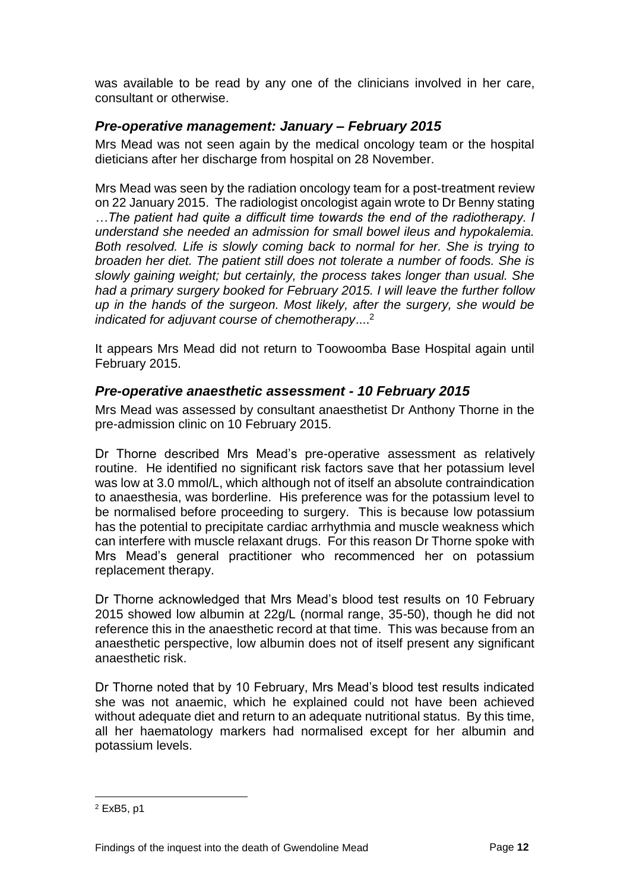was available to be read by any one of the clinicians involved in her care, consultant or otherwise.

#### <span id="page-13-0"></span>*Pre-operative management: January – February 2015*

Mrs Mead was not seen again by the medical oncology team or the hospital dieticians after her discharge from hospital on 28 November.

Mrs Mead was seen by the radiation oncology team for a post-treatment review on 22 January 2015. The radiologist oncologist again wrote to Dr Benny stating *…The patient had quite a difficult time towards the end of the radiotherapy. I understand she needed an admission for small bowel ileus and hypokalemia. Both resolved. Life is slowly coming back to normal for her. She is trying to broaden her diet. The patient still does not tolerate a number of foods. She is slowly gaining weight; but certainly, the process takes longer than usual. She had a primary surgery booked for February 2015. I will leave the further follow up in the hands of the surgeon. Most likely, after the surgery, she would be indicated for adjuvant course of chemotherapy*.... 2

It appears Mrs Mead did not return to Toowoomba Base Hospital again until February 2015.

#### <span id="page-13-1"></span>*Pre-operative anaesthetic assessment - 10 February 2015*

Mrs Mead was assessed by consultant anaesthetist Dr Anthony Thorne in the pre-admission clinic on 10 February 2015.

Dr Thorne described Mrs Mead's pre-operative assessment as relatively routine. He identified no significant risk factors save that her potassium level was low at 3.0 mmol/L, which although not of itself an absolute contraindication to anaesthesia, was borderline. His preference was for the potassium level to be normalised before proceeding to surgery. This is because low potassium has the potential to precipitate cardiac arrhythmia and muscle weakness which can interfere with muscle relaxant drugs. For this reason Dr Thorne spoke with Mrs Mead's general practitioner who recommenced her on potassium replacement therapy.

Dr Thorne acknowledged that Mrs Mead's blood test results on 10 February 2015 showed low albumin at 22g/L (normal range, 35-50), though he did not reference this in the anaesthetic record at that time. This was because from an anaesthetic perspective, low albumin does not of itself present any significant anaesthetic risk.

Dr Thorne noted that by 10 February, Mrs Mead's blood test results indicated she was not anaemic, which he explained could not have been achieved without adequate diet and return to an adequate nutritional status. By this time, all her haematology markers had normalised except for her albumin and potassium levels.

<sup>2</sup> ExB5, p1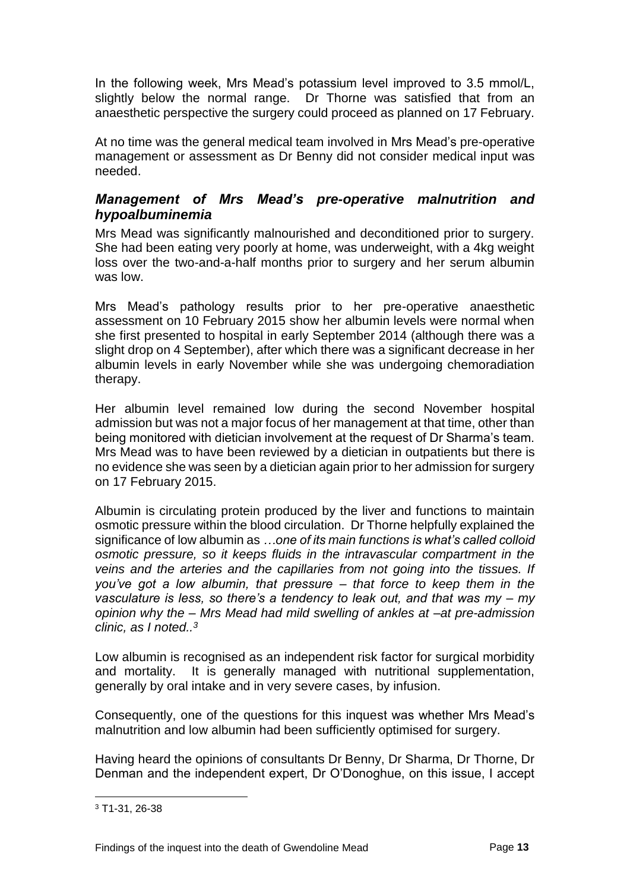In the following week, Mrs Mead's potassium level improved to 3.5 mmol/L, slightly below the normal range. Dr Thorne was satisfied that from an anaesthetic perspective the surgery could proceed as planned on 17 February.

At no time was the general medical team involved in Mrs Mead's pre-operative management or assessment as Dr Benny did not consider medical input was needed.

#### <span id="page-14-0"></span>*Management of Mrs Mead's pre-operative malnutrition and hypoalbuminemia*

Mrs Mead was significantly malnourished and deconditioned prior to surgery. She had been eating very poorly at home, was underweight, with a 4kg weight loss over the two-and-a-half months prior to surgery and her serum albumin was low.

Mrs Mead's pathology results prior to her pre-operative anaesthetic assessment on 10 February 2015 show her albumin levels were normal when she first presented to hospital in early September 2014 (although there was a slight drop on 4 September), after which there was a significant decrease in her albumin levels in early November while she was undergoing chemoradiation therapy.

Her albumin level remained low during the second November hospital admission but was not a major focus of her management at that time, other than being monitored with dietician involvement at the request of Dr Sharma's team. Mrs Mead was to have been reviewed by a dietician in outpatients but there is no evidence she was seen by a dietician again prior to her admission for surgery on 17 February 2015.

Albumin is circulating protein produced by the liver and functions to maintain osmotic pressure within the blood circulation. Dr Thorne helpfully explained the significance of low albumin as *…one of its main functions is what's called colloid osmotic pressure, so it keeps fluids in the intravascular compartment in the veins and the arteries and the capillaries from not going into the tissues. If you've got a low albumin, that pressure – that force to keep them in the vasculature is less, so there's a tendency to leak out, and that was my – my opinion why the – Mrs Mead had mild swelling of ankles at –at pre-admission clinic, as I noted..<sup>3</sup>*

Low albumin is recognised as an independent risk factor for surgical morbidity and mortality. It is generally managed with nutritional supplementation, generally by oral intake and in very severe cases, by infusion.

Consequently, one of the questions for this inquest was whether Mrs Mead's malnutrition and low albumin had been sufficiently optimised for surgery.

Having heard the opinions of consultants Dr Benny, Dr Sharma, Dr Thorne, Dr Denman and the independent expert, Dr O'Donoghue, on this issue, I accept

<sup>3</sup> T1-31, 26-38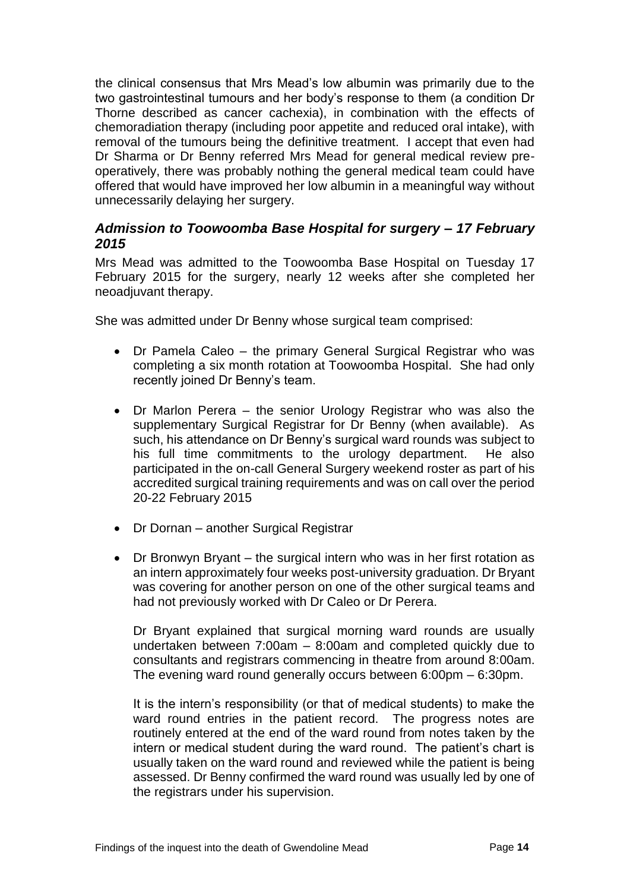the clinical consensus that Mrs Mead's low albumin was primarily due to the two gastrointestinal tumours and her body's response to them (a condition Dr Thorne described as cancer cachexia), in combination with the effects of chemoradiation therapy (including poor appetite and reduced oral intake), with removal of the tumours being the definitive treatment. I accept that even had Dr Sharma or Dr Benny referred Mrs Mead for general medical review preoperatively, there was probably nothing the general medical team could have offered that would have improved her low albumin in a meaningful way without unnecessarily delaying her surgery.

#### <span id="page-15-0"></span>*Admission to Toowoomba Base Hospital for surgery – 17 February 2015*

Mrs Mead was admitted to the Toowoomba Base Hospital on Tuesday 17 February 2015 for the surgery, nearly 12 weeks after she completed her neoadjuvant therapy.

She was admitted under Dr Benny whose surgical team comprised:

- Dr Pamela Caleo the primary General Surgical Registrar who was completing a six month rotation at Toowoomba Hospital. She had only recently joined Dr Benny's team.
- Dr Marlon Perera the senior Urology Registrar who was also the supplementary Surgical Registrar for Dr Benny (when available). As such, his attendance on Dr Benny's surgical ward rounds was subject to his full time commitments to the urology department. He also participated in the on-call General Surgery weekend roster as part of his accredited surgical training requirements and was on call over the period 20-22 February 2015
- Dr Dornan another Surgical Registrar
- Dr Bronwyn Bryant the surgical intern who was in her first rotation as an intern approximately four weeks post-university graduation. Dr Bryant was covering for another person on one of the other surgical teams and had not previously worked with Dr Caleo or Dr Perera.

Dr Bryant explained that surgical morning ward rounds are usually undertaken between 7:00am – 8:00am and completed quickly due to consultants and registrars commencing in theatre from around 8:00am. The evening ward round generally occurs between 6:00pm – 6:30pm.

It is the intern's responsibility (or that of medical students) to make the ward round entries in the patient record. The progress notes are routinely entered at the end of the ward round from notes taken by the intern or medical student during the ward round. The patient's chart is usually taken on the ward round and reviewed while the patient is being assessed. Dr Benny confirmed the ward round was usually led by one of the registrars under his supervision.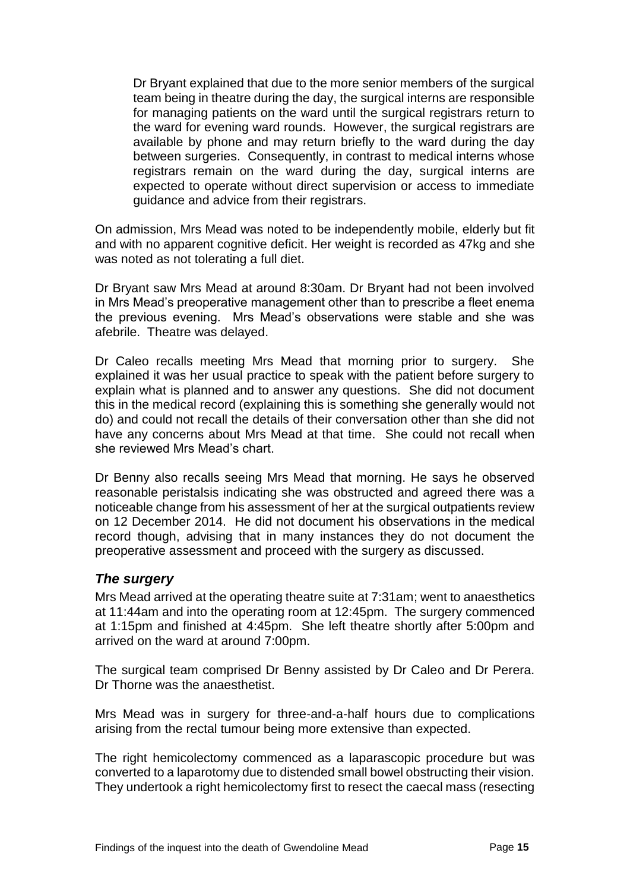Dr Bryant explained that due to the more senior members of the surgical team being in theatre during the day, the surgical interns are responsible for managing patients on the ward until the surgical registrars return to the ward for evening ward rounds. However, the surgical registrars are available by phone and may return briefly to the ward during the day between surgeries. Consequently, in contrast to medical interns whose registrars remain on the ward during the day, surgical interns are expected to operate without direct supervision or access to immediate guidance and advice from their registrars.

On admission, Mrs Mead was noted to be independently mobile, elderly but fit and with no apparent cognitive deficit. Her weight is recorded as 47kg and she was noted as not tolerating a full diet.

Dr Bryant saw Mrs Mead at around 8:30am. Dr Bryant had not been involved in Mrs Mead's preoperative management other than to prescribe a fleet enema the previous evening. Mrs Mead's observations were stable and she was afebrile. Theatre was delayed.

Dr Caleo recalls meeting Mrs Mead that morning prior to surgery. She explained it was her usual practice to speak with the patient before surgery to explain what is planned and to answer any questions. She did not document this in the medical record (explaining this is something she generally would not do) and could not recall the details of their conversation other than she did not have any concerns about Mrs Mead at that time. She could not recall when she reviewed Mrs Mead's chart.

Dr Benny also recalls seeing Mrs Mead that morning. He says he observed reasonable peristalsis indicating she was obstructed and agreed there was a noticeable change from his assessment of her at the surgical outpatients review on 12 December 2014. He did not document his observations in the medical record though, advising that in many instances they do not document the preoperative assessment and proceed with the surgery as discussed.

#### <span id="page-16-0"></span>*The surgery*

Mrs Mead arrived at the operating theatre suite at 7:31am; went to anaesthetics at 11:44am and into the operating room at 12:45pm. The surgery commenced at 1:15pm and finished at 4:45pm. She left theatre shortly after 5:00pm and arrived on the ward at around 7:00pm.

The surgical team comprised Dr Benny assisted by Dr Caleo and Dr Perera. Dr Thorne was the anaesthetist.

Mrs Mead was in surgery for three-and-a-half hours due to complications arising from the rectal tumour being more extensive than expected.

The right hemicolectomy commenced as a laparascopic procedure but was converted to a laparotomy due to distended small bowel obstructing their vision. They undertook a right hemicolectomy first to resect the caecal mass (resecting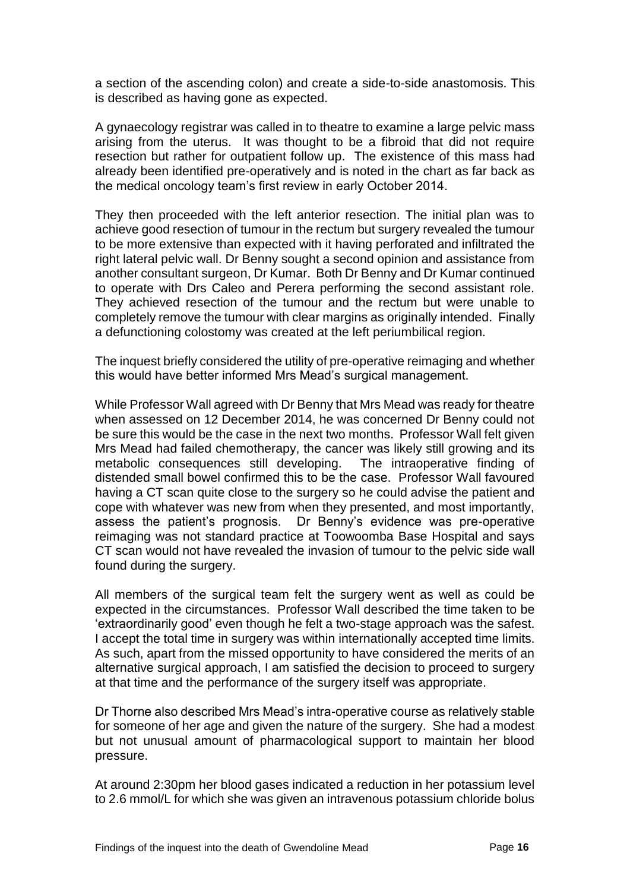a section of the ascending colon) and create a side-to-side anastomosis. This is described as having gone as expected.

A gynaecology registrar was called in to theatre to examine a large pelvic mass arising from the uterus. It was thought to be a fibroid that did not require resection but rather for outpatient follow up. The existence of this mass had already been identified pre-operatively and is noted in the chart as far back as the medical oncology team's first review in early October 2014.

They then proceeded with the left anterior resection. The initial plan was to achieve good resection of tumour in the rectum but surgery revealed the tumour to be more extensive than expected with it having perforated and infiltrated the right lateral pelvic wall. Dr Benny sought a second opinion and assistance from another consultant surgeon, Dr Kumar. Both Dr Benny and Dr Kumar continued to operate with Drs Caleo and Perera performing the second assistant role. They achieved resection of the tumour and the rectum but were unable to completely remove the tumour with clear margins as originally intended. Finally a defunctioning colostomy was created at the left periumbilical region.

The inquest briefly considered the utility of pre-operative reimaging and whether this would have better informed Mrs Mead's surgical management.

While Professor Wall agreed with Dr Benny that Mrs Mead was ready for theatre when assessed on 12 December 2014, he was concerned Dr Benny could not be sure this would be the case in the next two months. Professor Wall felt given Mrs Mead had failed chemotherapy, the cancer was likely still growing and its metabolic consequences still developing. The intraoperative finding of distended small bowel confirmed this to be the case. Professor Wall favoured having a CT scan quite close to the surgery so he could advise the patient and cope with whatever was new from when they presented, and most importantly, assess the patient's prognosis. Dr Benny's evidence was pre-operative reimaging was not standard practice at Toowoomba Base Hospital and says CT scan would not have revealed the invasion of tumour to the pelvic side wall found during the surgery.

All members of the surgical team felt the surgery went as well as could be expected in the circumstances. Professor Wall described the time taken to be 'extraordinarily good' even though he felt a two-stage approach was the safest. I accept the total time in surgery was within internationally accepted time limits. As such, apart from the missed opportunity to have considered the merits of an alternative surgical approach, I am satisfied the decision to proceed to surgery at that time and the performance of the surgery itself was appropriate.

Dr Thorne also described Mrs Mead's intra-operative course as relatively stable for someone of her age and given the nature of the surgery. She had a modest but not unusual amount of pharmacological support to maintain her blood pressure.

At around 2:30pm her blood gases indicated a reduction in her potassium level to 2.6 mmol/L for which she was given an intravenous potassium chloride bolus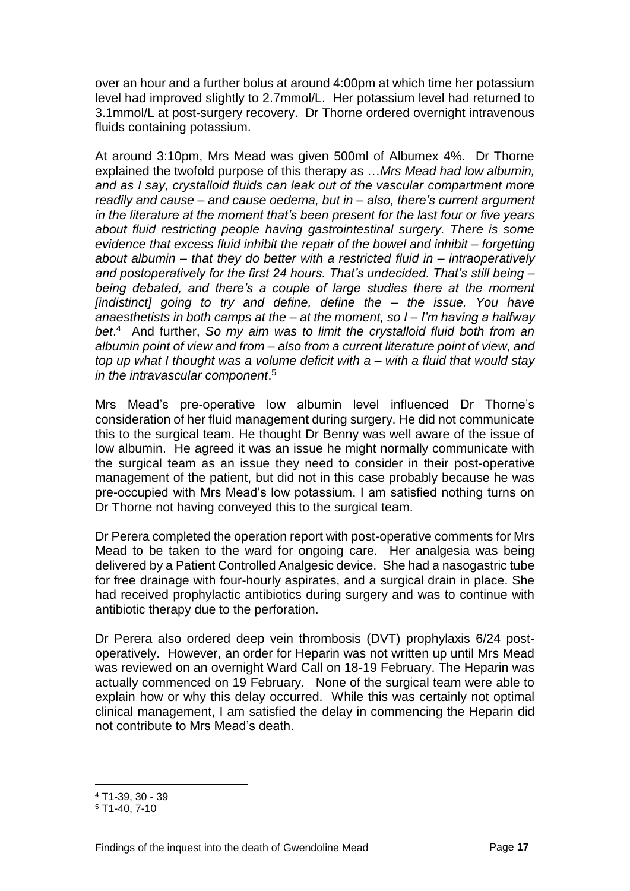over an hour and a further bolus at around 4:00pm at which time her potassium level had improved slightly to 2.7mmol/L. Her potassium level had returned to 3.1mmol/L at post-surgery recovery. Dr Thorne ordered overnight intravenous fluids containing potassium.

At around 3:10pm, Mrs Mead was given 500ml of Albumex 4%. Dr Thorne explained the twofold purpose of this therapy as …*Mrs Mead had low albumin, and as I say, crystalloid fluids can leak out of the vascular compartment more readily and cause – and cause oedema, but in – also, there's current argument in the literature at the moment that's been present for the last four or five years about fluid restricting people having gastrointestinal surgery. There is some evidence that excess fluid inhibit the repair of the bowel and inhibit – forgetting about albumin – that they do better with a restricted fluid in – intraoperatively and postoperatively for the first 24 hours. That's undecided. That's still being – being debated, and there's a couple of large studies there at the moment [indistinct] going to try and define, define the – the issue. You have anaesthetists in both camps at the – at the moment, so I – I'm having a halfway bet*. 4 And further, *So my aim was to limit the crystalloid fluid both from an albumin point of view and from – also from a current literature point of view, and top up what I thought was a volume deficit with a – with a fluid that would stay in the intravascular component*. 5

Mrs Mead's pre-operative low albumin level influenced Dr Thorne's consideration of her fluid management during surgery. He did not communicate this to the surgical team. He thought Dr Benny was well aware of the issue of low albumin. He agreed it was an issue he might normally communicate with the surgical team as an issue they need to consider in their post-operative management of the patient, but did not in this case probably because he was pre-occupied with Mrs Mead's low potassium. I am satisfied nothing turns on Dr Thorne not having conveyed this to the surgical team.

Dr Perera completed the operation report with post-operative comments for Mrs Mead to be taken to the ward for ongoing care. Her analgesia was being delivered by a Patient Controlled Analgesic device. She had a nasogastric tube for free drainage with four-hourly aspirates, and a surgical drain in place. She had received prophylactic antibiotics during surgery and was to continue with antibiotic therapy due to the perforation.

Dr Perera also ordered deep vein thrombosis (DVT) prophylaxis 6/24 postoperatively. However, an order for Heparin was not written up until Mrs Mead was reviewed on an overnight Ward Call on 18-19 February. The Heparin was actually commenced on 19 February. None of the surgical team were able to explain how or why this delay occurred. While this was certainly not optimal clinical management, I am satisfied the delay in commencing the Heparin did not contribute to Mrs Mead's death.

<sup>4</sup> T1-39, 30 - 39

<sup>5</sup> T1-40, 7-10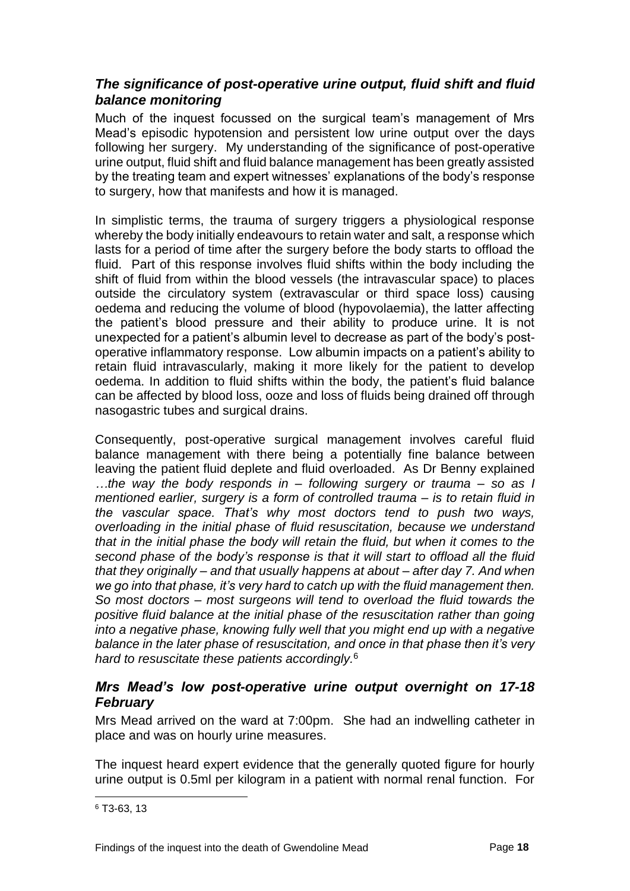#### <span id="page-19-0"></span>*The significance of post-operative urine output, fluid shift and fluid balance monitoring*

Much of the inquest focussed on the surgical team's management of Mrs Mead's episodic hypotension and persistent low urine output over the days following her surgery. My understanding of the significance of post-operative urine output, fluid shift and fluid balance management has been greatly assisted by the treating team and expert witnesses' explanations of the body's response to surgery, how that manifests and how it is managed.

In simplistic terms, the trauma of surgery triggers a physiological response whereby the body initially endeavours to retain water and salt, a response which lasts for a period of time after the surgery before the body starts to offload the fluid. Part of this response involves fluid shifts within the body including the shift of fluid from within the blood vessels (the intravascular space) to places outside the circulatory system (extravascular or third space loss) causing oedema and reducing the volume of blood (hypovolaemia), the latter affecting the patient's blood pressure and their ability to produce urine. It is not unexpected for a patient's albumin level to decrease as part of the body's postoperative inflammatory response. Low albumin impacts on a patient's ability to retain fluid intravascularly, making it more likely for the patient to develop oedema. In addition to fluid shifts within the body, the patient's fluid balance can be affected by blood loss, ooze and loss of fluids being drained off through nasogastric tubes and surgical drains.

Consequently, post-operative surgical management involves careful fluid balance management with there being a potentially fine balance between leaving the patient fluid deplete and fluid overloaded. As Dr Benny explained *…the way the body responds in – following surgery or trauma – so as I mentioned earlier, surgery is a form of controlled trauma – is to retain fluid in the vascular space. That's why most doctors tend to push two ways, overloading in the initial phase of fluid resuscitation, because we understand that in the initial phase the body will retain the fluid, but when it comes to the second phase of the body's response is that it will start to offload all the fluid that they originally – and that usually happens at about – after day 7. And when we go into that phase, it's very hard to catch up with the fluid management then. So most doctors – most surgeons will tend to overload the fluid towards the positive fluid balance at the initial phase of the resuscitation rather than going into a negative phase, knowing fully well that you might end up with a negative balance in the later phase of resuscitation, and once in that phase then it's very hard to resuscitate these patients accordingly.* 6

#### <span id="page-19-1"></span>*Mrs Mead's low post-operative urine output overnight on 17-18 February*

Mrs Mead arrived on the ward at 7:00pm. She had an indwelling catheter in place and was on hourly urine measures.

The inquest heard expert evidence that the generally quoted figure for hourly urine output is 0.5ml per kilogram in a patient with normal renal function. For

<sup>6</sup> T3-63, 13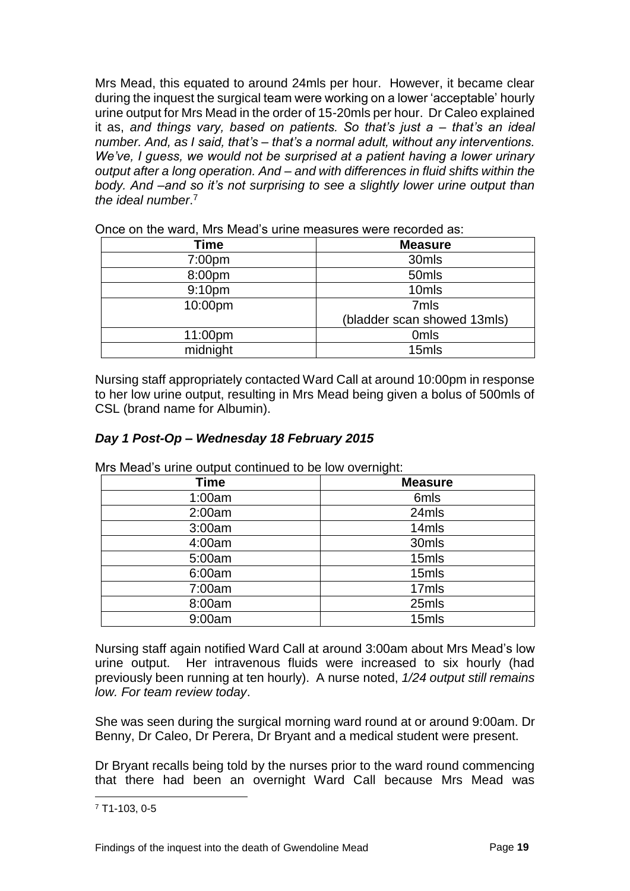Mrs Mead, this equated to around 24mls per hour. However, it became clear during the inquest the surgical team were working on a lower 'acceptable' hourly urine output for Mrs Mead in the order of 15-20mls per hour. Dr Caleo explained it as, *and things vary, based on patients. So that's just a – that's an ideal number. And, as I said, that's – that's a normal adult, without any interventions. We've, I guess, we would not be surprised at a patient having a lower urinary output after a long operation. And – and with differences in fluid shifts within the body. And –and so it's not surprising to see a slightly lower urine output than the ideal number*. 7

| <b>Time</b>        | <b>Measure</b>              |
|--------------------|-----------------------------|
| 7:00pm             | 30mls                       |
| 8:00pm             | 50mls                       |
| 9:10 <sub>pm</sub> | 10mls                       |
| 10:00pm            | 7mls                        |
|                    | (bladder scan showed 13mls) |
| 11:00pm            | 0 <sub>mls</sub>            |
| midnight           | 15mls                       |

Once on the ward, Mrs Mead's urine measures were recorded as:

Nursing staff appropriately contacted Ward Call at around 10:00pm in response to her low urine output, resulting in Mrs Mead being given a bolus of 500mls of CSL (brand name for Albumin).

#### *Day 1 Post-Op – Wednesday 18 February 2015*

| <b>Time</b> | <b>Measure</b> |
|-------------|----------------|
| 1:00am      | 6mls           |
| 2:00am      | 24mls          |
| 3:00am      | 14mls          |
| 4:00am      | 30mls          |
| 5:00am      | 15mls          |
| 6:00am      | 15mls          |
| 7:00am      | 17mls          |
| 8:00am      | 25mls          |
| 9:00am      | 15mls          |

Mrs Mead's urine output continued to be low overnight:

Nursing staff again notified Ward Call at around 3:00am about Mrs Mead's low urine output. Her intravenous fluids were increased to six hourly (had previously been running at ten hourly). A nurse noted, *1/24 output still remains low. For team review today*.

She was seen during the surgical morning ward round at or around 9:00am. Dr Benny, Dr Caleo, Dr Perera, Dr Bryant and a medical student were present.

Dr Bryant recalls being told by the nurses prior to the ward round commencing that there had been an overnight Ward Call because Mrs Mead was

<sup>7</sup> T1-103, 0-5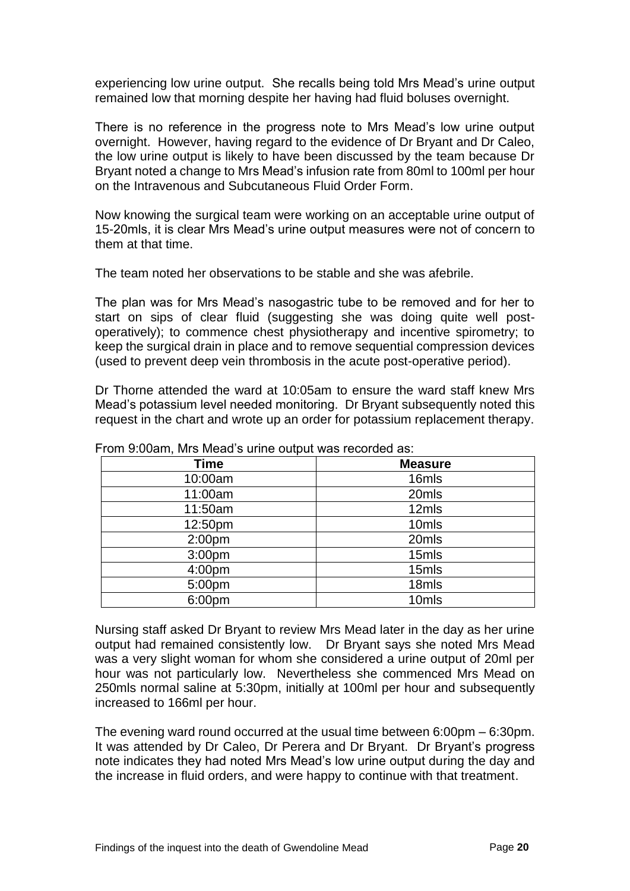experiencing low urine output. She recalls being told Mrs Mead's urine output remained low that morning despite her having had fluid boluses overnight.

There is no reference in the progress note to Mrs Mead's low urine output overnight. However, having regard to the evidence of Dr Bryant and Dr Caleo, the low urine output is likely to have been discussed by the team because Dr Bryant noted a change to Mrs Mead's infusion rate from 80ml to 100ml per hour on the Intravenous and Subcutaneous Fluid Order Form.

Now knowing the surgical team were working on an acceptable urine output of 15-20mls, it is clear Mrs Mead's urine output measures were not of concern to them at that time.

The team noted her observations to be stable and she was afebrile.

The plan was for Mrs Mead's nasogastric tube to be removed and for her to start on sips of clear fluid (suggesting she was doing quite well postoperatively); to commence chest physiotherapy and incentive spirometry; to keep the surgical drain in place and to remove sequential compression devices (used to prevent deep vein thrombosis in the acute post-operative period).

Dr Thorne attended the ward at 10:05am to ensure the ward staff knew Mrs Mead's potassium level needed monitoring. Dr Bryant subsequently noted this request in the chart and wrote up an order for potassium replacement therapy.

| <b>Time</b>        | <b>Measure</b> |
|--------------------|----------------|
| 10:00am            | 16mls          |
| 11:00am            | 20mls          |
| 11:50am            | 12mls          |
| 12:50pm            | 10mls          |
| 2:00 <sub>pm</sub> | 20mls          |
| 3:00pm             | 15mls          |
| 4:00 <sub>pm</sub> | 15mls          |
| 5:00pm             | 18mls          |
| 6:00pm             | 10mls          |

From 9:00am, Mrs Mead's urine output was recorded as:

Nursing staff asked Dr Bryant to review Mrs Mead later in the day as her urine output had remained consistently low. Dr Bryant says she noted Mrs Mead was a very slight woman for whom she considered a urine output of 20ml per hour was not particularly low. Nevertheless she commenced Mrs Mead on 250mls normal saline at 5:30pm, initially at 100ml per hour and subsequently increased to 166ml per hour.

The evening ward round occurred at the usual time between 6:00pm – 6:30pm. It was attended by Dr Caleo, Dr Perera and Dr Bryant. Dr Bryant's progress note indicates they had noted Mrs Mead's low urine output during the day and the increase in fluid orders, and were happy to continue with that treatment.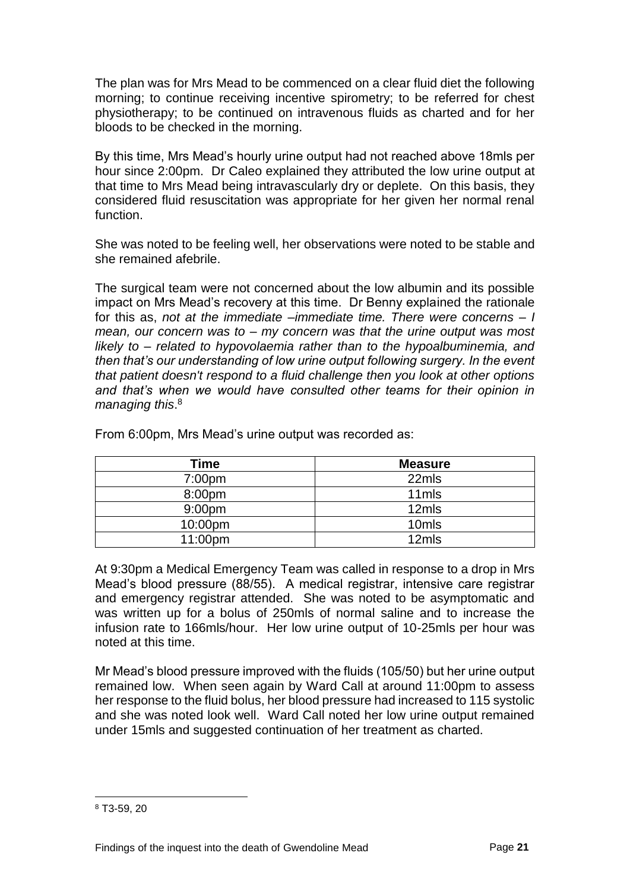The plan was for Mrs Mead to be commenced on a clear fluid diet the following morning; to continue receiving incentive spirometry; to be referred for chest physiotherapy; to be continued on intravenous fluids as charted and for her bloods to be checked in the morning.

By this time, Mrs Mead's hourly urine output had not reached above 18mls per hour since 2:00pm. Dr Caleo explained they attributed the low urine output at that time to Mrs Mead being intravascularly dry or deplete. On this basis, they considered fluid resuscitation was appropriate for her given her normal renal function.

She was noted to be feeling well, her observations were noted to be stable and she remained afebrile.

The surgical team were not concerned about the low albumin and its possible impact on Mrs Mead's recovery at this time. Dr Benny explained the rationale for this as, *not at the immediate –immediate time. There were concerns – I mean, our concern was to – my concern was that the urine output was most likely to – related to hypovolaemia rather than to the hypoalbuminemia, and then that's our understanding of low urine output following surgery. In the event that patient doesn't respond to a fluid challenge then you look at other options*  and that's when we would have consulted other teams for their opinion in *managing this*. 8

| Time               | <b>Measure</b>    |
|--------------------|-------------------|
| 7:00pm             | 22mls             |
| 8:00pm             | 11mls             |
| 9:00 <sub>pm</sub> | 12mls             |
| 10:00pm            | 10 <sub>mls</sub> |
| 11:00pm            | 12mls             |

From 6:00pm, Mrs Mead's urine output was recorded as:

At 9:30pm a Medical Emergency Team was called in response to a drop in Mrs Mead's blood pressure (88/55). A medical registrar, intensive care registrar and emergency registrar attended. She was noted to be asymptomatic and was written up for a bolus of 250mls of normal saline and to increase the infusion rate to 166mls/hour. Her low urine output of 10-25mls per hour was noted at this time.

Mr Mead's blood pressure improved with the fluids (105/50) but her urine output remained low. When seen again by Ward Call at around 11:00pm to assess her response to the fluid bolus, her blood pressure had increased to 115 systolic and she was noted look well. Ward Call noted her low urine output remained under 15mls and suggested continuation of her treatment as charted.

<sup>8</sup> T3-59, 20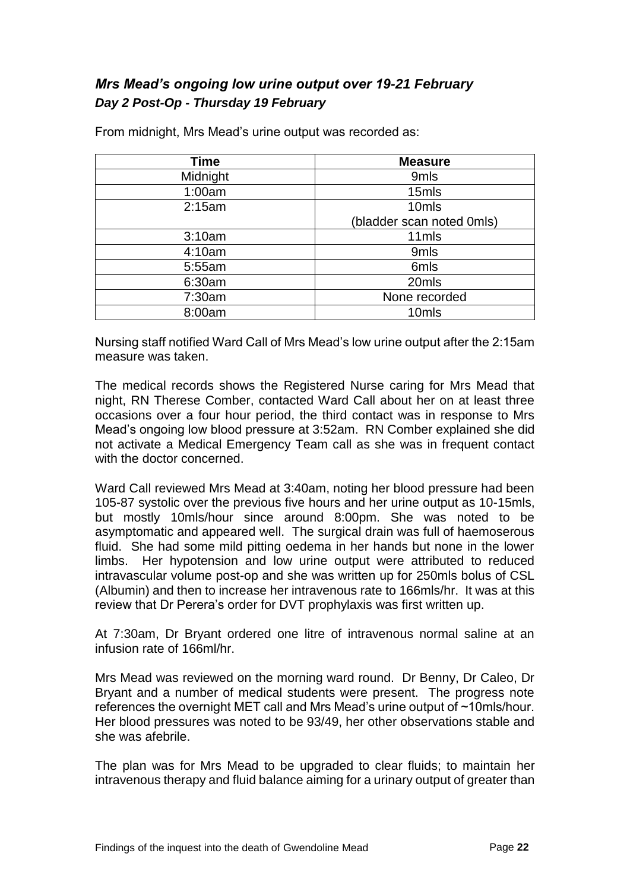#### <span id="page-23-0"></span>*Mrs Mead's ongoing low urine output over 19-21 February Day 2 Post-Op - Thursday 19 February*

| Time     | <b>Measure</b>            |
|----------|---------------------------|
| Midnight | 9mls                      |
| 1:00am   | 15mls                     |
| 2:15am   | 10mls                     |
|          | (bladder scan noted 0mls) |
| 3:10am   | 11mls                     |
| 4:10am   | 9mls                      |
| 5:55am   | 6mls                      |
| 6:30am   | 20mls                     |
| 7:30am   | None recorded             |
| 8:00am   | 10mls                     |

From midnight, Mrs Mead's urine output was recorded as:

Nursing staff notified Ward Call of Mrs Mead's low urine output after the 2:15am measure was taken.

The medical records shows the Registered Nurse caring for Mrs Mead that night, RN Therese Comber, contacted Ward Call about her on at least three occasions over a four hour period, the third contact was in response to Mrs Mead's ongoing low blood pressure at 3:52am. RN Comber explained she did not activate a Medical Emergency Team call as she was in frequent contact with the doctor concerned.

Ward Call reviewed Mrs Mead at 3:40am, noting her blood pressure had been 105-87 systolic over the previous five hours and her urine output as 10-15mls, but mostly 10mls/hour since around 8:00pm. She was noted to be asymptomatic and appeared well. The surgical drain was full of haemoserous fluid. She had some mild pitting oedema in her hands but none in the lower limbs. Her hypotension and low urine output were attributed to reduced intravascular volume post-op and she was written up for 250mls bolus of CSL (Albumin) and then to increase her intravenous rate to 166mls/hr. It was at this review that Dr Perera's order for DVT prophylaxis was first written up.

At 7:30am, Dr Bryant ordered one litre of intravenous normal saline at an infusion rate of 166ml/hr.

Mrs Mead was reviewed on the morning ward round. Dr Benny, Dr Caleo, Dr Bryant and a number of medical students were present. The progress note references the overnight MET call and Mrs Mead's urine output of ~10mls/hour. Her blood pressures was noted to be 93/49, her other observations stable and she was afebrile.

The plan was for Mrs Mead to be upgraded to clear fluids; to maintain her intravenous therapy and fluid balance aiming for a urinary output of greater than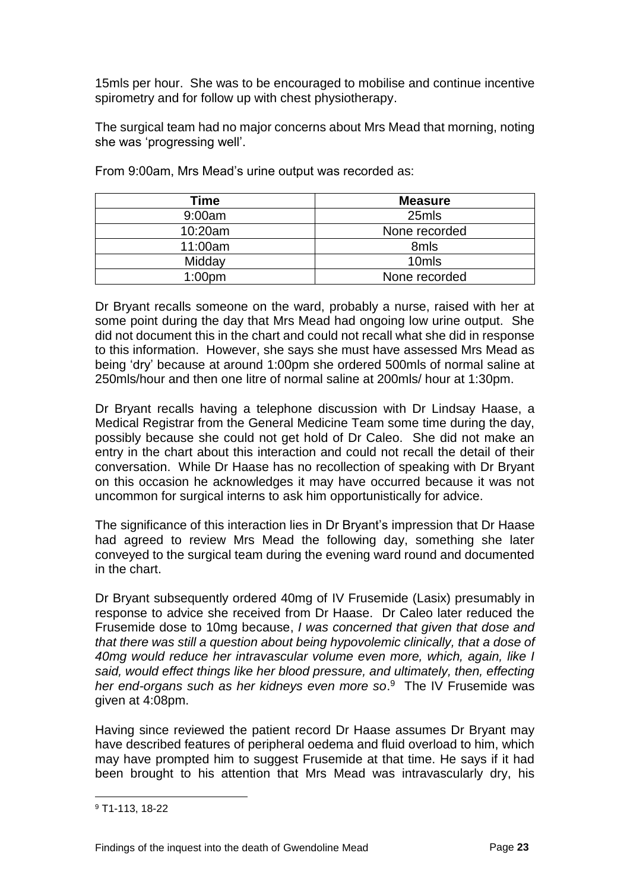15mls per hour. She was to be encouraged to mobilise and continue incentive spirometry and for follow up with chest physiotherapy.

The surgical team had no major concerns about Mrs Mead that morning, noting she was 'progressing well'.

| Time               | <b>Measure</b>    |
|--------------------|-------------------|
| 9:00am             | 25mls             |
| 10:20am            | None recorded     |
| 11:00am            | 8mls              |
| Midday             | 10 <sub>mls</sub> |
| 1:00 <sub>pm</sub> | None recorded     |

From 9:00am, Mrs Mead's urine output was recorded as:

Dr Bryant recalls someone on the ward, probably a nurse, raised with her at some point during the day that Mrs Mead had ongoing low urine output. She did not document this in the chart and could not recall what she did in response to this information. However, she says she must have assessed Mrs Mead as being 'dry' because at around 1:00pm she ordered 500mls of normal saline at 250mls/hour and then one litre of normal saline at 200mls/ hour at 1:30pm.

Dr Bryant recalls having a telephone discussion with Dr Lindsay Haase, a Medical Registrar from the General Medicine Team some time during the day, possibly because she could not get hold of Dr Caleo. She did not make an entry in the chart about this interaction and could not recall the detail of their conversation. While Dr Haase has no recollection of speaking with Dr Bryant on this occasion he acknowledges it may have occurred because it was not uncommon for surgical interns to ask him opportunistically for advice.

The significance of this interaction lies in Dr Bryant's impression that Dr Haase had agreed to review Mrs Mead the following day, something she later conveyed to the surgical team during the evening ward round and documented in the chart.

Dr Bryant subsequently ordered 40mg of IV Frusemide (Lasix) presumably in response to advice she received from Dr Haase. Dr Caleo later reduced the Frusemide dose to 10mg because, *I was concerned that given that dose and that there was still a question about being hypovolemic clinically, that a dose of 40mg would reduce her intravascular volume even more, which, again, like I said, would effect things like her blood pressure, and ultimately, then, effecting her end-organs such as her kidneys even more so*. 9 The IV Frusemide was given at 4:08pm.

Having since reviewed the patient record Dr Haase assumes Dr Bryant may have described features of peripheral oedema and fluid overload to him, which may have prompted him to suggest Frusemide at that time. He says if it had been brought to his attention that Mrs Mead was intravascularly dry, his

<sup>9</sup> T1-113, 18-22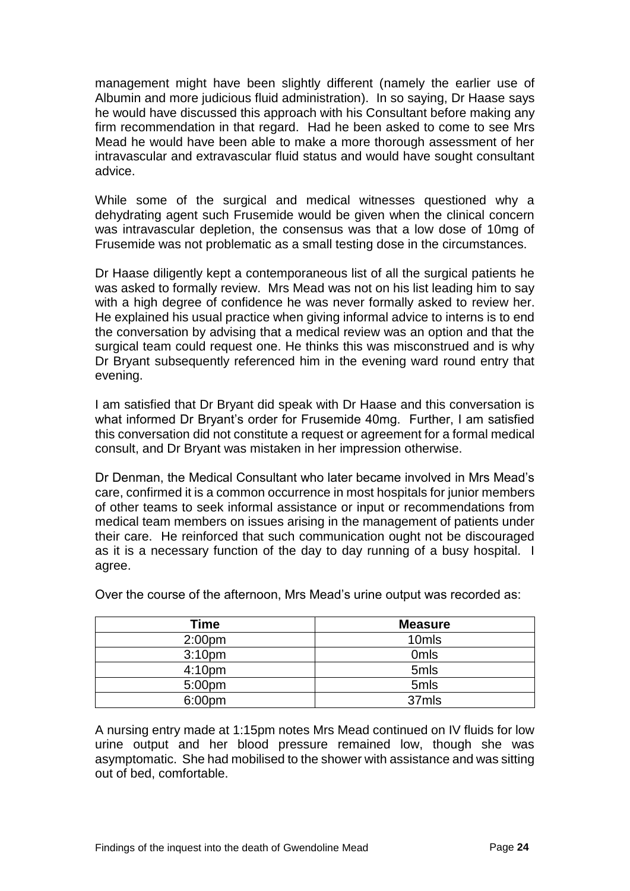management might have been slightly different (namely the earlier use of Albumin and more judicious fluid administration). In so saying, Dr Haase says he would have discussed this approach with his Consultant before making any firm recommendation in that regard. Had he been asked to come to see Mrs Mead he would have been able to make a more thorough assessment of her intravascular and extravascular fluid status and would have sought consultant advice.

While some of the surgical and medical witnesses questioned why a dehydrating agent such Frusemide would be given when the clinical concern was intravascular depletion, the consensus was that a low dose of 10mg of Frusemide was not problematic as a small testing dose in the circumstances.

Dr Haase diligently kept a contemporaneous list of all the surgical patients he was asked to formally review. Mrs Mead was not on his list leading him to say with a high degree of confidence he was never formally asked to review her. He explained his usual practice when giving informal advice to interns is to end the conversation by advising that a medical review was an option and that the surgical team could request one. He thinks this was misconstrued and is why Dr Bryant subsequently referenced him in the evening ward round entry that evening.

I am satisfied that Dr Bryant did speak with Dr Haase and this conversation is what informed Dr Bryant's order for Frusemide 40mg. Further, I am satisfied this conversation did not constitute a request or agreement for a formal medical consult, and Dr Bryant was mistaken in her impression otherwise.

Dr Denman, the Medical Consultant who later became involved in Mrs Mead's care, confirmed it is a common occurrence in most hospitals for junior members of other teams to seek informal assistance or input or recommendations from medical team members on issues arising in the management of patients under their care. He reinforced that such communication ought not be discouraged as it is a necessary function of the day to day running of a busy hospital. I agree.

| Time               | <b>Measure</b>   |
|--------------------|------------------|
| 2:00 <sub>pm</sub> | 10mls            |
| 3:10 <sub>pm</sub> | 0 <sub>mls</sub> |
| 4:10 <sub>pm</sub> | 5mls             |
| 5:00pm             | 5mls             |
| 6:00pm             | 37mls            |

Over the course of the afternoon, Mrs Mead's urine output was recorded as:

A nursing entry made at 1:15pm notes Mrs Mead continued on IV fluids for low urine output and her blood pressure remained low, though she was asymptomatic. She had mobilised to the shower with assistance and was sitting out of bed, comfortable.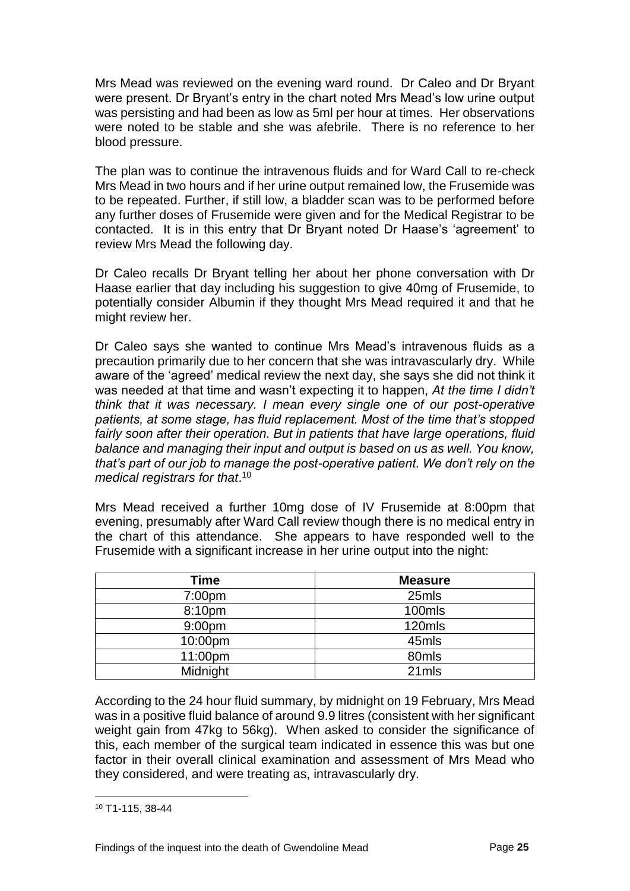Mrs Mead was reviewed on the evening ward round. Dr Caleo and Dr Bryant were present. Dr Bryant's entry in the chart noted Mrs Mead's low urine output was persisting and had been as low as 5ml per hour at times. Her observations were noted to be stable and she was afebrile. There is no reference to her blood pressure.

The plan was to continue the intravenous fluids and for Ward Call to re-check Mrs Mead in two hours and if her urine output remained low, the Frusemide was to be repeated. Further, if still low, a bladder scan was to be performed before any further doses of Frusemide were given and for the Medical Registrar to be contacted. It is in this entry that Dr Bryant noted Dr Haase's 'agreement' to review Mrs Mead the following day.

Dr Caleo recalls Dr Bryant telling her about her phone conversation with Dr Haase earlier that day including his suggestion to give 40mg of Frusemide, to potentially consider Albumin if they thought Mrs Mead required it and that he might review her.

Dr Caleo says she wanted to continue Mrs Mead's intravenous fluids as a precaution primarily due to her concern that she was intravascularly dry. While aware of the 'agreed' medical review the next day, she says she did not think it was needed at that time and wasn't expecting it to happen, *At the time I didn't think that it was necessary. I mean every single one of our post-operative patients, at some stage, has fluid replacement. Most of the time that's stopped fairly soon after their operation. But in patients that have large operations, fluid balance and managing their input and output is based on us as well. You know, that's part of our job to manage the post-operative patient. We don't rely on the medical registrars for that*. 10

Mrs Mead received a further 10mg dose of IV Frusemide at 8:00pm that evening, presumably after Ward Call review though there is no medical entry in the chart of this attendance. She appears to have responded well to the Frusemide with a significant increase in her urine output into the night:

| Time               | <b>Measure</b> |
|--------------------|----------------|
| 7:00 <sub>pm</sub> | 25mls          |
| 8:10pm             | 100mls         |
| 9:00 <sub>pm</sub> | 120mls         |
| 10:00pm            | 45mls          |
| 11:00pm            | 80mls          |
| Midnight           | 21mls          |

According to the 24 hour fluid summary, by midnight on 19 February, Mrs Mead was in a positive fluid balance of around 9.9 litres (consistent with her significant weight gain from 47kg to 56kg). When asked to consider the significance of this, each member of the surgical team indicated in essence this was but one factor in their overall clinical examination and assessment of Mrs Mead who they considered, and were treating as, intravascularly dry.

<sup>10</sup> T1-115, 38-44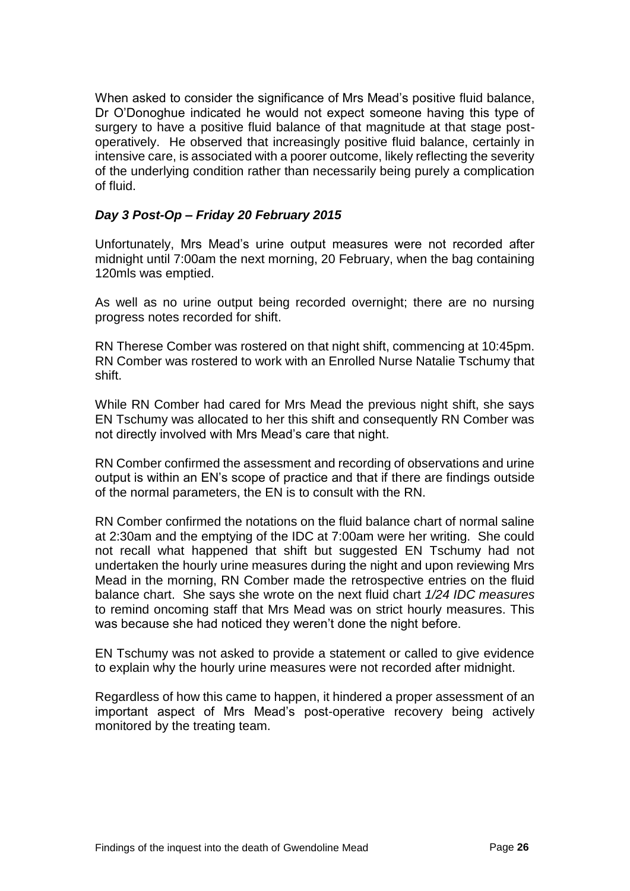When asked to consider the significance of Mrs Mead's positive fluid balance, Dr O'Donoghue indicated he would not expect someone having this type of surgery to have a positive fluid balance of that magnitude at that stage postoperatively. He observed that increasingly positive fluid balance, certainly in intensive care, is associated with a poorer outcome, likely reflecting the severity of the underlying condition rather than necessarily being purely a complication of fluid.

#### *Day 3 Post-Op – Friday 20 February 2015*

Unfortunately, Mrs Mead's urine output measures were not recorded after midnight until 7:00am the next morning, 20 February, when the bag containing 120mls was emptied.

As well as no urine output being recorded overnight; there are no nursing progress notes recorded for shift.

RN Therese Comber was rostered on that night shift, commencing at 10:45pm. RN Comber was rostered to work with an Enrolled Nurse Natalie Tschumy that shift.

While RN Comber had cared for Mrs Mead the previous night shift, she says EN Tschumy was allocated to her this shift and consequently RN Comber was not directly involved with Mrs Mead's care that night.

RN Comber confirmed the assessment and recording of observations and urine output is within an EN's scope of practice and that if there are findings outside of the normal parameters, the EN is to consult with the RN.

RN Comber confirmed the notations on the fluid balance chart of normal saline at 2:30am and the emptying of the IDC at 7:00am were her writing. She could not recall what happened that shift but suggested EN Tschumy had not undertaken the hourly urine measures during the night and upon reviewing Mrs Mead in the morning, RN Comber made the retrospective entries on the fluid balance chart. She says she wrote on the next fluid chart *1/24 IDC measures* to remind oncoming staff that Mrs Mead was on strict hourly measures. This was because she had noticed they weren't done the night before.

EN Tschumy was not asked to provide a statement or called to give evidence to explain why the hourly urine measures were not recorded after midnight.

Regardless of how this came to happen, it hindered a proper assessment of an important aspect of Mrs Mead's post-operative recovery being actively monitored by the treating team.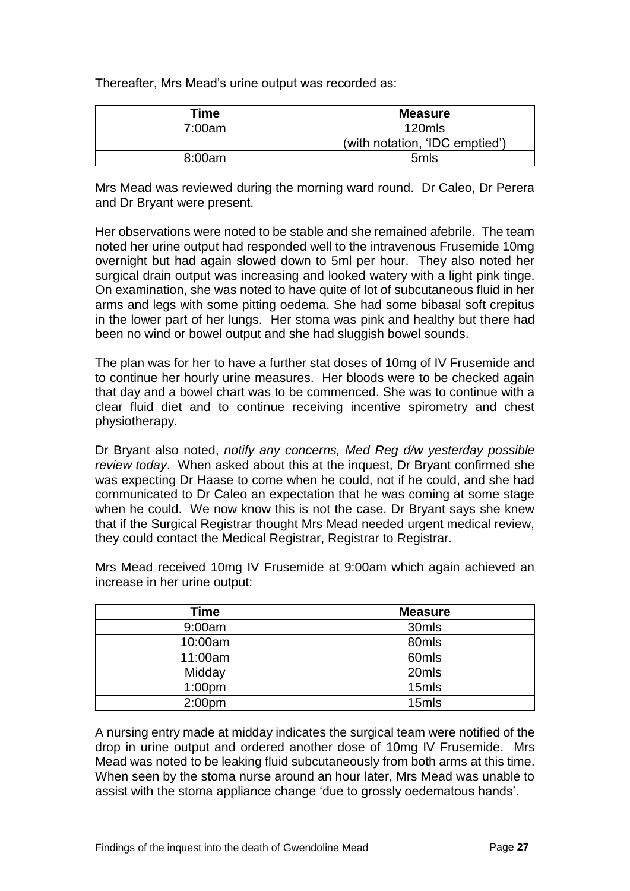Thereafter, Mrs Mead's urine output was recorded as:

| Time   | <b>Measure</b>                 |
|--------|--------------------------------|
| 7:00am | 120mls                         |
|        | (with notation, 'IDC emptied') |
| 8:00am | 5 <sub>m</sub> ls              |

Mrs Mead was reviewed during the morning ward round. Dr Caleo, Dr Perera and Dr Bryant were present.

Her observations were noted to be stable and she remained afebrile. The team noted her urine output had responded well to the intravenous Frusemide 10mg overnight but had again slowed down to 5ml per hour. They also noted her surgical drain output was increasing and looked watery with a light pink tinge. On examination, she was noted to have quite of lot of subcutaneous fluid in her arms and legs with some pitting oedema. She had some bibasal soft crepitus in the lower part of her lungs. Her stoma was pink and healthy but there had been no wind or bowel output and she had sluggish bowel sounds.

The plan was for her to have a further stat doses of 10mg of IV Frusemide and to continue her hourly urine measures. Her bloods were to be checked again that day and a bowel chart was to be commenced. She was to continue with a clear fluid diet and to continue receiving incentive spirometry and chest physiotherapy.

Dr Bryant also noted, *notify any concerns, Med Reg d/w yesterday possible review today*. When asked about this at the inquest, Dr Bryant confirmed she was expecting Dr Haase to come when he could, not if he could, and she had communicated to Dr Caleo an expectation that he was coming at some stage when he could. We now know this is not the case. Dr Bryant says she knew that if the Surgical Registrar thought Mrs Mead needed urgent medical review, they could contact the Medical Registrar, Registrar to Registrar.

| Time               | <b>Measure</b> |
|--------------------|----------------|
| 9:00am             | 30mls          |
| 10:00am            | 80mls          |
| 11:00am            | 60mls          |
| Midday             | 20mls          |
| 1:00 <sub>pm</sub> | 15mls          |
| 2:00 <sub>pm</sub> | 15mls          |

Mrs Mead received 10mg IV Frusemide at 9:00am which again achieved an increase in her urine output:

A nursing entry made at midday indicates the surgical team were notified of the drop in urine output and ordered another dose of 10mg IV Frusemide. Mrs Mead was noted to be leaking fluid subcutaneously from both arms at this time. When seen by the stoma nurse around an hour later, Mrs Mead was unable to assist with the stoma appliance change 'due to grossly oedematous hands'.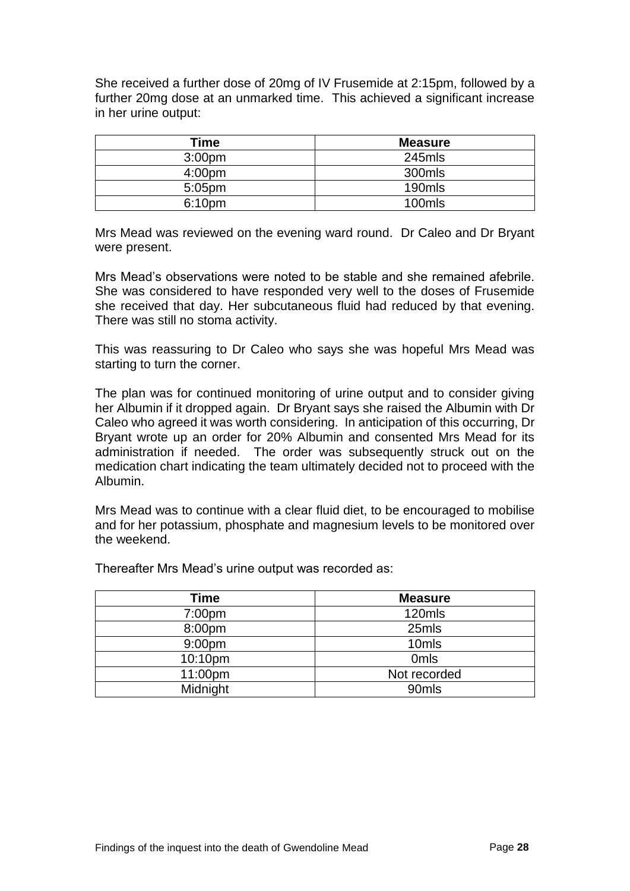She received a further dose of 20mg of IV Frusemide at 2:15pm, followed by a further 20mg dose at an unmarked time. This achieved a significant increase in her urine output:

| Time               | <b>Measure</b> |
|--------------------|----------------|
| 3:00 <sub>pm</sub> | 245mls         |
| 4:00 <sub>pm</sub> | 300mls         |
| $5:05$ pm          | 190mls         |
| 6:10 <sub>pm</sub> | 100mls         |

Mrs Mead was reviewed on the evening ward round. Dr Caleo and Dr Bryant were present.

Mrs Mead's observations were noted to be stable and she remained afebrile. She was considered to have responded very well to the doses of Frusemide she received that day. Her subcutaneous fluid had reduced by that evening. There was still no stoma activity.

This was reassuring to Dr Caleo who says she was hopeful Mrs Mead was starting to turn the corner.

The plan was for continued monitoring of urine output and to consider giving her Albumin if it dropped again. Dr Bryant says she raised the Albumin with Dr Caleo who agreed it was worth considering. In anticipation of this occurring, Dr Bryant wrote up an order for 20% Albumin and consented Mrs Mead for its administration if needed. The order was subsequently struck out on the medication chart indicating the team ultimately decided not to proceed with the Albumin.

Mrs Mead was to continue with a clear fluid diet, to be encouraged to mobilise and for her potassium, phosphate and magnesium levels to be monitored over the weekend.

Thereafter Mrs Mead's urine output was recorded as:

| Time               | <b>Measure</b>   |
|--------------------|------------------|
| 7:00 <sub>pm</sub> | 120mls           |
| 8:00pm             | 25mls            |
| 9:00 <sub>pm</sub> | 10mls            |
| 10:10pm            | 0 <sub>mls</sub> |
| 11:00pm            | Not recorded     |
| Midnight           | 90mls            |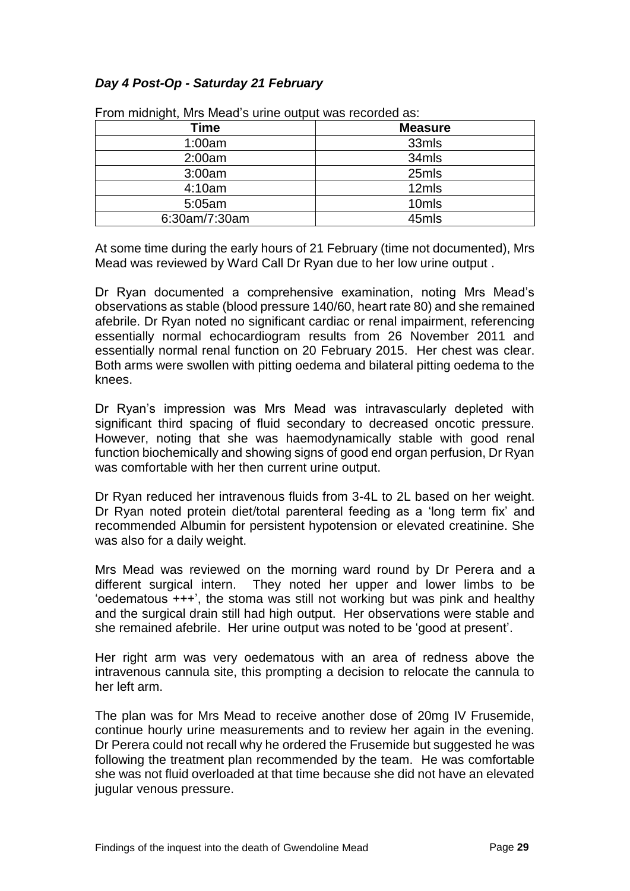#### *Day 4 Post-Op - Saturday 21 February*

| From miluming it, wils wiedd s unlie output was recorded as. |                   |
|--------------------------------------------------------------|-------------------|
| Time                                                         | <b>Measure</b>    |
| 1:00am                                                       | 33mls             |
| 2:00am                                                       | 34mls             |
| 3:00am                                                       | 25mls             |
| 4:10am                                                       | 12mls             |
| 5:05am                                                       | 10 <sub>mls</sub> |
| 6:30am/7:30am                                                | 45mls             |

From midnight, Mrs Mead's urine output was recorded as:

At some time during the early hours of 21 February (time not documented), Mrs Mead was reviewed by Ward Call Dr Ryan due to her low urine output .

Dr Ryan documented a comprehensive examination, noting Mrs Mead's observations as stable (blood pressure 140/60, heart rate 80) and she remained afebrile. Dr Ryan noted no significant cardiac or renal impairment, referencing essentially normal echocardiogram results from 26 November 2011 and essentially normal renal function on 20 February 2015. Her chest was clear. Both arms were swollen with pitting oedema and bilateral pitting oedema to the knees.

Dr Ryan's impression was Mrs Mead was intravascularly depleted with significant third spacing of fluid secondary to decreased oncotic pressure. However, noting that she was haemodynamically stable with good renal function biochemically and showing signs of good end organ perfusion, Dr Ryan was comfortable with her then current urine output.

Dr Ryan reduced her intravenous fluids from 3-4L to 2L based on her weight. Dr Ryan noted protein diet/total parenteral feeding as a 'long term fix' and recommended Albumin for persistent hypotension or elevated creatinine. She was also for a daily weight.

Mrs Mead was reviewed on the morning ward round by Dr Perera and a different surgical intern. They noted her upper and lower limbs to be 'oedematous +++', the stoma was still not working but was pink and healthy and the surgical drain still had high output. Her observations were stable and she remained afebrile. Her urine output was noted to be 'good at present'.

Her right arm was very oedematous with an area of redness above the intravenous cannula site, this prompting a decision to relocate the cannula to her left arm.

The plan was for Mrs Mead to receive another dose of 20mg IV Frusemide, continue hourly urine measurements and to review her again in the evening. Dr Perera could not recall why he ordered the Frusemide but suggested he was following the treatment plan recommended by the team. He was comfortable she was not fluid overloaded at that time because she did not have an elevated jugular venous pressure.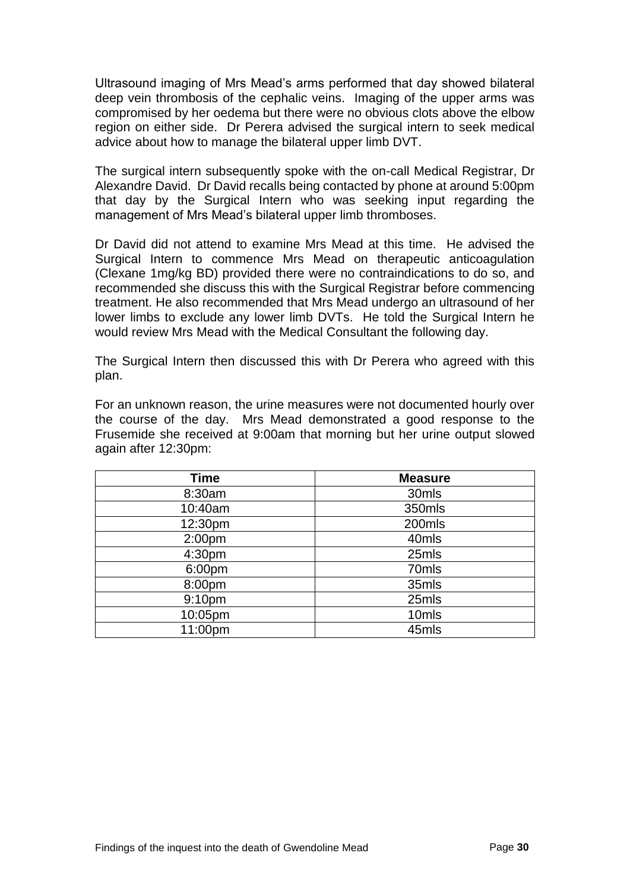Ultrasound imaging of Mrs Mead's arms performed that day showed bilateral deep vein thrombosis of the cephalic veins. Imaging of the upper arms was compromised by her oedema but there were no obvious clots above the elbow region on either side. Dr Perera advised the surgical intern to seek medical advice about how to manage the bilateral upper limb DVT.

The surgical intern subsequently spoke with the on-call Medical Registrar, Dr Alexandre David. Dr David recalls being contacted by phone at around 5:00pm that day by the Surgical Intern who was seeking input regarding the management of Mrs Mead's bilateral upper limb thromboses.

Dr David did not attend to examine Mrs Mead at this time. He advised the Surgical Intern to commence Mrs Mead on therapeutic anticoagulation (Clexane 1mg/kg BD) provided there were no contraindications to do so, and recommended she discuss this with the Surgical Registrar before commencing treatment. He also recommended that Mrs Mead undergo an ultrasound of her lower limbs to exclude any lower limb DVTs. He told the Surgical Intern he would review Mrs Mead with the Medical Consultant the following day.

The Surgical Intern then discussed this with Dr Perera who agreed with this plan.

For an unknown reason, the urine measures were not documented hourly over the course of the day. Mrs Mead demonstrated a good response to the Frusemide she received at 9:00am that morning but her urine output slowed again after 12:30pm:

| <b>Time</b>        | <b>Measure</b> |
|--------------------|----------------|
| 8:30am             | 30mls          |
| 10:40am            | 350mls         |
| 12:30pm            | 200mls         |
| 2:00 <sub>pm</sub> | 40mls          |
| 4:30pm             | 25mls          |
| 6:00pm             | 70mls          |
| 8:00pm             | 35mls          |
| 9:10pm             | 25mls          |
| 10:05pm            | 10mls          |
| 11:00pm            | 45mls          |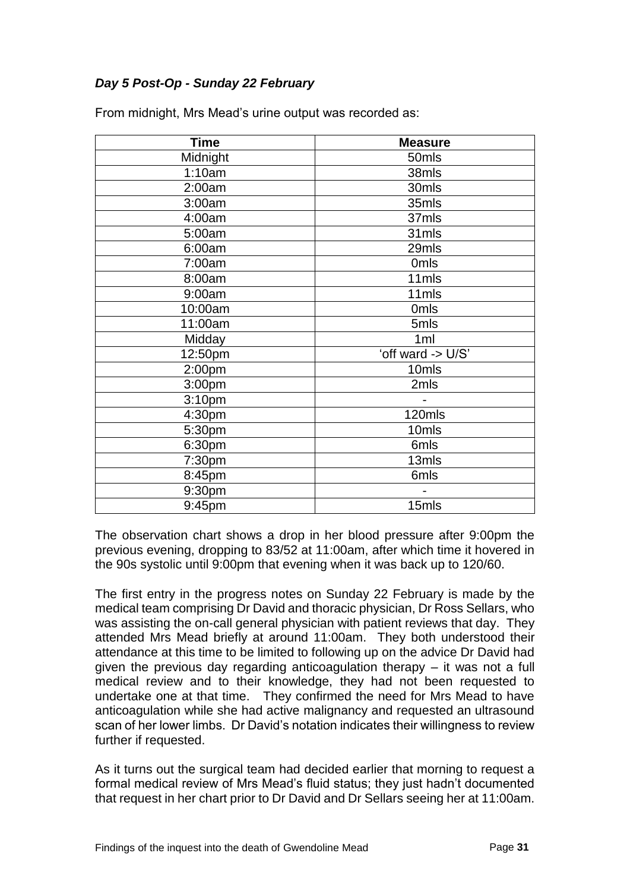#### *Day 5 Post-Op - Sunday 22 February*

| <b>Time</b>        | <b>Measure</b>    |
|--------------------|-------------------|
| Midnight           | 50mls             |
| 1:10am             | 38mls             |
| 2:00am             | 30mls             |
| 3:00am             | 35mls             |
| 4:00am             | 37mls             |
| 5:00am             | 31mls             |
| 6:00am             | 29mls             |
| 7:00am             | 0 <sub>mls</sub>  |
| 8:00am             | 11mls             |
| 9:00am             | 11mls             |
| 10:00am            | 0 <sub>mls</sub>  |
| 11:00am            | 5mls              |
| Midday             | 1 <sub>ml</sub>   |
| 12:50pm            | 'off ward -> U/S' |
| 2:00 <sub>pm</sub> | 10mls             |
| 3:00pm             | 2mls              |
| 3:10pm             |                   |
| 4:30pm             | 120mls            |
| 5:30pm             | 10mls             |
| 6:30pm             | 6mls              |
| 7:30pm             | 13mls             |
| 8:45pm             | 6mls              |
| 9:30pm             |                   |
| 9:45pm             | 15mls             |

From midnight, Mrs Mead's urine output was recorded as:

The observation chart shows a drop in her blood pressure after 9:00pm the previous evening, dropping to 83/52 at 11:00am, after which time it hovered in the 90s systolic until 9:00pm that evening when it was back up to 120/60.

The first entry in the progress notes on Sunday 22 February is made by the medical team comprising Dr David and thoracic physician, Dr Ross Sellars, who was assisting the on-call general physician with patient reviews that day. They attended Mrs Mead briefly at around 11:00am. They both understood their attendance at this time to be limited to following up on the advice Dr David had given the previous day regarding anticoagulation therapy – it was not a full medical review and to their knowledge, they had not been requested to undertake one at that time. They confirmed the need for Mrs Mead to have anticoagulation while she had active malignancy and requested an ultrasound scan of her lower limbs. Dr David's notation indicates their willingness to review further if requested.

As it turns out the surgical team had decided earlier that morning to request a formal medical review of Mrs Mead's fluid status; they just hadn't documented that request in her chart prior to Dr David and Dr Sellars seeing her at 11:00am.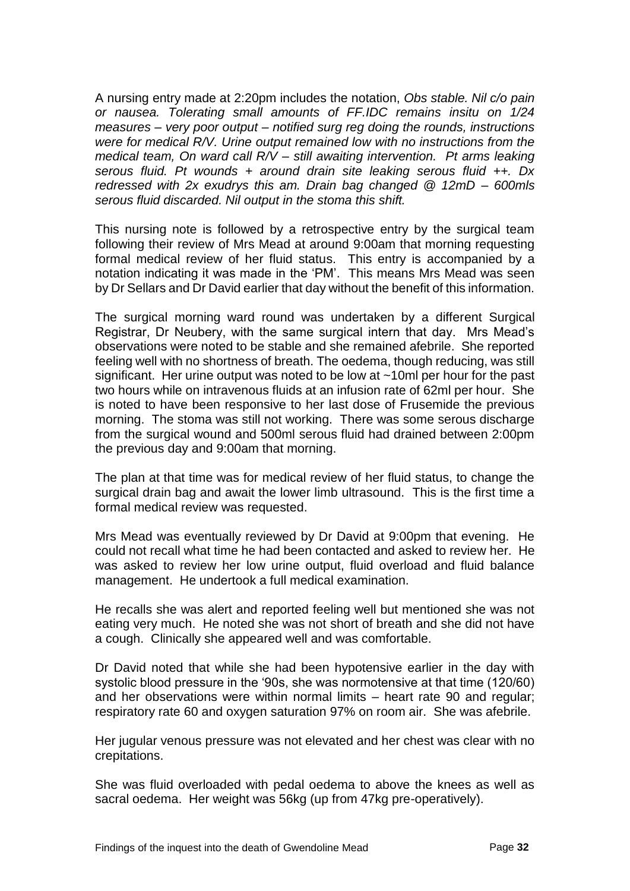A nursing entry made at 2:20pm includes the notation, *Obs stable. Nil c/o pain or nausea. Tolerating small amounts of FF.IDC remains insitu on 1/24 measures – very poor output – notified surg reg doing the rounds, instructions were for medical R/V. Urine output remained low with no instructions from the medical team, On ward call R/V – still awaiting intervention. Pt arms leaking serous fluid. Pt wounds + around drain site leaking serous fluid ++. Dx redressed with 2x exudrys this am. Drain bag changed @ 12mD – 600mls serous fluid discarded. Nil output in the stoma this shift.*

This nursing note is followed by a retrospective entry by the surgical team following their review of Mrs Mead at around 9:00am that morning requesting formal medical review of her fluid status. This entry is accompanied by a notation indicating it was made in the 'PM'. This means Mrs Mead was seen by Dr Sellars and Dr David earlier that day without the benefit of this information.

The surgical morning ward round was undertaken by a different Surgical Registrar, Dr Neubery, with the same surgical intern that day. Mrs Mead's observations were noted to be stable and she remained afebrile. She reported feeling well with no shortness of breath. The oedema, though reducing, was still significant. Her urine output was noted to be low at ~10ml per hour for the past two hours while on intravenous fluids at an infusion rate of 62ml per hour. She is noted to have been responsive to her last dose of Frusemide the previous morning. The stoma was still not working. There was some serous discharge from the surgical wound and 500ml serous fluid had drained between 2:00pm the previous day and 9:00am that morning.

The plan at that time was for medical review of her fluid status, to change the surgical drain bag and await the lower limb ultrasound. This is the first time a formal medical review was requested.

Mrs Mead was eventually reviewed by Dr David at 9:00pm that evening. He could not recall what time he had been contacted and asked to review her. He was asked to review her low urine output, fluid overload and fluid balance management. He undertook a full medical examination.

He recalls she was alert and reported feeling well but mentioned she was not eating very much. He noted she was not short of breath and she did not have a cough. Clinically she appeared well and was comfortable.

Dr David noted that while she had been hypotensive earlier in the day with systolic blood pressure in the '90s, she was normotensive at that time (120/60) and her observations were within normal limits – heart rate 90 and regular; respiratory rate 60 and oxygen saturation 97% on room air. She was afebrile.

Her jugular venous pressure was not elevated and her chest was clear with no crepitations.

She was fluid overloaded with pedal oedema to above the knees as well as sacral oedema. Her weight was 56kg (up from 47kg pre-operatively).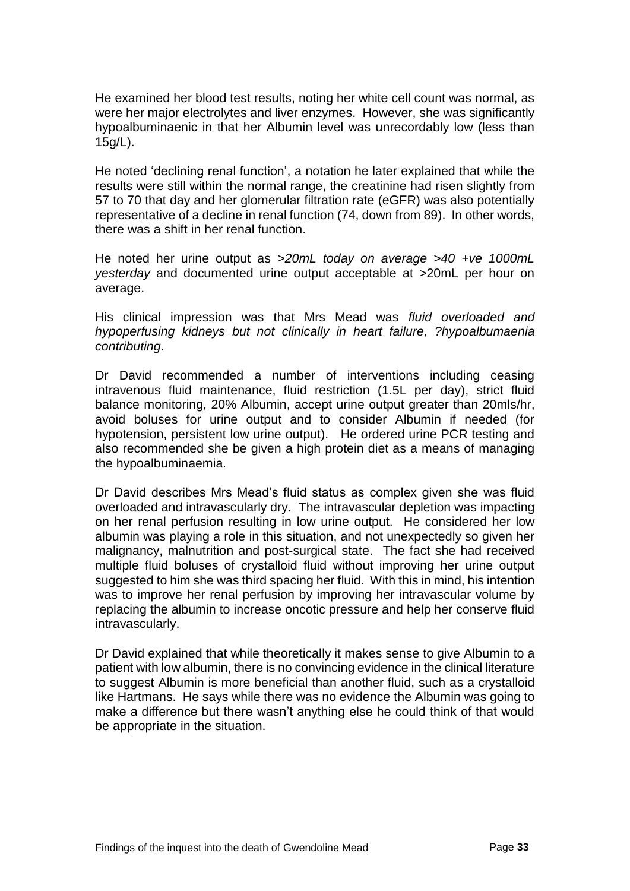He examined her blood test results, noting her white cell count was normal, as were her major electrolytes and liver enzymes. However, she was significantly hypoalbuminaenic in that her Albumin level was unrecordably low (less than 15g/L).

He noted 'declining renal function', a notation he later explained that while the results were still within the normal range, the creatinine had risen slightly from 57 to 70 that day and her glomerular filtration rate (eGFR) was also potentially representative of a decline in renal function (74, down from 89). In other words, there was a shift in her renal function.

He noted her urine output as *>20mL today on average >40 +ve 1000mL yesterday* and documented urine output acceptable at >20mL per hour on average.

His clinical impression was that Mrs Mead was *fluid overloaded and hypoperfusing kidneys but not clinically in heart failure, ?hypoalbumaenia contributing*.

Dr David recommended a number of interventions including ceasing intravenous fluid maintenance, fluid restriction (1.5L per day), strict fluid balance monitoring, 20% Albumin, accept urine output greater than 20mls/hr, avoid boluses for urine output and to consider Albumin if needed (for hypotension, persistent low urine output). He ordered urine PCR testing and also recommended she be given a high protein diet as a means of managing the hypoalbuminaemia.

Dr David describes Mrs Mead's fluid status as complex given she was fluid overloaded and intravascularly dry. The intravascular depletion was impacting on her renal perfusion resulting in low urine output. He considered her low albumin was playing a role in this situation, and not unexpectedly so given her malignancy, malnutrition and post-surgical state. The fact she had received multiple fluid boluses of crystalloid fluid without improving her urine output suggested to him she was third spacing her fluid. With this in mind, his intention was to improve her renal perfusion by improving her intravascular volume by replacing the albumin to increase oncotic pressure and help her conserve fluid intravascularly.

Dr David explained that while theoretically it makes sense to give Albumin to a patient with low albumin, there is no convincing evidence in the clinical literature to suggest Albumin is more beneficial than another fluid, such as a crystalloid like Hartmans. He says while there was no evidence the Albumin was going to make a difference but there wasn't anything else he could think of that would be appropriate in the situation.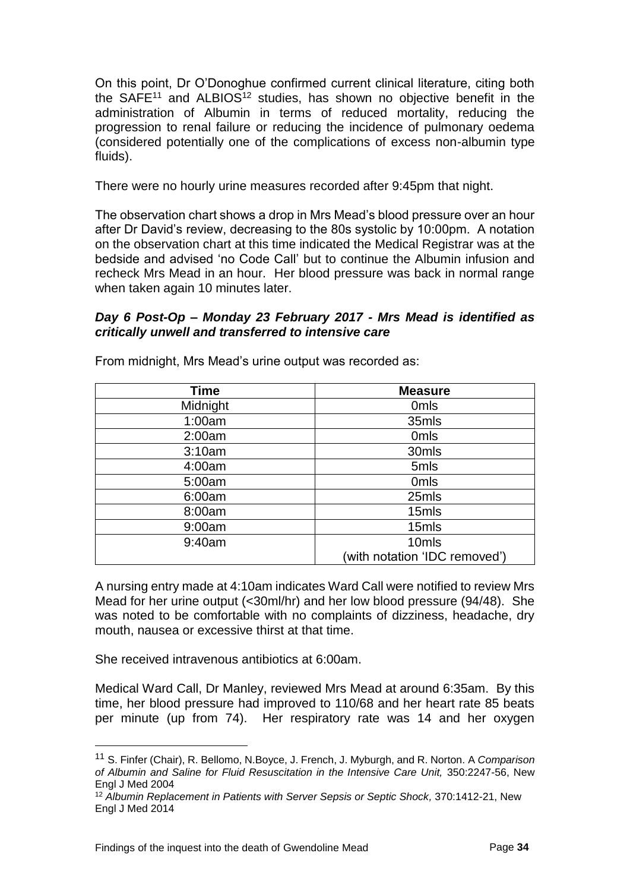On this point, Dr O'Donoghue confirmed current clinical literature, citing both the SAFE<sup>11</sup> and ALBIOS<sup>12</sup> studies, has shown no objective benefit in the administration of Albumin in terms of reduced mortality, reducing the progression to renal failure or reducing the incidence of pulmonary oedema (considered potentially one of the complications of excess non-albumin type fluids).

There were no hourly urine measures recorded after 9:45pm that night.

The observation chart shows a drop in Mrs Mead's blood pressure over an hour after Dr David's review, decreasing to the 80s systolic by 10:00pm. A notation on the observation chart at this time indicated the Medical Registrar was at the bedside and advised 'no Code Call' but to continue the Albumin infusion and recheck Mrs Mead in an hour. Her blood pressure was back in normal range when taken again 10 minutes later.

#### *Day 6 Post-Op – Monday 23 February 2017 - Mrs Mead is identified as critically unwell and transferred to intensive care*

| <b>Time</b> | <b>Measure</b>                |
|-------------|-------------------------------|
| Midnight    | 0 <sub>mls</sub>              |
| 1:00am      | 35mls                         |
| 2:00am      | 0 <sub>mls</sub>              |
| 3:10am      | 30mls                         |
| 4:00am      | 5mls                          |
| 5:00am      | 0 <sub>mls</sub>              |
| 6:00am      | 25mls                         |
| 8:00am      | 15mls                         |
| 9:00am      | 15mls                         |
| 9:40am      | 10mls                         |
|             | (with notation 'IDC removed') |

From midnight, Mrs Mead's urine output was recorded as:

A nursing entry made at 4:10am indicates Ward Call were notified to review Mrs Mead for her urine output (<30ml/hr) and her low blood pressure (94/48). She was noted to be comfortable with no complaints of dizziness, headache, dry mouth, nausea or excessive thirst at that time.

She received intravenous antibiotics at 6:00am.

l

Medical Ward Call, Dr Manley, reviewed Mrs Mead at around 6:35am. By this time, her blood pressure had improved to 110/68 and her heart rate 85 beats per minute (up from 74). Her respiratory rate was 14 and her oxygen

<sup>11</sup> S. Finfer (Chair), R. Bellomo, N.Boyce, J. French, J. Myburgh, and R. Norton. A *Comparison of Albumin and Saline for Fluid Resuscitation in the Intensive Care Unit,* 350:2247-56, New Engl J Med 2004

<sup>12</sup> *Albumin Replacement in Patients with Server Sepsis or Septic Shock,* 370:1412-21, New Engl J Med 2014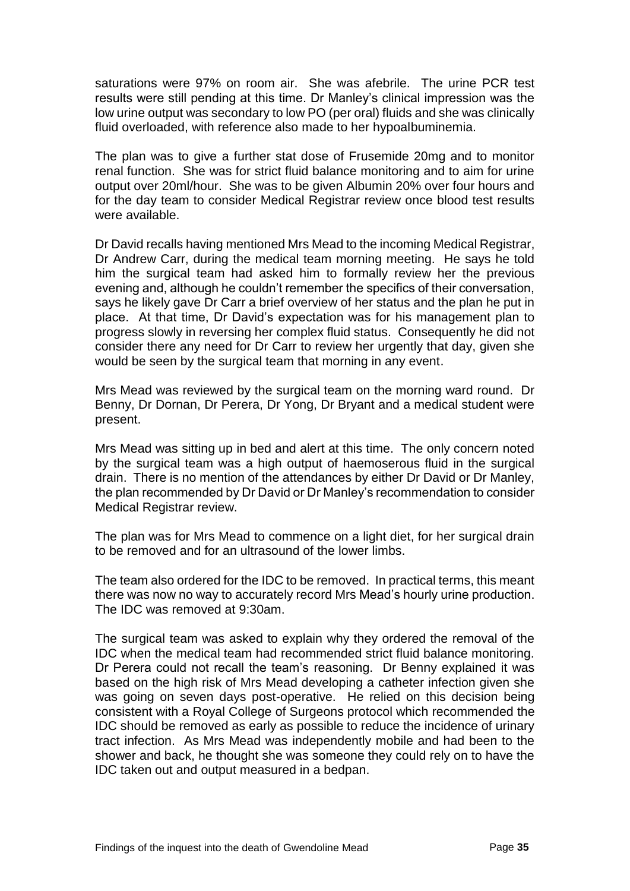saturations were 97% on room air. She was afebrile. The urine PCR test results were still pending at this time. Dr Manley's clinical impression was the low urine output was secondary to low PO (per oral) fluids and she was clinically fluid overloaded, with reference also made to her hypoalbuminemia.

The plan was to give a further stat dose of Frusemide 20mg and to monitor renal function. She was for strict fluid balance monitoring and to aim for urine output over 20ml/hour. She was to be given Albumin 20% over four hours and for the day team to consider Medical Registrar review once blood test results were available.

Dr David recalls having mentioned Mrs Mead to the incoming Medical Registrar, Dr Andrew Carr, during the medical team morning meeting. He says he told him the surgical team had asked him to formally review her the previous evening and, although he couldn't remember the specifics of their conversation, says he likely gave Dr Carr a brief overview of her status and the plan he put in place. At that time, Dr David's expectation was for his management plan to progress slowly in reversing her complex fluid status. Consequently he did not consider there any need for Dr Carr to review her urgently that day, given she would be seen by the surgical team that morning in any event.

Mrs Mead was reviewed by the surgical team on the morning ward round. Dr Benny, Dr Dornan, Dr Perera, Dr Yong, Dr Bryant and a medical student were present.

Mrs Mead was sitting up in bed and alert at this time. The only concern noted by the surgical team was a high output of haemoserous fluid in the surgical drain. There is no mention of the attendances by either Dr David or Dr Manley, the plan recommended by Dr David or Dr Manley's recommendation to consider Medical Registrar review.

The plan was for Mrs Mead to commence on a light diet, for her surgical drain to be removed and for an ultrasound of the lower limbs.

The team also ordered for the IDC to be removed. In practical terms, this meant there was now no way to accurately record Mrs Mead's hourly urine production. The IDC was removed at 9:30am.

The surgical team was asked to explain why they ordered the removal of the IDC when the medical team had recommended strict fluid balance monitoring. Dr Perera could not recall the team's reasoning. Dr Benny explained it was based on the high risk of Mrs Mead developing a catheter infection given she was going on seven days post-operative. He relied on this decision being consistent with a Royal College of Surgeons protocol which recommended the IDC should be removed as early as possible to reduce the incidence of urinary tract infection. As Mrs Mead was independently mobile and had been to the shower and back, he thought she was someone they could rely on to have the IDC taken out and output measured in a bedpan.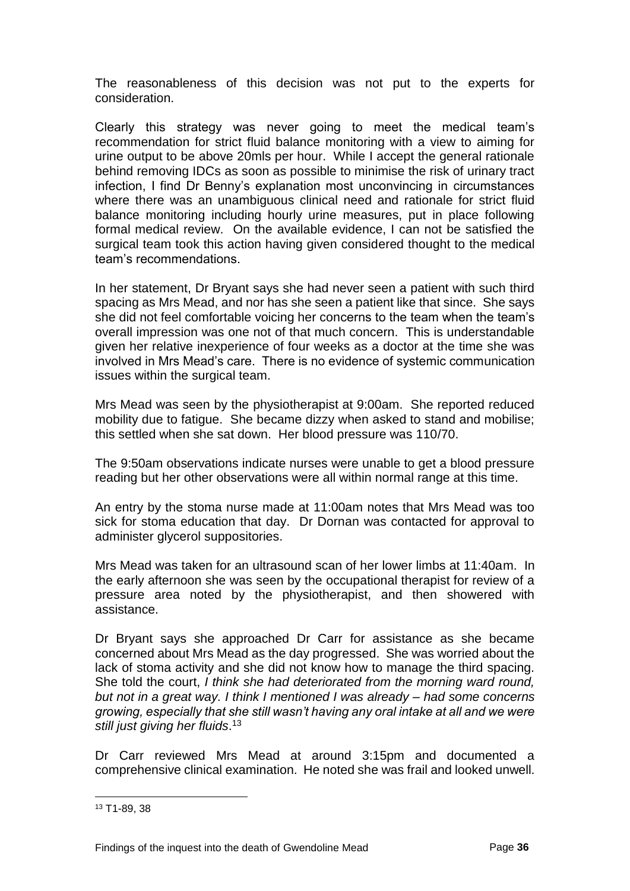The reasonableness of this decision was not put to the experts for consideration.

Clearly this strategy was never going to meet the medical team's recommendation for strict fluid balance monitoring with a view to aiming for urine output to be above 20mls per hour. While I accept the general rationale behind removing IDCs as soon as possible to minimise the risk of urinary tract infection, I find Dr Benny's explanation most unconvincing in circumstances where there was an unambiguous clinical need and rationale for strict fluid balance monitoring including hourly urine measures, put in place following formal medical review. On the available evidence, I can not be satisfied the surgical team took this action having given considered thought to the medical team's recommendations.

In her statement, Dr Bryant says she had never seen a patient with such third spacing as Mrs Mead, and nor has she seen a patient like that since. She says she did not feel comfortable voicing her concerns to the team when the team's overall impression was one not of that much concern. This is understandable given her relative inexperience of four weeks as a doctor at the time she was involved in Mrs Mead's care. There is no evidence of systemic communication issues within the surgical team.

Mrs Mead was seen by the physiotherapist at 9:00am. She reported reduced mobility due to fatigue. She became dizzy when asked to stand and mobilise; this settled when she sat down. Her blood pressure was 110/70.

The 9:50am observations indicate nurses were unable to get a blood pressure reading but her other observations were all within normal range at this time.

An entry by the stoma nurse made at 11:00am notes that Mrs Mead was too sick for stoma education that day. Dr Dornan was contacted for approval to administer glycerol suppositories.

Mrs Mead was taken for an ultrasound scan of her lower limbs at 11:40am. In the early afternoon she was seen by the occupational therapist for review of a pressure area noted by the physiotherapist, and then showered with assistance.

Dr Bryant says she approached Dr Carr for assistance as she became concerned about Mrs Mead as the day progressed. She was worried about the lack of stoma activity and she did not know how to manage the third spacing. She told the court, *I think she had deteriorated from the morning ward round, but not in a great way. I think I mentioned I was already – had some concerns growing, especially that she still wasn't having any oral intake at all and we were still just giving her fluids*. 13

Dr Carr reviewed Mrs Mead at around 3:15pm and documented a comprehensive clinical examination. He noted she was frail and looked unwell.

<sup>13</sup> T1-89, 38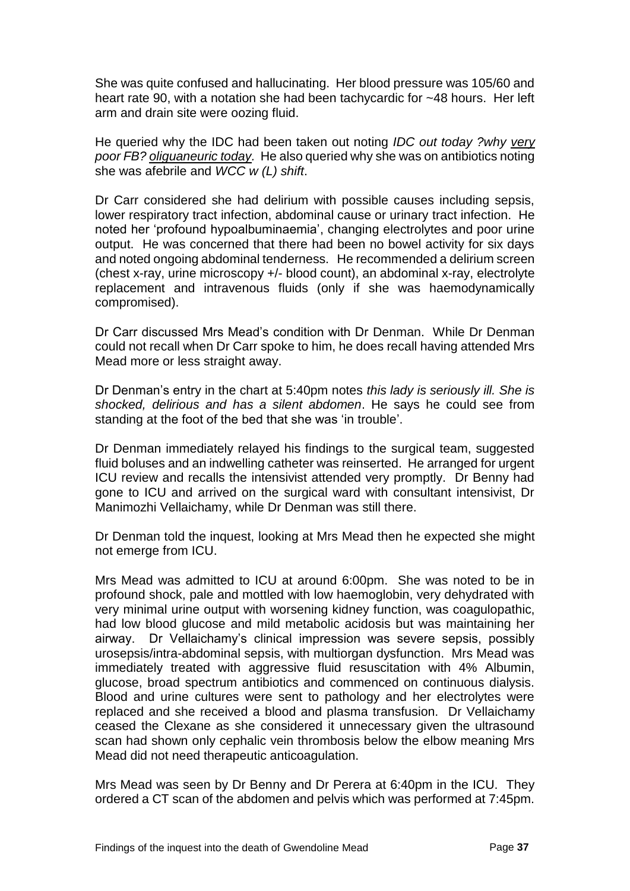She was quite confused and hallucinating. Her blood pressure was 105/60 and heart rate 90, with a notation she had been tachycardic for ~48 hours. Her left arm and drain site were oozing fluid.

He queried why the IDC had been taken out noting *IDC out today ?why very poor FB? oliguaneuric today.* He also queried why she was on antibiotics noting she was afebrile and *WCC w (L) shift*.

Dr Carr considered she had delirium with possible causes including sepsis, lower respiratory tract infection, abdominal cause or urinary tract infection. He noted her 'profound hypoalbuminaemia', changing electrolytes and poor urine output. He was concerned that there had been no bowel activity for six days and noted ongoing abdominal tenderness. He recommended a delirium screen (chest x-ray, urine microscopy +/- blood count), an abdominal x-ray, electrolyte replacement and intravenous fluids (only if she was haemodynamically compromised).

Dr Carr discussed Mrs Mead's condition with Dr Denman. While Dr Denman could not recall when Dr Carr spoke to him, he does recall having attended Mrs Mead more or less straight away.

Dr Denman's entry in the chart at 5:40pm notes *this lady is seriously ill. She is shocked, delirious and has a silent abdomen*. He says he could see from standing at the foot of the bed that she was 'in trouble'.

Dr Denman immediately relayed his findings to the surgical team, suggested fluid boluses and an indwelling catheter was reinserted. He arranged for urgent ICU review and recalls the intensivist attended very promptly. Dr Benny had gone to ICU and arrived on the surgical ward with consultant intensivist, Dr Manimozhi Vellaichamy, while Dr Denman was still there.

Dr Denman told the inquest, looking at Mrs Mead then he expected she might not emerge from ICU.

Mrs Mead was admitted to ICU at around 6:00pm. She was noted to be in profound shock, pale and mottled with low haemoglobin, very dehydrated with very minimal urine output with worsening kidney function, was coagulopathic, had low blood glucose and mild metabolic acidosis but was maintaining her airway. Dr Vellaichamy's clinical impression was severe sepsis, possibly urosepsis/intra-abdominal sepsis, with multiorgan dysfunction. Mrs Mead was immediately treated with aggressive fluid resuscitation with 4% Albumin, glucose, broad spectrum antibiotics and commenced on continuous dialysis. Blood and urine cultures were sent to pathology and her electrolytes were replaced and she received a blood and plasma transfusion. Dr Vellaichamy ceased the Clexane as she considered it unnecessary given the ultrasound scan had shown only cephalic vein thrombosis below the elbow meaning Mrs Mead did not need therapeutic anticoagulation.

Mrs Mead was seen by Dr Benny and Dr Perera at 6:40pm in the ICU. They ordered a CT scan of the abdomen and pelvis which was performed at 7:45pm.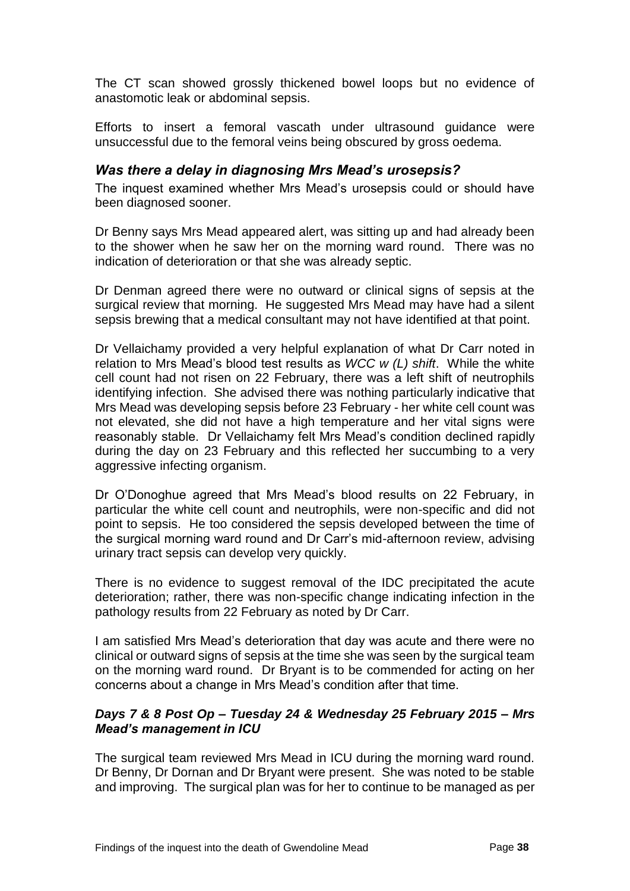The CT scan showed grossly thickened bowel loops but no evidence of anastomotic leak or abdominal sepsis.

Efforts to insert a femoral vascath under ultrasound guidance were unsuccessful due to the femoral veins being obscured by gross oedema.

#### <span id="page-39-0"></span>*Was there a delay in diagnosing Mrs Mead's urosepsis?*

The inquest examined whether Mrs Mead's urosepsis could or should have been diagnosed sooner.

Dr Benny says Mrs Mead appeared alert, was sitting up and had already been to the shower when he saw her on the morning ward round. There was no indication of deterioration or that she was already septic.

Dr Denman agreed there were no outward or clinical signs of sepsis at the surgical review that morning. He suggested Mrs Mead may have had a silent sepsis brewing that a medical consultant may not have identified at that point.

Dr Vellaichamy provided a very helpful explanation of what Dr Carr noted in relation to Mrs Mead's blood test results as *WCC w (L) shift*. While the white cell count had not risen on 22 February, there was a left shift of neutrophils identifying infection. She advised there was nothing particularly indicative that Mrs Mead was developing sepsis before 23 February - her white cell count was not elevated, she did not have a high temperature and her vital signs were reasonably stable. Dr Vellaichamy felt Mrs Mead's condition declined rapidly during the day on 23 February and this reflected her succumbing to a very aggressive infecting organism.

Dr O'Donoghue agreed that Mrs Mead's blood results on 22 February, in particular the white cell count and neutrophils, were non-specific and did not point to sepsis. He too considered the sepsis developed between the time of the surgical morning ward round and Dr Carr's mid-afternoon review, advising urinary tract sepsis can develop very quickly.

There is no evidence to suggest removal of the IDC precipitated the acute deterioration; rather, there was non-specific change indicating infection in the pathology results from 22 February as noted by Dr Carr.

I am satisfied Mrs Mead's deterioration that day was acute and there were no clinical or outward signs of sepsis at the time she was seen by the surgical team on the morning ward round. Dr Bryant is to be commended for acting on her concerns about a change in Mrs Mead's condition after that time.

#### *Days 7 & 8 Post Op – Tuesday 24 & Wednesday 25 February 2015 – Mrs Mead's management in ICU*

The surgical team reviewed Mrs Mead in ICU during the morning ward round. Dr Benny, Dr Dornan and Dr Bryant were present. She was noted to be stable and improving. The surgical plan was for her to continue to be managed as per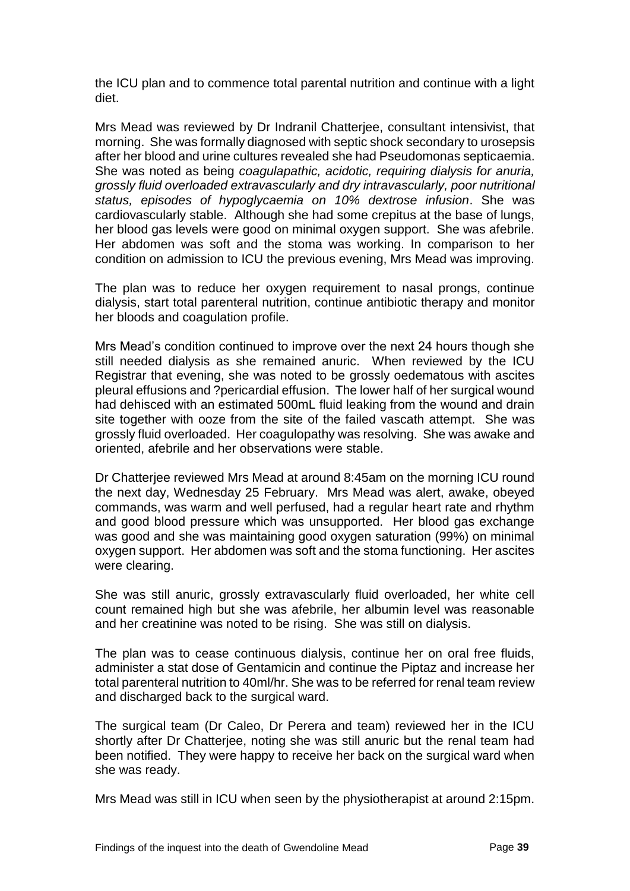the ICU plan and to commence total parental nutrition and continue with a light diet.

Mrs Mead was reviewed by Dr Indranil Chatterjee, consultant intensivist, that morning. She was formally diagnosed with septic shock secondary to urosepsis after her blood and urine cultures revealed she had Pseudomonas septicaemia. She was noted as being *coagulapathic, acidotic, requiring dialysis for anuria, grossly fluid overloaded extravascularly and dry intravascularly, poor nutritional status, episodes of hypoglycaemia on 10% dextrose infusion*. She was cardiovascularly stable. Although she had some crepitus at the base of lungs, her blood gas levels were good on minimal oxygen support. She was afebrile. Her abdomen was soft and the stoma was working. In comparison to her condition on admission to ICU the previous evening, Mrs Mead was improving.

The plan was to reduce her oxygen requirement to nasal prongs, continue dialysis, start total parenteral nutrition, continue antibiotic therapy and monitor her bloods and coagulation profile.

Mrs Mead's condition continued to improve over the next 24 hours though she still needed dialysis as she remained anuric. When reviewed by the ICU Registrar that evening, she was noted to be grossly oedematous with ascites pleural effusions and ?pericardial effusion. The lower half of her surgical wound had dehisced with an estimated 500mL fluid leaking from the wound and drain site together with ooze from the site of the failed vascath attempt. She was grossly fluid overloaded. Her coagulopathy was resolving. She was awake and oriented, afebrile and her observations were stable.

Dr Chatterjee reviewed Mrs Mead at around 8:45am on the morning ICU round the next day, Wednesday 25 February. Mrs Mead was alert, awake, obeyed commands, was warm and well perfused, had a regular heart rate and rhythm and good blood pressure which was unsupported. Her blood gas exchange was good and she was maintaining good oxygen saturation (99%) on minimal oxygen support. Her abdomen was soft and the stoma functioning. Her ascites were clearing.

She was still anuric, grossly extravascularly fluid overloaded, her white cell count remained high but she was afebrile, her albumin level was reasonable and her creatinine was noted to be rising. She was still on dialysis.

The plan was to cease continuous dialysis, continue her on oral free fluids, administer a stat dose of Gentamicin and continue the Piptaz and increase her total parenteral nutrition to 40ml/hr. She was to be referred for renal team review and discharged back to the surgical ward.

The surgical team (Dr Caleo, Dr Perera and team) reviewed her in the ICU shortly after Dr Chatterjee, noting she was still anuric but the renal team had been notified. They were happy to receive her back on the surgical ward when she was ready.

Mrs Mead was still in ICU when seen by the physiotherapist at around 2:15pm.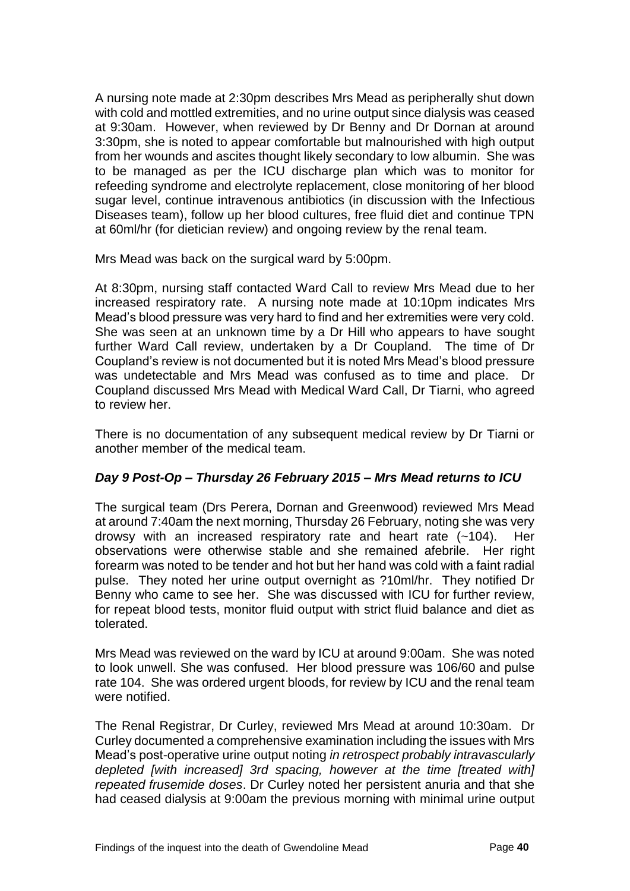A nursing note made at 2:30pm describes Mrs Mead as peripherally shut down with cold and mottled extremities, and no urine output since dialysis was ceased at 9:30am. However, when reviewed by Dr Benny and Dr Dornan at around 3:30pm, she is noted to appear comfortable but malnourished with high output from her wounds and ascites thought likely secondary to low albumin. She was to be managed as per the ICU discharge plan which was to monitor for refeeding syndrome and electrolyte replacement, close monitoring of her blood sugar level, continue intravenous antibiotics (in discussion with the Infectious Diseases team), follow up her blood cultures, free fluid diet and continue TPN at 60ml/hr (for dietician review) and ongoing review by the renal team.

Mrs Mead was back on the surgical ward by 5:00pm.

At 8:30pm, nursing staff contacted Ward Call to review Mrs Mead due to her increased respiratory rate. A nursing note made at 10:10pm indicates Mrs Mead's blood pressure was very hard to find and her extremities were very cold. She was seen at an unknown time by a Dr Hill who appears to have sought further Ward Call review, undertaken by a Dr Coupland. The time of Dr Coupland's review is not documented but it is noted Mrs Mead's blood pressure was undetectable and Mrs Mead was confused as to time and place. Dr Coupland discussed Mrs Mead with Medical Ward Call, Dr Tiarni, who agreed to review her.

There is no documentation of any subsequent medical review by Dr Tiarni or another member of the medical team.

#### *Day 9 Post-Op – Thursday 26 February 2015 – Mrs Mead returns to ICU*

The surgical team (Drs Perera, Dornan and Greenwood) reviewed Mrs Mead at around 7:40am the next morning, Thursday 26 February, noting she was very drowsy with an increased respiratory rate and heart rate (~104). Her observations were otherwise stable and she remained afebrile. Her right forearm was noted to be tender and hot but her hand was cold with a faint radial pulse. They noted her urine output overnight as ?10ml/hr. They notified Dr Benny who came to see her. She was discussed with ICU for further review, for repeat blood tests, monitor fluid output with strict fluid balance and diet as tolerated.

Mrs Mead was reviewed on the ward by ICU at around 9:00am. She was noted to look unwell. She was confused. Her blood pressure was 106/60 and pulse rate 104. She was ordered urgent bloods, for review by ICU and the renal team were notified.

The Renal Registrar, Dr Curley, reviewed Mrs Mead at around 10:30am. Dr Curley documented a comprehensive examination including the issues with Mrs Mead's post-operative urine output noting *in retrospect probably intravascularly depleted [with increased] 3rd spacing, however at the time [treated with] repeated frusemide doses*. Dr Curley noted her persistent anuria and that she had ceased dialysis at 9:00am the previous morning with minimal urine output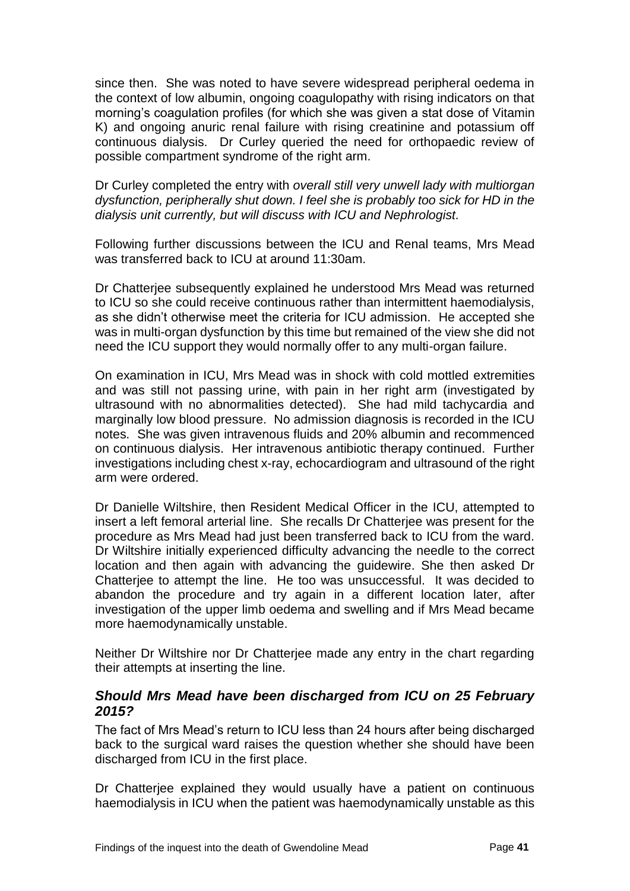since then. She was noted to have severe widespread peripheral oedema in the context of low albumin, ongoing coagulopathy with rising indicators on that morning's coagulation profiles (for which she was given a stat dose of Vitamin K) and ongoing anuric renal failure with rising creatinine and potassium off continuous dialysis. Dr Curley queried the need for orthopaedic review of possible compartment syndrome of the right arm.

Dr Curley completed the entry with *overall still very unwell lady with multiorgan dysfunction, peripherally shut down. I feel she is probably too sick for HD in the dialysis unit currently, but will discuss with ICU and Nephrologist.*

Following further discussions between the ICU and Renal teams, Mrs Mead was transferred back to ICU at around 11:30am.

Dr Chatterjee subsequently explained he understood Mrs Mead was returned to ICU so she could receive continuous rather than intermittent haemodialysis, as she didn't otherwise meet the criteria for ICU admission. He accepted she was in multi-organ dysfunction by this time but remained of the view she did not need the ICU support they would normally offer to any multi-organ failure.

On examination in ICU, Mrs Mead was in shock with cold mottled extremities and was still not passing urine, with pain in her right arm (investigated by ultrasound with no abnormalities detected). She had mild tachycardia and marginally low blood pressure. No admission diagnosis is recorded in the ICU notes. She was given intravenous fluids and 20% albumin and recommenced on continuous dialysis. Her intravenous antibiotic therapy continued. Further investigations including chest x-ray, echocardiogram and ultrasound of the right arm were ordered.

Dr Danielle Wiltshire, then Resident Medical Officer in the ICU, attempted to insert a left femoral arterial line. She recalls Dr Chatterjee was present for the procedure as Mrs Mead had just been transferred back to ICU from the ward. Dr Wiltshire initially experienced difficulty advancing the needle to the correct location and then again with advancing the guidewire. She then asked Dr Chatterjee to attempt the line. He too was unsuccessful. It was decided to abandon the procedure and try again in a different location later, after investigation of the upper limb oedema and swelling and if Mrs Mead became more haemodynamically unstable.

Neither Dr Wiltshire nor Dr Chatterjee made any entry in the chart regarding their attempts at inserting the line.

#### <span id="page-42-0"></span>*Should Mrs Mead have been discharged from ICU on 25 February 2015?*

The fact of Mrs Mead's return to ICU less than 24 hours after being discharged back to the surgical ward raises the question whether she should have been discharged from ICU in the first place.

Dr Chatterjee explained they would usually have a patient on continuous haemodialysis in ICU when the patient was haemodynamically unstable as this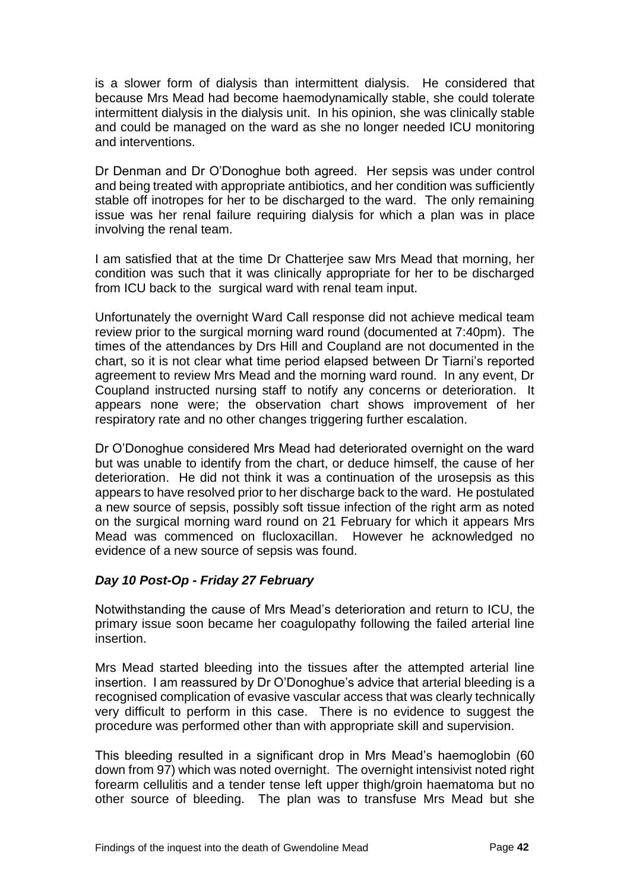is a slower form of dialysis than intermittent dialysis. He considered that because Mrs Mead had become haemodynamically stable, she could tolerate intermittent dialysis in the dialysis unit. In his opinion, she was clinically stable and could be managed on the ward as she no longer needed ICU monitoring and interventions.

Dr Denman and Dr O'Donoghue both agreed. Her sepsis was under control and being treated with appropriate antibiotics, and her condition was sufficiently stable off inotropes for her to be discharged to the ward. The only remaining issue was her renal failure requiring dialysis for which a plan was in place involving the renal team.

I am satisfied that at the time Dr Chatterjee saw Mrs Mead that morning, her condition was such that it was clinically appropriate for her to be discharged from ICU back to the surgical ward with renal team input.

Unfortunately the overnight Ward Call response did not achieve medical team review prior to the surgical morning ward round (documented at 7:40pm). The times of the attendances by Drs Hill and Coupland are not documented in the chart, so it is not clear what time period elapsed between Dr Tiarni's reported agreement to review Mrs Mead and the morning ward round. In any event, Dr Coupland instructed nursing staff to notify any concerns or deterioration. It appears none were; the observation chart shows improvement of her respiratory rate and no other changes triggering further escalation.

Dr O'Donoghue considered Mrs Mead had deteriorated overnight on the ward but was unable to identify from the chart, or deduce himself, the cause of her deterioration. He did not think it was a continuation of the urosepsis as this appears to have resolved prior to her discharge back to the ward. He postulated a new source of sepsis, possibly soft tissue infection of the right arm as noted on the surgical morning ward round on 21 February for which it appears Mrs Mead was commenced on flucloxacillan. However he acknowledged no evidence of a new source of sepsis was found.

#### *Day 10 Post-Op - Friday 27 February*

Notwithstanding the cause of Mrs Mead's deterioration and return to ICU, the primary issue soon became her coagulopathy following the failed arterial line insertion.

Mrs Mead started bleeding into the tissues after the attempted arterial line insertion. I am reassured by Dr O'Donoghue's advice that arterial bleeding is a recognised complication of evasive vascular access that was clearly technically very difficult to perform in this case. There is no evidence to suggest the procedure was performed other than with appropriate skill and supervision.

This bleeding resulted in a significant drop in Mrs Mead's haemoglobin (60 down from 97) which was noted overnight. The overnight intensivist noted right forearm cellulitis and a tender tense left upper thigh/groin haematoma but no other source of bleeding. The plan was to transfuse Mrs Mead but she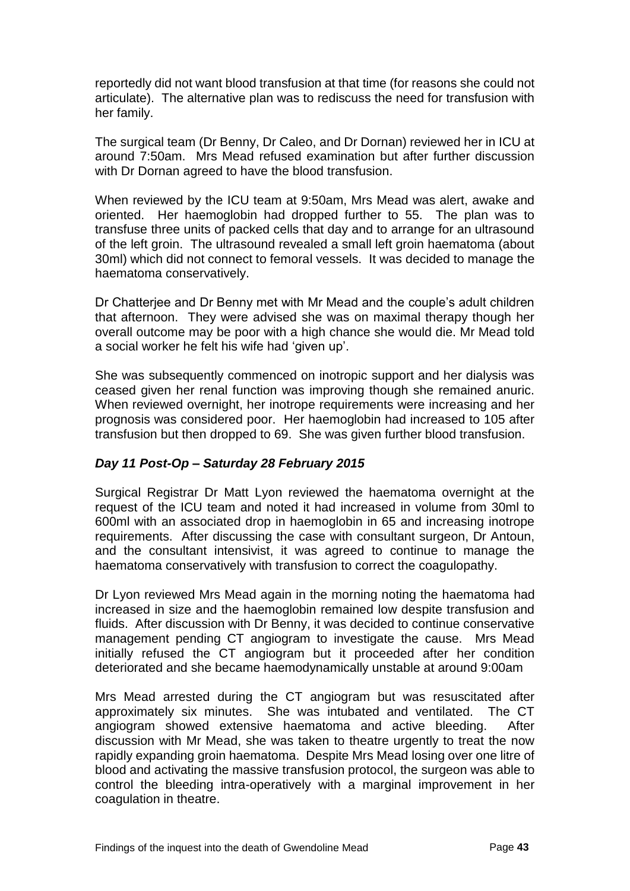reportedly did not want blood transfusion at that time (for reasons she could not articulate). The alternative plan was to rediscuss the need for transfusion with her family.

The surgical team (Dr Benny, Dr Caleo, and Dr Dornan) reviewed her in ICU at around 7:50am. Mrs Mead refused examination but after further discussion with Dr Dornan agreed to have the blood transfusion.

When reviewed by the ICU team at 9:50am, Mrs Mead was alert, awake and oriented. Her haemoglobin had dropped further to 55. The plan was to transfuse three units of packed cells that day and to arrange for an ultrasound of the left groin. The ultrasound revealed a small left groin haematoma (about 30ml) which did not connect to femoral vessels. It was decided to manage the haematoma conservatively.

Dr Chatterjee and Dr Benny met with Mr Mead and the couple's adult children that afternoon. They were advised she was on maximal therapy though her overall outcome may be poor with a high chance she would die. Mr Mead told a social worker he felt his wife had 'given up'.

She was subsequently commenced on inotropic support and her dialysis was ceased given her renal function was improving though she remained anuric. When reviewed overnight, her inotrope requirements were increasing and her prognosis was considered poor. Her haemoglobin had increased to 105 after transfusion but then dropped to 69. She was given further blood transfusion.

#### *Day 11 Post-Op – Saturday 28 February 2015*

Surgical Registrar Dr Matt Lyon reviewed the haematoma overnight at the request of the ICU team and noted it had increased in volume from 30ml to 600ml with an associated drop in haemoglobin in 65 and increasing inotrope requirements. After discussing the case with consultant surgeon, Dr Antoun, and the consultant intensivist, it was agreed to continue to manage the haematoma conservatively with transfusion to correct the coagulopathy.

Dr Lyon reviewed Mrs Mead again in the morning noting the haematoma had increased in size and the haemoglobin remained low despite transfusion and fluids. After discussion with Dr Benny, it was decided to continue conservative management pending CT angiogram to investigate the cause. Mrs Mead initially refused the CT angiogram but it proceeded after her condition deteriorated and she became haemodynamically unstable at around 9:00am

Mrs Mead arrested during the CT angiogram but was resuscitated after approximately six minutes. She was intubated and ventilated. The CT angiogram showed extensive haematoma and active bleeding. After discussion with Mr Mead, she was taken to theatre urgently to treat the now rapidly expanding groin haematoma. Despite Mrs Mead losing over one litre of blood and activating the massive transfusion protocol, the surgeon was able to control the bleeding intra-operatively with a marginal improvement in her coagulation in theatre.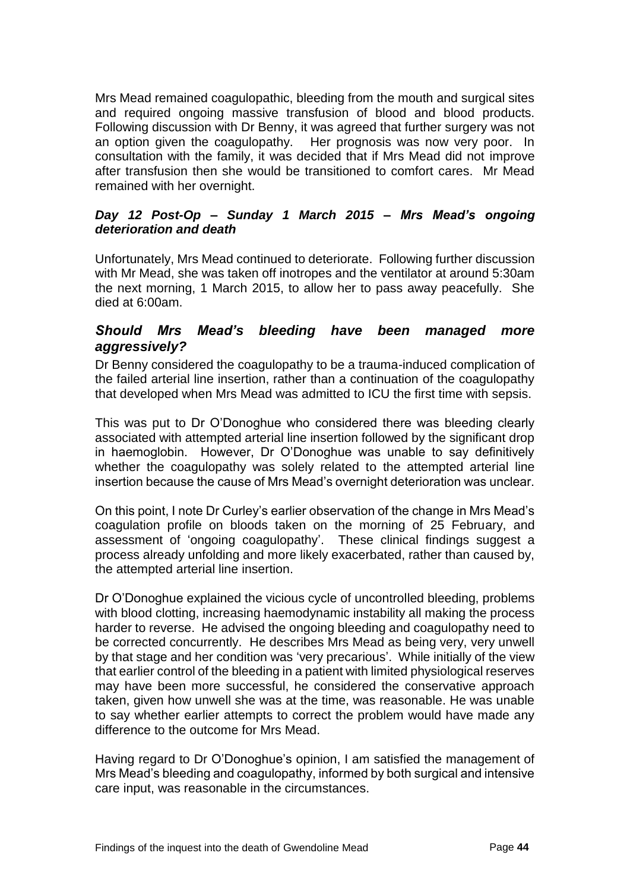Mrs Mead remained coagulopathic, bleeding from the mouth and surgical sites and required ongoing massive transfusion of blood and blood products. Following discussion with Dr Benny, it was agreed that further surgery was not an option given the coagulopathy. Her prognosis was now very poor. In consultation with the family, it was decided that if Mrs Mead did not improve after transfusion then she would be transitioned to comfort cares. Mr Mead remained with her overnight.

#### *Day 12 Post-Op – Sunday 1 March 2015 – Mrs Mead's ongoing deterioration and death*

Unfortunately, Mrs Mead continued to deteriorate. Following further discussion with Mr Mead, she was taken off inotropes and the ventilator at around 5:30am the next morning, 1 March 2015, to allow her to pass away peacefully. She died at 6:00am.

#### <span id="page-45-0"></span>*Should Mrs Mead's bleeding have been managed more aggressively?*

Dr Benny considered the coagulopathy to be a trauma-induced complication of the failed arterial line insertion, rather than a continuation of the coagulopathy that developed when Mrs Mead was admitted to ICU the first time with sepsis.

This was put to Dr O'Donoghue who considered there was bleeding clearly associated with attempted arterial line insertion followed by the significant drop in haemoglobin. However, Dr O'Donoghue was unable to say definitively whether the coagulopathy was solely related to the attempted arterial line insertion because the cause of Mrs Mead's overnight deterioration was unclear.

On this point, I note Dr Curley's earlier observation of the change in Mrs Mead's coagulation profile on bloods taken on the morning of 25 February, and assessment of 'ongoing coagulopathy'. These clinical findings suggest a process already unfolding and more likely exacerbated, rather than caused by, the attempted arterial line insertion.

Dr O'Donoghue explained the vicious cycle of uncontrolled bleeding, problems with blood clotting, increasing haemodynamic instability all making the process harder to reverse. He advised the ongoing bleeding and coagulopathy need to be corrected concurrently. He describes Mrs Mead as being very, very unwell by that stage and her condition was 'very precarious'. While initially of the view that earlier control of the bleeding in a patient with limited physiological reserves may have been more successful, he considered the conservative approach taken, given how unwell she was at the time, was reasonable. He was unable to say whether earlier attempts to correct the problem would have made any difference to the outcome for Mrs Mead.

Having regard to Dr O'Donoghue's opinion, I am satisfied the management of Mrs Mead's bleeding and coagulopathy, informed by both surgical and intensive care input, was reasonable in the circumstances.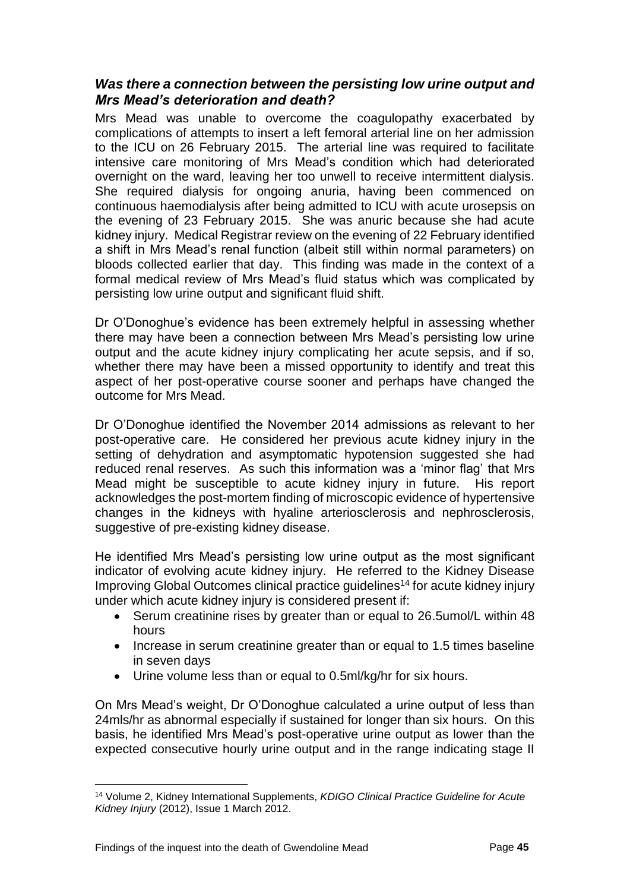#### <span id="page-46-0"></span>*Was there a connection between the persisting low urine output and Mrs Mead's deterioration and death?*

Mrs Mead was unable to overcome the coagulopathy exacerbated by complications of attempts to insert a left femoral arterial line on her admission to the ICU on 26 February 2015. The arterial line was required to facilitate intensive care monitoring of Mrs Mead's condition which had deteriorated overnight on the ward, leaving her too unwell to receive intermittent dialysis. She required dialysis for ongoing anuria, having been commenced on continuous haemodialysis after being admitted to ICU with acute urosepsis on the evening of 23 February 2015. She was anuric because she had acute kidney injury. Medical Registrar review on the evening of 22 February identified a shift in Mrs Mead's renal function (albeit still within normal parameters) on bloods collected earlier that day. This finding was made in the context of a formal medical review of Mrs Mead's fluid status which was complicated by persisting low urine output and significant fluid shift.

Dr O'Donoghue's evidence has been extremely helpful in assessing whether there may have been a connection between Mrs Mead's persisting low urine output and the acute kidney injury complicating her acute sepsis, and if so, whether there may have been a missed opportunity to identify and treat this aspect of her post-operative course sooner and perhaps have changed the outcome for Mrs Mead.

Dr O'Donoghue identified the November 2014 admissions as relevant to her post-operative care. He considered her previous acute kidney injury in the setting of dehydration and asymptomatic hypotension suggested she had reduced renal reserves. As such this information was a 'minor flag' that Mrs Mead might be susceptible to acute kidney injury in future. His report acknowledges the post-mortem finding of microscopic evidence of hypertensive changes in the kidneys with hyaline arteriosclerosis and nephrosclerosis, suggestive of pre-existing kidney disease.

He identified Mrs Mead's persisting low urine output as the most significant indicator of evolving acute kidney injury. He referred to the Kidney Disease Improving Global Outcomes clinical practice guidelines<sup>14</sup> for acute kidney injury under which acute kidney injury is considered present if:

- Serum creatinine rises by greater than or equal to 26.5umol/L within 48 hours
- Increase in serum creatinine greater than or equal to 1.5 times baseline in seven days
- Urine volume less than or equal to 0.5ml/kg/hr for six hours.

On Mrs Mead's weight, Dr O'Donoghue calculated a urine output of less than 24mls/hr as abnormal especially if sustained for longer than six hours. On this basis, he identified Mrs Mead's post-operative urine output as lower than the expected consecutive hourly urine output and in the range indicating stage II

<sup>14</sup> Volume 2, Kidney International Supplements, *KDIGO Clinical Practice Guideline for Acute Kidney Injury* (2012), Issue 1 March 2012.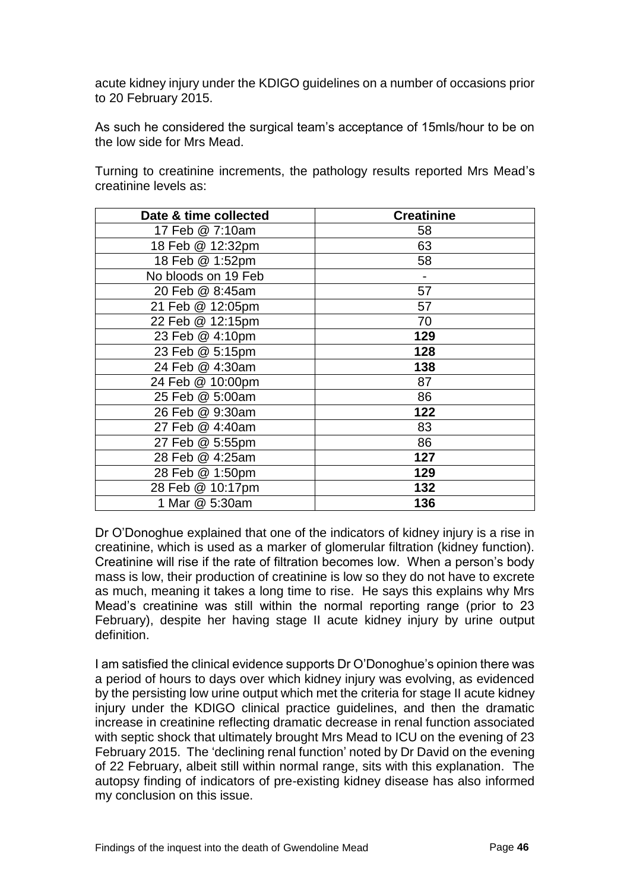acute kidney injury under the KDIGO guidelines on a number of occasions prior to 20 February 2015.

As such he considered the surgical team's acceptance of 15mls/hour to be on the low side for Mrs Mead.

Turning to creatinine increments, the pathology results reported Mrs Mead's creatinine levels as:

| Date & time collected | <b>Creatinine</b> |
|-----------------------|-------------------|
| 17 Feb @ 7:10am       | 58                |
| 18 Feb @ 12:32pm      | 63                |
| 18 Feb @ 1:52pm       | 58                |
| No bloods on 19 Feb   |                   |
| 20 Feb @ 8:45am       | 57                |
| 21 Feb @ 12:05pm      | 57                |
| 22 Feb @ 12:15pm      | 70                |
| 23 Feb @ 4:10pm       | 129               |
| 23 Feb @ 5:15pm       | 128               |
| 24 Feb @ 4:30am       | 138               |
| 24 Feb @ 10:00pm      | 87                |
| 25 Feb @ 5:00am       | 86                |
| 26 Feb @ 9:30am       | 122               |
| 27 Feb @ 4:40am       | 83                |
| 27 Feb @ 5:55pm       | 86                |
| 28 Feb @ 4:25am       | 127               |
| 28 Feb @ 1:50pm       | 129               |
| 28 Feb @ 10:17pm      | 132               |
| 1 Mar @ 5:30am        | 136               |

Dr O'Donoghue explained that one of the indicators of kidney injury is a rise in creatinine, which is used as a marker of glomerular filtration (kidney function). Creatinine will rise if the rate of filtration becomes low. When a person's body mass is low, their production of creatinine is low so they do not have to excrete as much, meaning it takes a long time to rise. He says this explains why Mrs Mead's creatinine was still within the normal reporting range (prior to 23 February), despite her having stage II acute kidney injury by urine output definition.

I am satisfied the clinical evidence supports Dr O'Donoghue's opinion there was a period of hours to days over which kidney injury was evolving, as evidenced by the persisting low urine output which met the criteria for stage II acute kidney injury under the KDIGO clinical practice guidelines, and then the dramatic increase in creatinine reflecting dramatic decrease in renal function associated with septic shock that ultimately brought Mrs Mead to ICU on the evening of 23 February 2015. The 'declining renal function' noted by Dr David on the evening of 22 February, albeit still within normal range, sits with this explanation. The autopsy finding of indicators of pre-existing kidney disease has also informed my conclusion on this issue.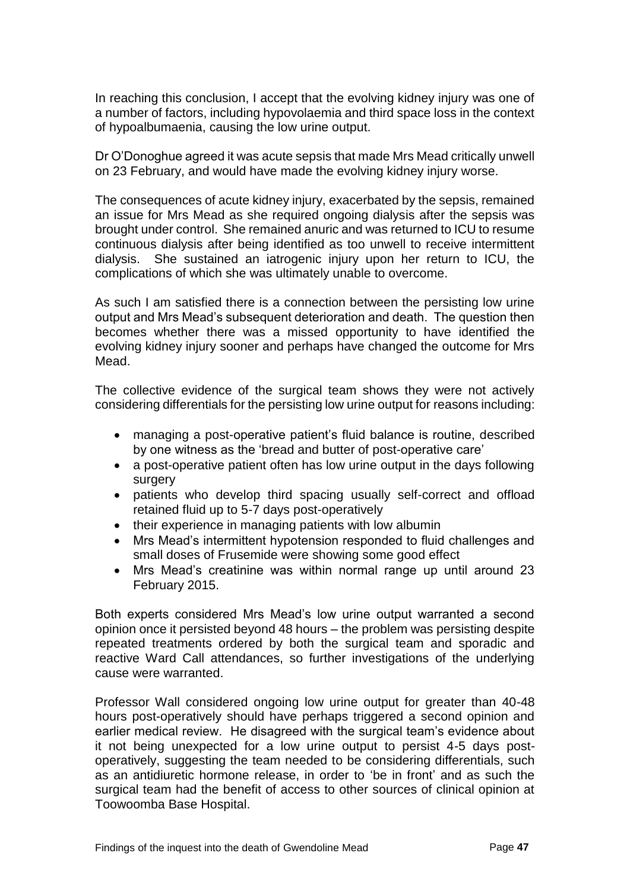In reaching this conclusion, I accept that the evolving kidney injury was one of a number of factors, including hypovolaemia and third space loss in the context of hypoalbumaenia, causing the low urine output.

Dr O'Donoghue agreed it was acute sepsis that made Mrs Mead critically unwell on 23 February, and would have made the evolving kidney injury worse.

The consequences of acute kidney injury, exacerbated by the sepsis, remained an issue for Mrs Mead as she required ongoing dialysis after the sepsis was brought under control. She remained anuric and was returned to ICU to resume continuous dialysis after being identified as too unwell to receive intermittent dialysis. She sustained an iatrogenic injury upon her return to ICU, the complications of which she was ultimately unable to overcome.

As such I am satisfied there is a connection between the persisting low urine output and Mrs Mead's subsequent deterioration and death. The question then becomes whether there was a missed opportunity to have identified the evolving kidney injury sooner and perhaps have changed the outcome for Mrs Mead.

The collective evidence of the surgical team shows they were not actively considering differentials for the persisting low urine output for reasons including:

- managing a post-operative patient's fluid balance is routine, described by one witness as the 'bread and butter of post-operative care'
- a post-operative patient often has low urine output in the days following surgery
- patients who develop third spacing usually self-correct and offload retained fluid up to 5-7 days post-operatively
- their experience in managing patients with low albumin
- Mrs Mead's intermittent hypotension responded to fluid challenges and small doses of Frusemide were showing some good effect
- Mrs Mead's creatinine was within normal range up until around 23 February 2015.

Both experts considered Mrs Mead's low urine output warranted a second opinion once it persisted beyond 48 hours – the problem was persisting despite repeated treatments ordered by both the surgical team and sporadic and reactive Ward Call attendances, so further investigations of the underlying cause were warranted.

Professor Wall considered ongoing low urine output for greater than 40-48 hours post-operatively should have perhaps triggered a second opinion and earlier medical review. He disagreed with the surgical team's evidence about it not being unexpected for a low urine output to persist 4-5 days postoperatively, suggesting the team needed to be considering differentials, such as an antidiuretic hormone release, in order to 'be in front' and as such the surgical team had the benefit of access to other sources of clinical opinion at Toowoomba Base Hospital.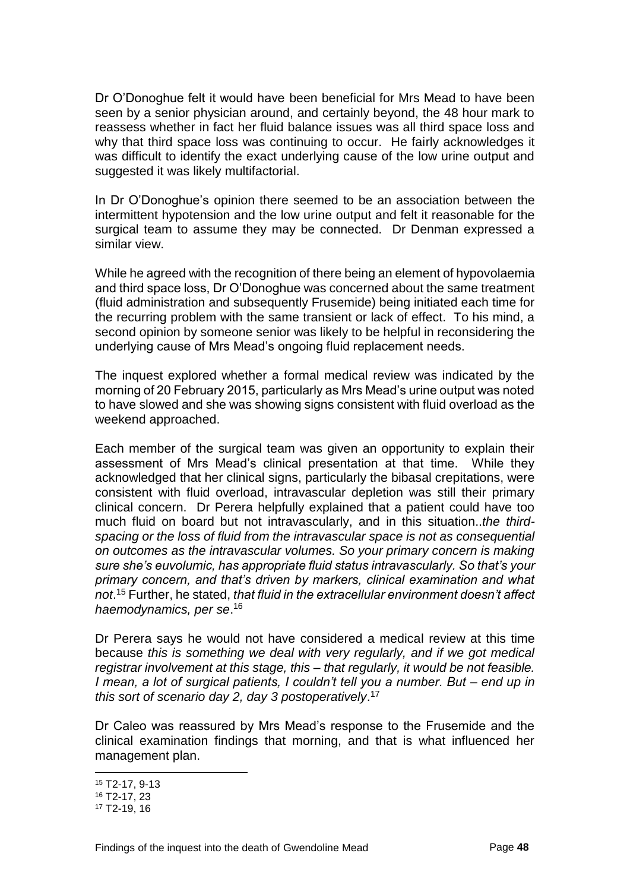Dr O'Donoghue felt it would have been beneficial for Mrs Mead to have been seen by a senior physician around, and certainly beyond, the 48 hour mark to reassess whether in fact her fluid balance issues was all third space loss and why that third space loss was continuing to occur. He fairly acknowledges it was difficult to identify the exact underlying cause of the low urine output and suggested it was likely multifactorial.

In Dr O'Donoghue's opinion there seemed to be an association between the intermittent hypotension and the low urine output and felt it reasonable for the surgical team to assume they may be connected. Dr Denman expressed a similar view.

While he agreed with the recognition of there being an element of hypovolaemia and third space loss, Dr O'Donoghue was concerned about the same treatment (fluid administration and subsequently Frusemide) being initiated each time for the recurring problem with the same transient or lack of effect. To his mind, a second opinion by someone senior was likely to be helpful in reconsidering the underlying cause of Mrs Mead's ongoing fluid replacement needs.

The inquest explored whether a formal medical review was indicated by the morning of 20 February 2015, particularly as Mrs Mead's urine output was noted to have slowed and she was showing signs consistent with fluid overload as the weekend approached.

Each member of the surgical team was given an opportunity to explain their assessment of Mrs Mead's clinical presentation at that time. While they acknowledged that her clinical signs, particularly the bibasal crepitations, were consistent with fluid overload, intravascular depletion was still their primary clinical concern. Dr Perera helpfully explained that a patient could have too much fluid on board but not intravascularly, and in this situation..*the thirdspacing or the loss of fluid from the intravascular space is not as consequential on outcomes as the intravascular volumes. So your primary concern is making sure she's euvolumic, has appropriate fluid status intravascularly. So that's your primary concern, and that's driven by markers, clinical examination and what not*. <sup>15</sup> Further, he stated, *that fluid in the extracellular environment doesn't affect haemodynamics, per se*. 16

Dr Perera says he would not have considered a medical review at this time because *this is something we deal with very regularly, and if we got medical registrar involvement at this stage, this – that regularly, it would be not feasible. I mean, a lot of surgical patients, I couldn't tell you a number. But – end up in this sort of scenario day 2, day 3 postoperatively*. 17

Dr Caleo was reassured by Mrs Mead's response to the Frusemide and the clinical examination findings that morning, and that is what influenced her management plan.

<sup>15</sup> T2-17, 9-13

<sup>16</sup> T2-17, 23

<sup>17</sup> T2-19, 16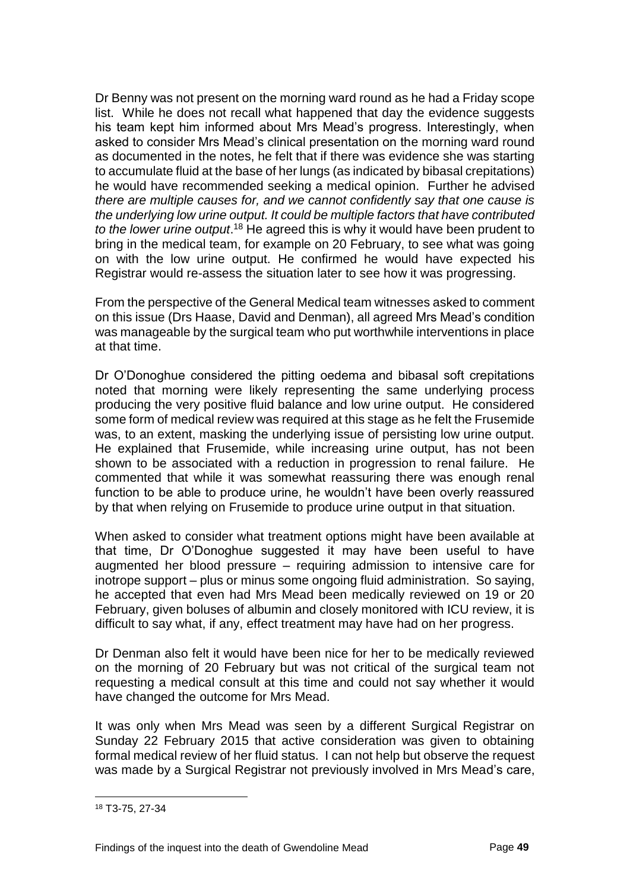Dr Benny was not present on the morning ward round as he had a Friday scope list. While he does not recall what happened that day the evidence suggests his team kept him informed about Mrs Mead's progress. Interestingly, when asked to consider Mrs Mead's clinical presentation on the morning ward round as documented in the notes, he felt that if there was evidence she was starting to accumulate fluid at the base of her lungs (as indicated by bibasal crepitations) he would have recommended seeking a medical opinion. Further he advised *there are multiple causes for, and we cannot confidently say that one cause is the underlying low urine output. It could be multiple factors that have contributed*  to the lower urine output.<sup>18</sup> He agreed this is why it would have been prudent to bring in the medical team, for example on 20 February, to see what was going on with the low urine output. He confirmed he would have expected his Registrar would re-assess the situation later to see how it was progressing.

From the perspective of the General Medical team witnesses asked to comment on this issue (Drs Haase, David and Denman), all agreed Mrs Mead's condition was manageable by the surgical team who put worthwhile interventions in place at that time.

Dr O'Donoghue considered the pitting oedema and bibasal soft crepitations noted that morning were likely representing the same underlying process producing the very positive fluid balance and low urine output. He considered some form of medical review was required at this stage as he felt the Frusemide was, to an extent, masking the underlying issue of persisting low urine output. He explained that Frusemide, while increasing urine output, has not been shown to be associated with a reduction in progression to renal failure. He commented that while it was somewhat reassuring there was enough renal function to be able to produce urine, he wouldn't have been overly reassured by that when relying on Frusemide to produce urine output in that situation.

When asked to consider what treatment options might have been available at that time, Dr O'Donoghue suggested it may have been useful to have augmented her blood pressure – requiring admission to intensive care for inotrope support – plus or minus some ongoing fluid administration. So saying, he accepted that even had Mrs Mead been medically reviewed on 19 or 20 February, given boluses of albumin and closely monitored with ICU review, it is difficult to say what, if any, effect treatment may have had on her progress.

Dr Denman also felt it would have been nice for her to be medically reviewed on the morning of 20 February but was not critical of the surgical team not requesting a medical consult at this time and could not say whether it would have changed the outcome for Mrs Mead.

It was only when Mrs Mead was seen by a different Surgical Registrar on Sunday 22 February 2015 that active consideration was given to obtaining formal medical review of her fluid status. I can not help but observe the request was made by a Surgical Registrar not previously involved in Mrs Mead's care,

<sup>18</sup> T3-75, 27-34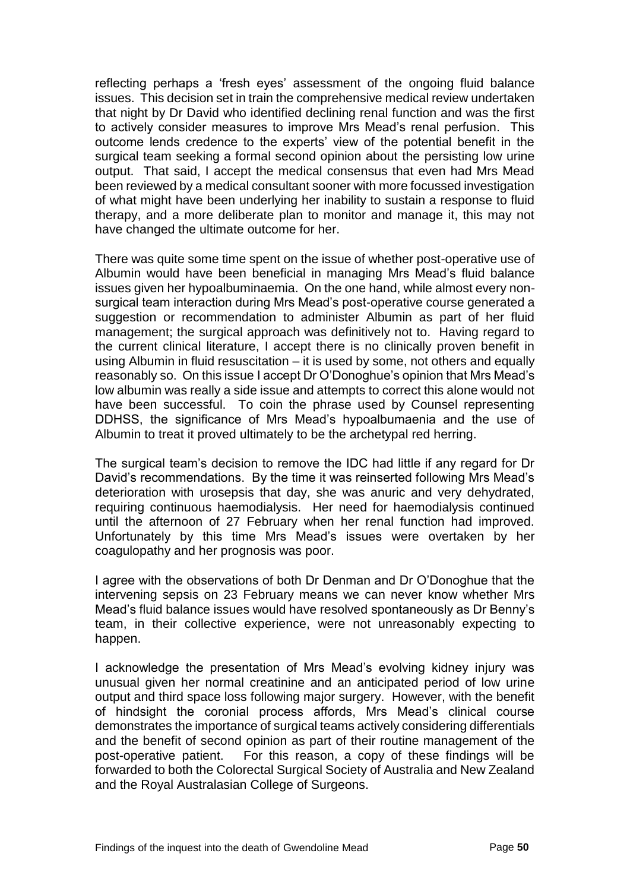reflecting perhaps a 'fresh eyes' assessment of the ongoing fluid balance issues. This decision set in train the comprehensive medical review undertaken that night by Dr David who identified declining renal function and was the first to actively consider measures to improve Mrs Mead's renal perfusion. This outcome lends credence to the experts' view of the potential benefit in the surgical team seeking a formal second opinion about the persisting low urine output. That said, I accept the medical consensus that even had Mrs Mead been reviewed by a medical consultant sooner with more focussed investigation of what might have been underlying her inability to sustain a response to fluid therapy, and a more deliberate plan to monitor and manage it, this may not have changed the ultimate outcome for her.

There was quite some time spent on the issue of whether post-operative use of Albumin would have been beneficial in managing Mrs Mead's fluid balance issues given her hypoalbuminaemia. On the one hand, while almost every nonsurgical team interaction during Mrs Mead's post-operative course generated a suggestion or recommendation to administer Albumin as part of her fluid management; the surgical approach was definitively not to. Having regard to the current clinical literature, I accept there is no clinically proven benefit in using Albumin in fluid resuscitation – it is used by some, not others and equally reasonably so. On this issue I accept Dr O'Donoghue's opinion that Mrs Mead's low albumin was really a side issue and attempts to correct this alone would not have been successful. To coin the phrase used by Counsel representing DDHSS, the significance of Mrs Mead's hypoalbumaenia and the use of Albumin to treat it proved ultimately to be the archetypal red herring.

The surgical team's decision to remove the IDC had little if any regard for Dr David's recommendations. By the time it was reinserted following Mrs Mead's deterioration with urosepsis that day, she was anuric and very dehydrated, requiring continuous haemodialysis. Her need for haemodialysis continued until the afternoon of 27 February when her renal function had improved. Unfortunately by this time Mrs Mead's issues were overtaken by her coagulopathy and her prognosis was poor.

I agree with the observations of both Dr Denman and Dr O'Donoghue that the intervening sepsis on 23 February means we can never know whether Mrs Mead's fluid balance issues would have resolved spontaneously as Dr Benny's team, in their collective experience, were not unreasonably expecting to happen.

I acknowledge the presentation of Mrs Mead's evolving kidney injury was unusual given her normal creatinine and an anticipated period of low urine output and third space loss following major surgery. However, with the benefit of hindsight the coronial process affords, Mrs Mead's clinical course demonstrates the importance of surgical teams actively considering differentials and the benefit of second opinion as part of their routine management of the post-operative patient. For this reason, a copy of these findings will be forwarded to both the Colorectal Surgical Society of Australia and New Zealand and the Royal Australasian College of Surgeons.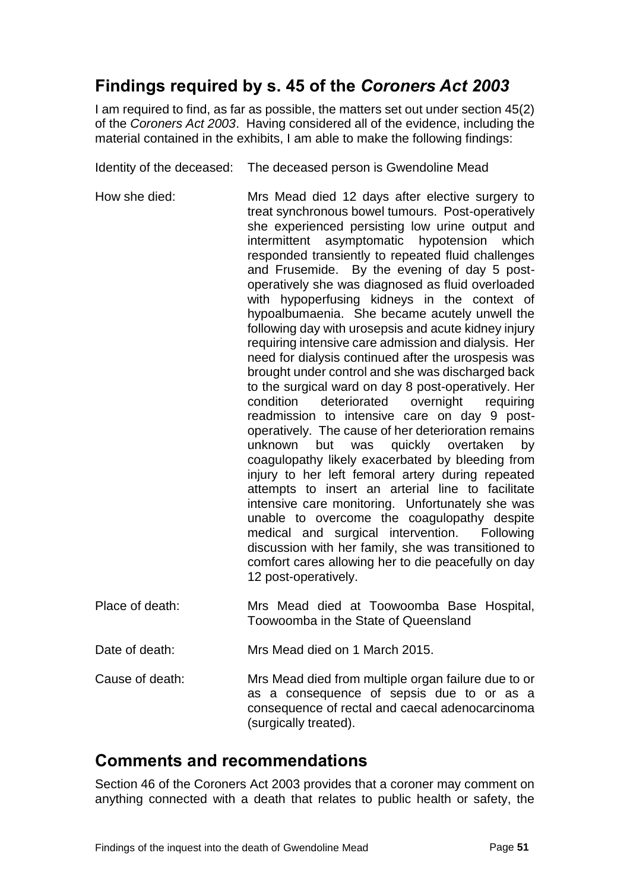## <span id="page-52-0"></span>**Findings required by s. 45 of the** *Coroners Act 2003*

I am required to find, as far as possible, the matters set out under section 45(2) of the *Coroners Act 2003*. Having considered all of the evidence, including the material contained in the exhibits, I am able to make the following findings:

Identity of the deceased: The deceased person is Gwendoline Mead

- How she died: Mrs Mead died 12 days after elective surgery to treat synchronous bowel tumours. Post-operatively she experienced persisting low urine output and intermittent asymptomatic hypotension which responded transiently to repeated fluid challenges and Frusemide. By the evening of day 5 postoperatively she was diagnosed as fluid overloaded with hypoperfusing kidneys in the context of hypoalbumaenia. She became acutely unwell the following day with urosepsis and acute kidney injury requiring intensive care admission and dialysis. Her need for dialysis continued after the urospesis was brought under control and she was discharged back to the surgical ward on day 8 post-operatively. Her condition deteriorated overnight requiring readmission to intensive care on day 9 postoperatively. The cause of her deterioration remains unknown but was quickly overtaken by coagulopathy likely exacerbated by bleeding from injury to her left femoral artery during repeated attempts to insert an arterial line to facilitate intensive care monitoring. Unfortunately she was unable to overcome the coagulopathy despite medical and surgical intervention. Following discussion with her family, she was transitioned to comfort cares allowing her to die peacefully on day 12 post-operatively.
- Place of death: Mrs Mead died at Toowoomba Base Hospital, Toowoomba in the State of Queensland

Date of death: Mrs Mead died on 1 March 2015.

Cause of death: Mrs Mead died from multiple organ failure due to or as a consequence of sepsis due to or as a consequence of rectal and caecal adenocarcinoma (surgically treated).

## <span id="page-52-1"></span>**Comments and recommendations**

Section 46 of the Coroners Act 2003 provides that a coroner may comment on anything connected with a death that relates to public health or safety, the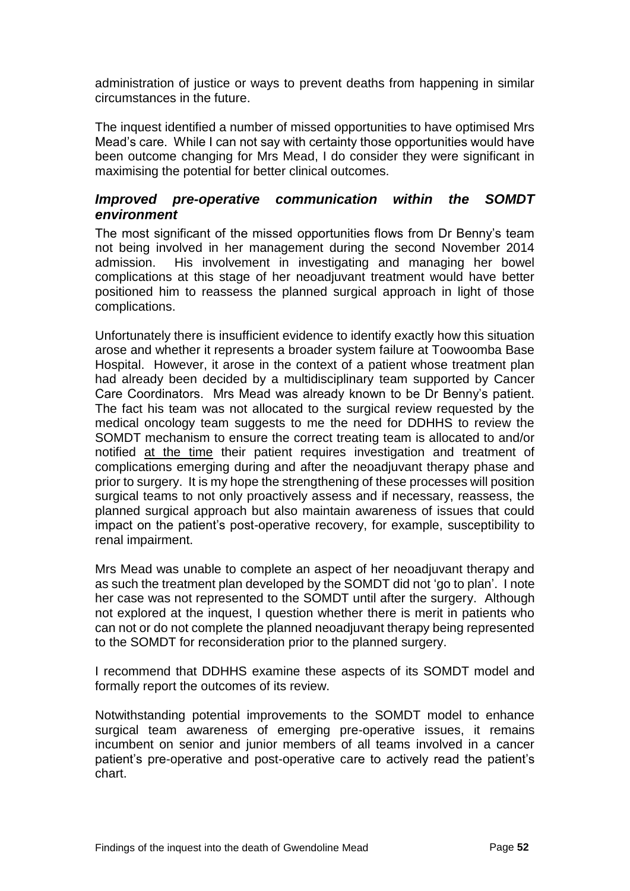administration of justice or ways to prevent deaths from happening in similar circumstances in the future.

The inquest identified a number of missed opportunities to have optimised Mrs Mead's care. While I can not say with certainty those opportunities would have been outcome changing for Mrs Mead, I do consider they were significant in maximising the potential for better clinical outcomes.

#### <span id="page-53-0"></span>*Improved pre-operative communication within the SOMDT environment*

The most significant of the missed opportunities flows from Dr Benny's team not being involved in her management during the second November 2014 admission. His involvement in investigating and managing her bowel complications at this stage of her neoadjuvant treatment would have better positioned him to reassess the planned surgical approach in light of those complications.

Unfortunately there is insufficient evidence to identify exactly how this situation arose and whether it represents a broader system failure at Toowoomba Base Hospital. However, it arose in the context of a patient whose treatment plan had already been decided by a multidisciplinary team supported by Cancer Care Coordinators. Mrs Mead was already known to be Dr Benny's patient. The fact his team was not allocated to the surgical review requested by the medical oncology team suggests to me the need for DDHHS to review the SOMDT mechanism to ensure the correct treating team is allocated to and/or notified at the time their patient requires investigation and treatment of complications emerging during and after the neoadjuvant therapy phase and prior to surgery. It is my hope the strengthening of these processes will position surgical teams to not only proactively assess and if necessary, reassess, the planned surgical approach but also maintain awareness of issues that could impact on the patient's post-operative recovery, for example, susceptibility to renal impairment.

Mrs Mead was unable to complete an aspect of her neoadjuvant therapy and as such the treatment plan developed by the SOMDT did not 'go to plan'. I note her case was not represented to the SOMDT until after the surgery. Although not explored at the inquest, I question whether there is merit in patients who can not or do not complete the planned neoadjuvant therapy being represented to the SOMDT for reconsideration prior to the planned surgery.

I recommend that DDHHS examine these aspects of its SOMDT model and formally report the outcomes of its review.

Notwithstanding potential improvements to the SOMDT model to enhance surgical team awareness of emerging pre-operative issues, it remains incumbent on senior and junior members of all teams involved in a cancer patient's pre-operative and post-operative care to actively read the patient's chart.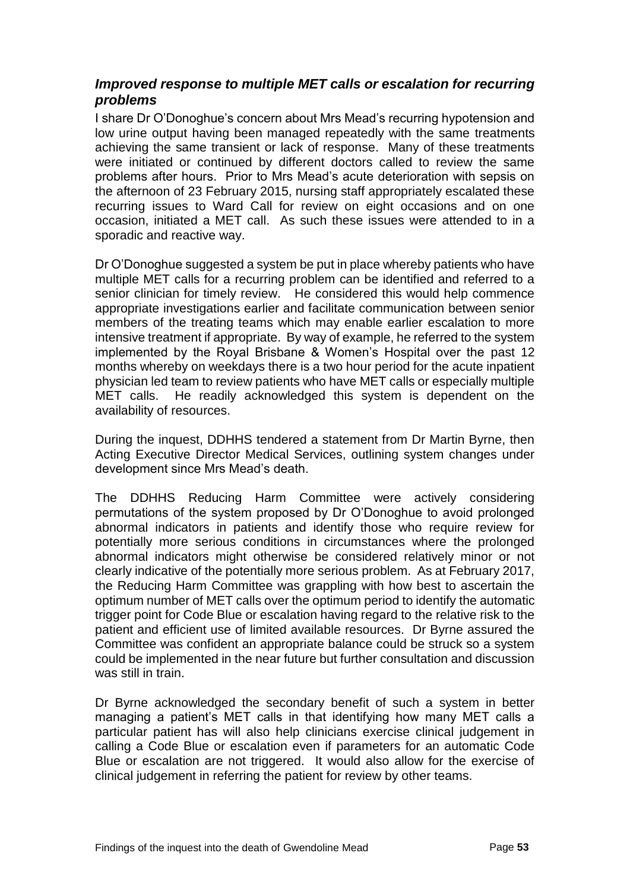#### <span id="page-54-0"></span>*Improved response to multiple MET calls or escalation for recurring problems*

I share Dr O'Donoghue's concern about Mrs Mead's recurring hypotension and low urine output having been managed repeatedly with the same treatments achieving the same transient or lack of response. Many of these treatments were initiated or continued by different doctors called to review the same problems after hours. Prior to Mrs Mead's acute deterioration with sepsis on the afternoon of 23 February 2015, nursing staff appropriately escalated these recurring issues to Ward Call for review on eight occasions and on one occasion, initiated a MET call. As such these issues were attended to in a sporadic and reactive way.

Dr O'Donoghue suggested a system be put in place whereby patients who have multiple MET calls for a recurring problem can be identified and referred to a senior clinician for timely review. He considered this would help commence appropriate investigations earlier and facilitate communication between senior members of the treating teams which may enable earlier escalation to more intensive treatment if appropriate. By way of example, he referred to the system implemented by the Royal Brisbane & Women's Hospital over the past 12 months whereby on weekdays there is a two hour period for the acute inpatient physician led team to review patients who have MET calls or especially multiple MET calls. He readily acknowledged this system is dependent on the availability of resources.

During the inquest, DDHHS tendered a statement from Dr Martin Byrne, then Acting Executive Director Medical Services, outlining system changes under development since Mrs Mead's death.

The DDHHS Reducing Harm Committee were actively considering permutations of the system proposed by Dr O'Donoghue to avoid prolonged abnormal indicators in patients and identify those who require review for potentially more serious conditions in circumstances where the prolonged abnormal indicators might otherwise be considered relatively minor or not clearly indicative of the potentially more serious problem. As at February 2017, the Reducing Harm Committee was grappling with how best to ascertain the optimum number of MET calls over the optimum period to identify the automatic trigger point for Code Blue or escalation having regard to the relative risk to the patient and efficient use of limited available resources. Dr Byrne assured the Committee was confident an appropriate balance could be struck so a system could be implemented in the near future but further consultation and discussion was still in train.

Dr Byrne acknowledged the secondary benefit of such a system in better managing a patient's MET calls in that identifying how many MET calls a particular patient has will also help clinicians exercise clinical judgement in calling a Code Blue or escalation even if parameters for an automatic Code Blue or escalation are not triggered. It would also allow for the exercise of clinical judgement in referring the patient for review by other teams.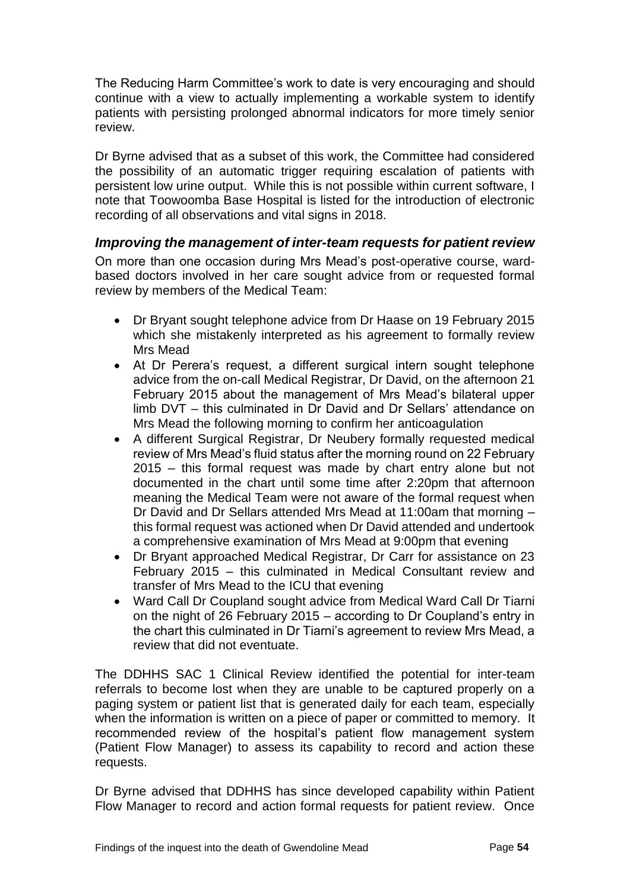The Reducing Harm Committee's work to date is very encouraging and should continue with a view to actually implementing a workable system to identify patients with persisting prolonged abnormal indicators for more timely senior review.

Dr Byrne advised that as a subset of this work, the Committee had considered the possibility of an automatic trigger requiring escalation of patients with persistent low urine output. While this is not possible within current software, I note that Toowoomba Base Hospital is listed for the introduction of electronic recording of all observations and vital signs in 2018.

#### <span id="page-55-0"></span>*Improving the management of inter-team requests for patient review*

On more than one occasion during Mrs Mead's post-operative course, wardbased doctors involved in her care sought advice from or requested formal review by members of the Medical Team:

- Dr Bryant sought telephone advice from Dr Haase on 19 February 2015 which she mistakenly interpreted as his agreement to formally review Mrs Mead
- At Dr Perera's request, a different surgical intern sought telephone advice from the on-call Medical Registrar, Dr David, on the afternoon 21 February 2015 about the management of Mrs Mead's bilateral upper limb DVT – this culminated in Dr David and Dr Sellars' attendance on Mrs Mead the following morning to confirm her anticoagulation
- A different Surgical Registrar, Dr Neubery formally requested medical review of Mrs Mead's fluid status after the morning round on 22 February 2015 – this formal request was made by chart entry alone but not documented in the chart until some time after 2:20pm that afternoon meaning the Medical Team were not aware of the formal request when Dr David and Dr Sellars attended Mrs Mead at 11:00am that morning – this formal request was actioned when Dr David attended and undertook a comprehensive examination of Mrs Mead at 9:00pm that evening
- Dr Bryant approached Medical Registrar, Dr Carr for assistance on 23 February 2015 – this culminated in Medical Consultant review and transfer of Mrs Mead to the ICU that evening
- Ward Call Dr Coupland sought advice from Medical Ward Call Dr Tiarni on the night of 26 February 2015 – according to Dr Coupland's entry in the chart this culminated in Dr Tiarni's agreement to review Mrs Mead, a review that did not eventuate.

The DDHHS SAC 1 Clinical Review identified the potential for inter-team referrals to become lost when they are unable to be captured properly on a paging system or patient list that is generated daily for each team, especially when the information is written on a piece of paper or committed to memory. It recommended review of the hospital's patient flow management system (Patient Flow Manager) to assess its capability to record and action these requests.

Dr Byrne advised that DDHHS has since developed capability within Patient Flow Manager to record and action formal requests for patient review. Once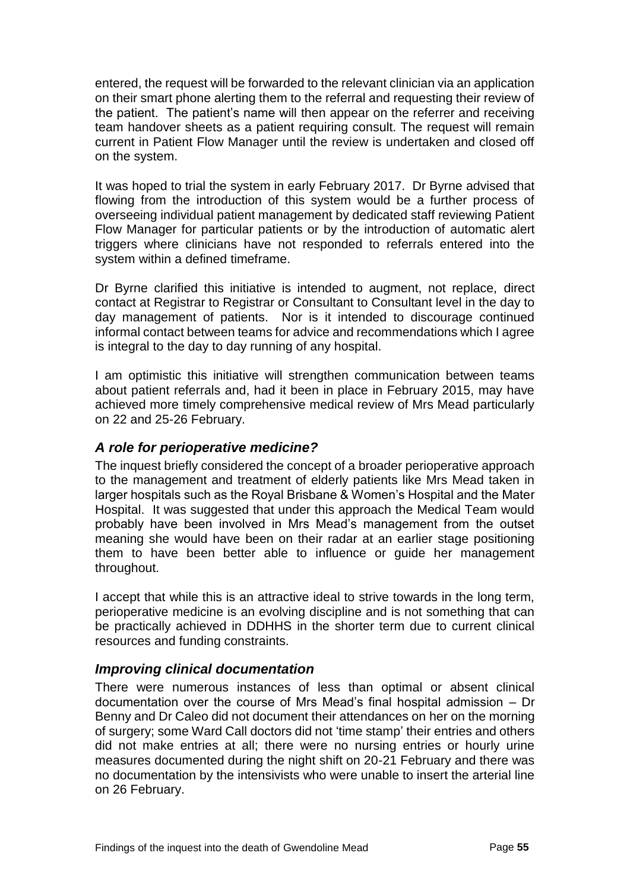entered, the request will be forwarded to the relevant clinician via an application on their smart phone alerting them to the referral and requesting their review of the patient. The patient's name will then appear on the referrer and receiving team handover sheets as a patient requiring consult. The request will remain current in Patient Flow Manager until the review is undertaken and closed off on the system.

It was hoped to trial the system in early February 2017. Dr Byrne advised that flowing from the introduction of this system would be a further process of overseeing individual patient management by dedicated staff reviewing Patient Flow Manager for particular patients or by the introduction of automatic alert triggers where clinicians have not responded to referrals entered into the system within a defined timeframe.

Dr Byrne clarified this initiative is intended to augment, not replace, direct contact at Registrar to Registrar or Consultant to Consultant level in the day to day management of patients. Nor is it intended to discourage continued informal contact between teams for advice and recommendations which I agree is integral to the day to day running of any hospital.

I am optimistic this initiative will strengthen communication between teams about patient referrals and, had it been in place in February 2015, may have achieved more timely comprehensive medical review of Mrs Mead particularly on 22 and 25-26 February.

#### <span id="page-56-0"></span>*A role for perioperative medicine?*

The inquest briefly considered the concept of a broader perioperative approach to the management and treatment of elderly patients like Mrs Mead taken in larger hospitals such as the Royal Brisbane & Women's Hospital and the Mater Hospital. It was suggested that under this approach the Medical Team would probably have been involved in Mrs Mead's management from the outset meaning she would have been on their radar at an earlier stage positioning them to have been better able to influence or guide her management throughout.

I accept that while this is an attractive ideal to strive towards in the long term, perioperative medicine is an evolving discipline and is not something that can be practically achieved in DDHHS in the shorter term due to current clinical resources and funding constraints.

#### <span id="page-56-1"></span>*Improving clinical documentation*

There were numerous instances of less than optimal or absent clinical documentation over the course of Mrs Mead's final hospital admission – Dr Benny and Dr Caleo did not document their attendances on her on the morning of surgery; some Ward Call doctors did not 'time stamp' their entries and others did not make entries at all; there were no nursing entries or hourly urine measures documented during the night shift on 20-21 February and there was no documentation by the intensivists who were unable to insert the arterial line on 26 February.